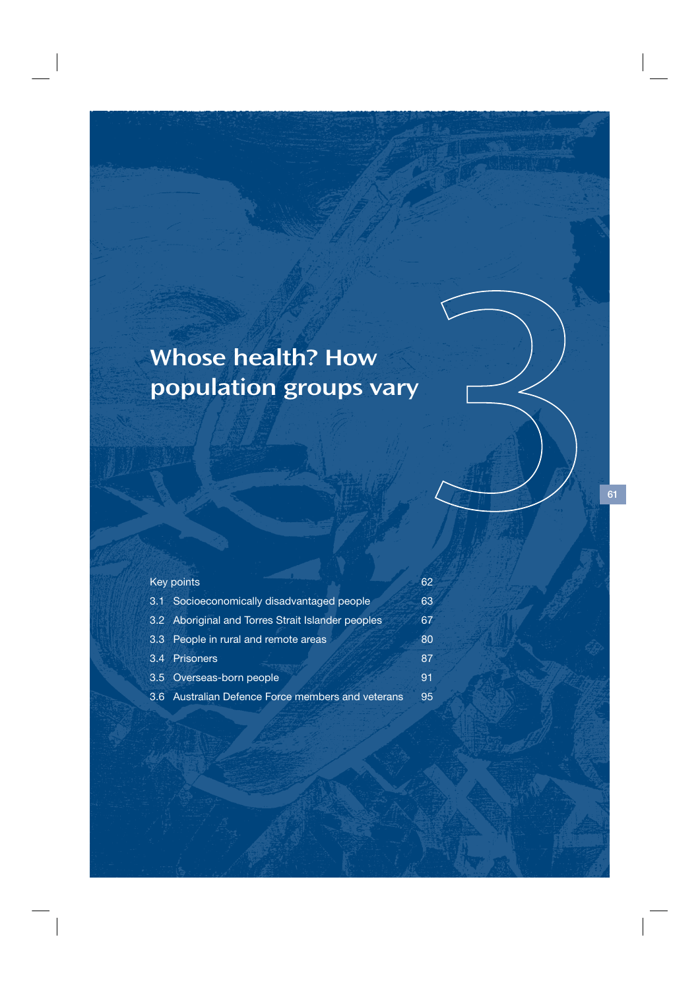# Whose health? How population groups vary

|     | <b>Key points</b>                                 | 62 |
|-----|---------------------------------------------------|----|
| 3.1 | Socioeconomically disadvantaged people            | 63 |
|     | 3.2 Aboriginal and Torres Strait Islander peoples | 67 |
|     | 3.3 People in rural and remote areas              | 80 |
|     | 3.4 Prisoners                                     | 87 |
|     | 3.5 Overseas-born people                          | 91 |
|     | 3.6 Australian Defence Force members and veterans | 95 |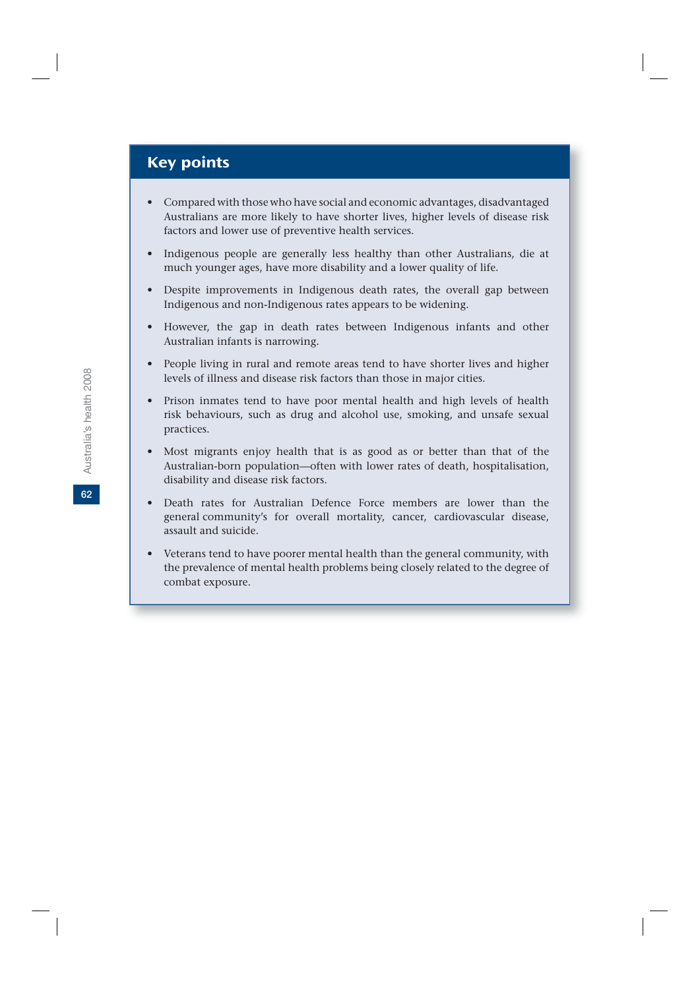# Key points

- Compared with those who have social and economic advantages, disadvantaged Australians are more likely to have shorter lives, higher levels of disease risk factors and lower use of preventive health services.
- Indigenous people are generally less healthy than other Australians, die at much younger ages, have more disability and a lower quality of life.
- Despite improvements in Indigenous death rates, the overall gap between Indigenous and non-Indigenous rates appears to be widening.
- However, the gap in death rates between Indigenous infants and other Australian infants is narrowing.
- People living in rural and remote areas tend to have shorter lives and higher levels of illness and disease risk factors than those in major cities.
- Prison inmates tend to have poor mental health and high levels of health risk behaviours, such as drug and alcohol use, smoking, and unsafe sexual practices.
- Most migrants enjoy health that is as good as or better than that of the Australian-born population—often with lower rates of death, hospitalisation, disability and disease risk factors.
- Death rates for Australian Defence Force members are lower than the general community's for overall mortality, cancer, cardiovascular disease, assault and suicide.
- Veterans tend to have poorer mental health than the general community, with the prevalence of mental health problems being closely related to the degree of combat exposure.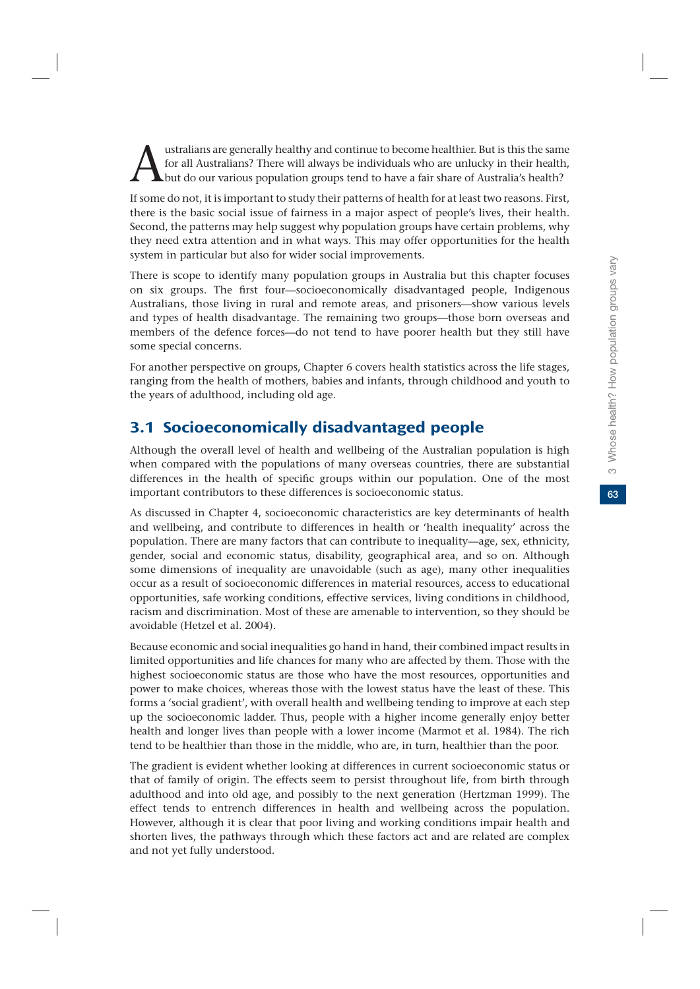dustralians are generally healthy and continue to become healthier. But is this the same for all Australians? There will always be individuals who are unlucky in their health, but do our various population groups tend to h for all Australians? There will always be individuals who are unlucky in their health, but do our various population groups tend to have a fair share of Australia's health?

If some do not, it is important to study their patterns of health for at least two reasons. First, there is the basic social issue of fairness in a major aspect of people's lives, their health. Second, the patterns may help suggest why population groups have certain problems, why they need extra attention and in what ways. This may offer opportunities for the health system in particular but also for wider social improvements.

There is scope to identify many population groups in Australia but this chapter focuses on six groups. The first four—socioeconomically disadvantaged people, Indigenous Australians, those living in rural and remote areas, and prisoners—show various levels and types of health disadvantage. The remaining two groups—those born overseas and members of the defence forces—do not tend to have poorer health but they still have some special concerns.

For another perspective on groups, Chapter 6 covers health statistics across the life stages, ranging from the health of mothers, babies and infants, through childhood and youth to the years of adulthood, including old age.

# 3.1 Socioeconomically disadvantaged people

Although the overall level of health and wellbeing of the Australian population is high when compared with the populations of many overseas countries, there are substantial differences in the health of specific groups within our population. One of the most important contributors to these differences is socioeconomic status.

As discussed in Chapter 4, socioeconomic characteristics are key determinants of health and wellbeing, and contribute to differences in health or 'health inequality' across the population. There are many factors that can contribute to inequality—age, sex, ethnicity, gender, social and economic status, disability, geographical area, and so on. Although some dimensions of inequality are unavoidable (such as age), many other inequalities occur as a result of socioeconomic differences in material resources, access to educational opportunities, safe working conditions, effective services, living conditions in childhood, racism and discrimination. Most of these are amenable to intervention, so they should be avoidable (Hetzel et al. 2004).

Because economic and social inequalities go hand in hand, their combined impact results in limited opportunities and life chances for many who are affected by them. Those with the highest socioeconomic status are those who have the most resources, opportunities and power to make choices, whereas those with the lowest status have the least of these. This forms a 'social gradient', with overall health and wellbeing tending to improve at each step up the socioeconomic ladder. Thus, people with a higher income generally enjoy better health and longer lives than people with a lower income (Marmot et al. 1984). The rich tend to be healthier than those in the middle, who are, in turn, healthier than the poor.

The gradient is evident whether looking at differences in current socioeconomic status or that of family of origin. The effects seem to persist throughout life, from birth through adulthood and into old age, and possibly to the next generation (Hertzman 1999). The effect tends to entrench differences in health and wellbeing across the population. However, although it is clear that poor living and working conditions impair health and shorten lives, the pathways through which these factors act and are related are complex and not yet fully understood.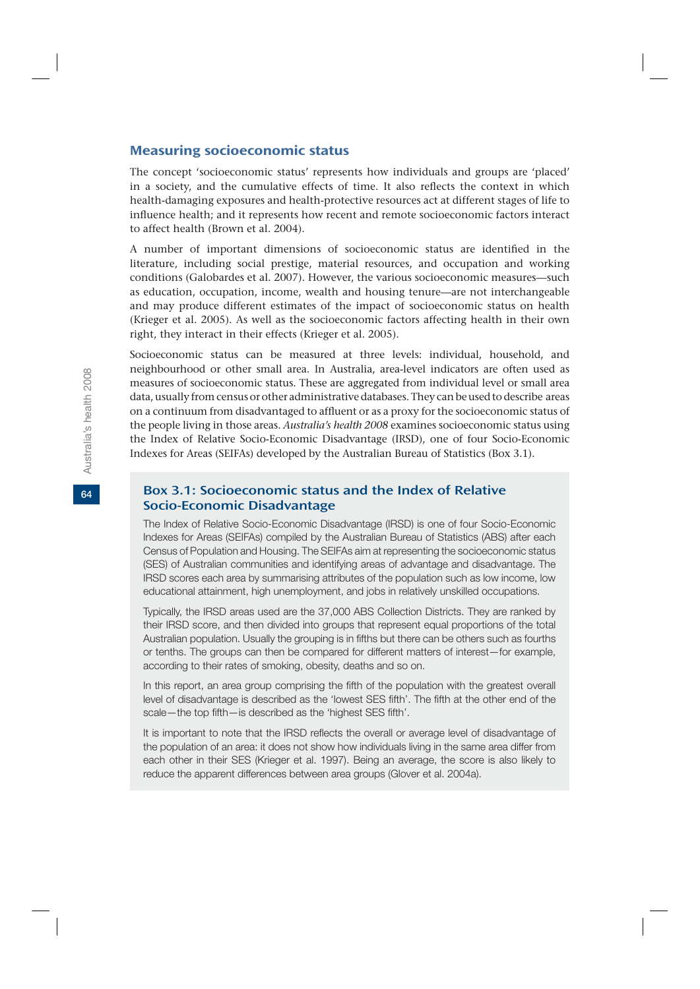#### Measuring socioeconomic status

The concept 'socioeconomic status' represents how individuals and groups are 'placed' in a society, and the cumulative effects of time. It also reflects the context in which health-damaging exposures and health-protective resources act at different stages of life to influence health; and it represents how recent and remote socioeconomic factors interact to affect health (Brown et al. 2004).

A number of important dimensions of socioeconomic status are identified in the literature, including social prestige, material resources, and occupation and working conditions (Galobardes et al. 2007). However, the various socioeconomic measures—such as education, occupation, income, wealth and housing tenure—are not interchangeable and may produce different estimates of the impact of socioeconomic status on health (Krieger et al. 2005). As well as the socioeconomic factors affecting health in their own right, they interact in their effects (Krieger et al. 2005).

Socioeconomic status can be measured at three levels: individual, household, and neighbourhood or other small area. In Australia, area-level indicators are often used as measures of socioeconomic status. These are aggregated from individual level or small area data, usually from census or other administrative databases. They can be used to describe areas on a continuum from disadvantaged to affluent or as a proxy for the socioeconomic status of the people living in those areas. *Australia's health 2008* examines socioeconomic status using the Index of Relative Socio-Economic Disadvantage (IRSD), one of four Socio-Economic Indexes for Areas (SEIFAs) developed by the Australian Bureau of Statistics (Box 3.1).

# Box 3.1: Socioeconomic status and the Index of Relative Socio-Economic Disadvantage

The Index of Relative Socio-Economic Disadvantage (IRSD) is one of four Socio-Economic Indexes for Areas (SEIFAs) compiled by the Australian Bureau of Statistics (ABS) after each Census of Population and Housing. The SEIFAs aim at representing the socioeconomic status (SES) of Australian communities and identifying areas of advantage and disadvantage. The IRSD scores each area by summarising attributes of the population such as low income, low educational attainment, high unemployment, and jobs in relatively unskilled occupations.

Typically, the IRSD areas used are the 37,000 ABS Collection Districts. They are ranked by their IRSD score, and then divided into groups that represent equal proportions of the total Australian population. Usually the grouping is in fifths but there can be others such as fourths or tenths. The groups can then be compared for different matters of interest—for example, according to their rates of smoking, obesity, deaths and so on.

In this report, an area group comprising the fifth of the population with the greatest overall level of disadvantage is described as the 'lowest SES fifth'. The fifth at the other end of the scale—the top fifth—is described as the 'highest SES fifth'.

It is important to note that the IRSD reflects the overall or average level of disadvantage of the population of an area: it does not show how individuals living in the same area differ from each other in their SES (Krieger et al. 1997). Being an average, the score is also likely to reduce the apparent differences between area groups (Glover et al. 2004a).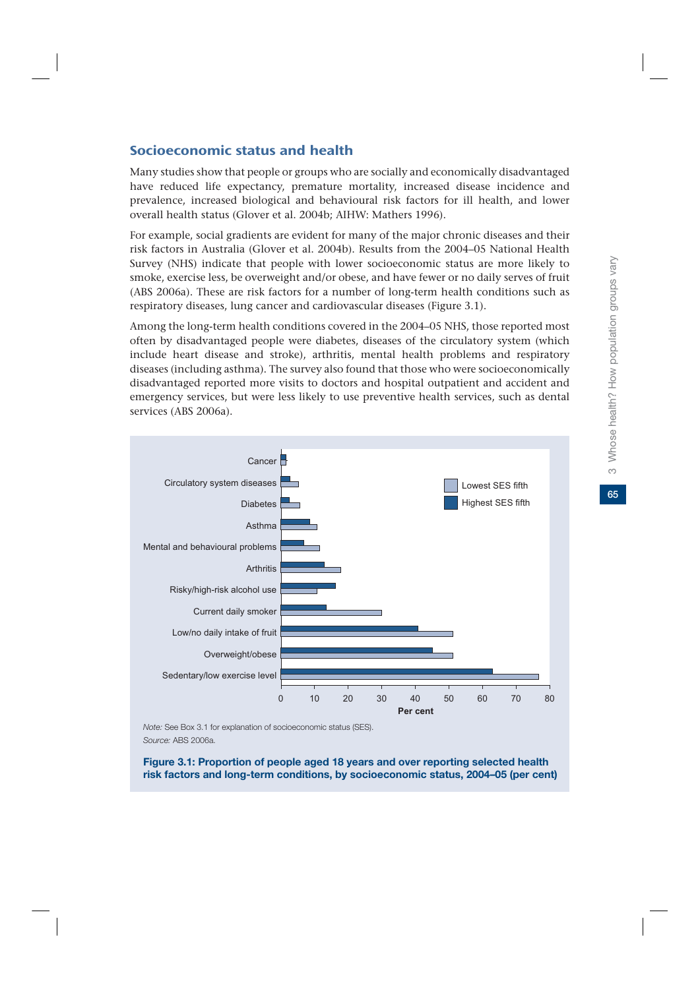65

# Socioeconomic status and health

Many studies show that people or groups who are socially and economically disadvantaged have reduced life expectancy, premature mortality, increased disease incidence and prevalence, increased biological and behavioural risk factors for ill health, and lower overall health status (Glover et al. 2004b; AIHW: Mathers 1996).

For example, social gradients are evident for many of the major chronic diseases and their risk factors in Australia (Glover et al. 2004b). Results from the 2004–05 National Health Survey (NHS) indicate that people with lower socioeconomic status are more likely to smoke, exercise less, be overweight and/or obese, and have fewer or no daily serves of fruit (ABS 2006a). These are risk factors for a number of long-term health conditions such as respiratory diseases, lung cancer and cardiovascular diseases (Figure 3.1).

Among the long-term health conditions covered in the 2004–05 NHS, those reported most often by disadvantaged people were diabetes, diseases of the circulatory system (which include heart disease and stroke), arthritis, mental health problems and respiratory diseases (including asthma). The survey also found that those who were socioeconomically disadvantaged reported more visits to doctors and hospital outpatient and accident and emergency services, but were less likely to use preventive health services, such as dental services (ABS 2006a).



*Note:* See Box 3.1 for explanation of socioeconomic status (SES). *Source:* ABS 2006a.

**Figure 3.1: Proportion of people aged 18 years and over reporting selected health risk factors and long-term conditions, by socioeconomic status, 2004–05 (per cent)**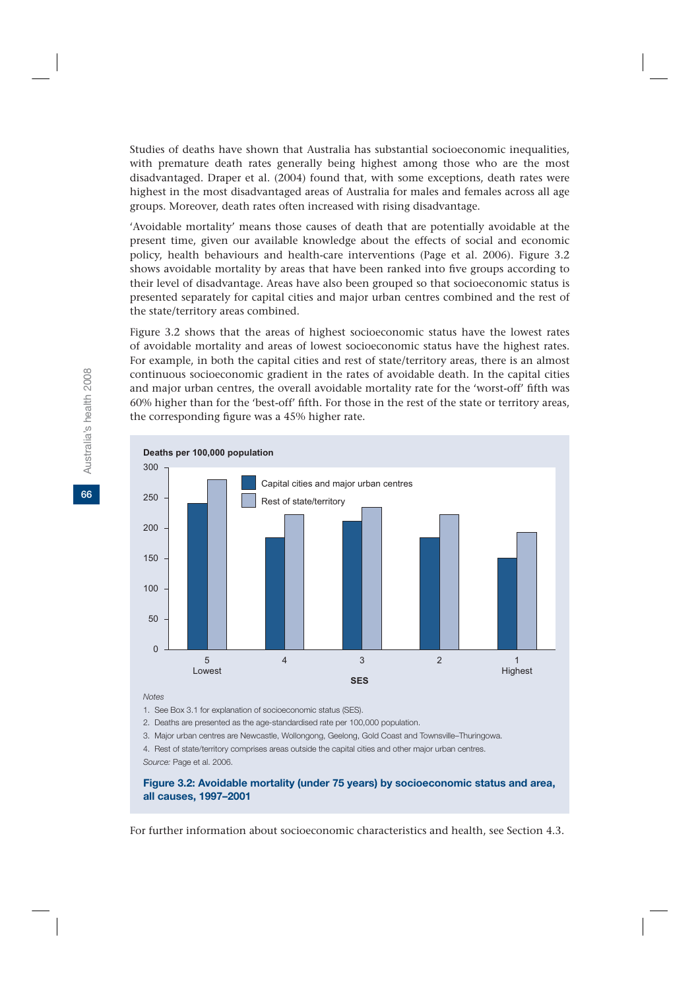Studies of deaths have shown that Australia has substantial socioeconomic inequalities, with premature death rates generally being highest among those who are the most disadvantaged. Draper et al. (2004) found that, with some exceptions, death rates were highest in the most disadvantaged areas of Australia for males and females across all age groups. Moreover, death rates often increased with rising disadvantage.

'Avoidable mortality' means those causes of death that are potentially avoidable at the present time, given our available knowledge about the effects of social and economic policy, health behaviours and health-care interventions (Page et al. 2006). Figure 3.2 shows avoidable mortality by areas that have been ranked into five groups according to their level of disadvantage. Areas have also been grouped so that socioeconomic status is presented separately for capital cities and major urban centres combined and the rest of the state/territory areas combined.

Figure 3.2 shows that the areas of highest socioeconomic status have the lowest rates of avoidable mortality and areas of lowest socioeconomic status have the highest rates. For example, in both the capital cities and rest of state/territory areas, there is an almost continuous socioeconomic gradient in the rates of avoidable death. In the capital cities and major urban centres, the overall avoidable mortality rate for the 'worst-off' fifth was 60% higher than for the 'best-off' fifth. For those in the rest of the state or territory areas, the corresponding figure was a 45% higher rate.



*Notes*

1. See Box 3.1 for explanation of socioeconomic status (SES).

2. Deaths are presented as the age-standardised rate per 100,000 population.

3. Major urban centres are Newcastle, Wollongong, Geelong, Gold Coast and Townsville–Thuringowa.

4. Rest of state/territory comprises areas outside the capital cities and other major urban centres. *Source:* Page et al. 2006.

#### **Figure 3.2: Avoidable mortality (under 75 years) by socioeconomic status and area, all causes, 1997–2001**

For further information about socioeconomic characteristics and health, see Section 4.3.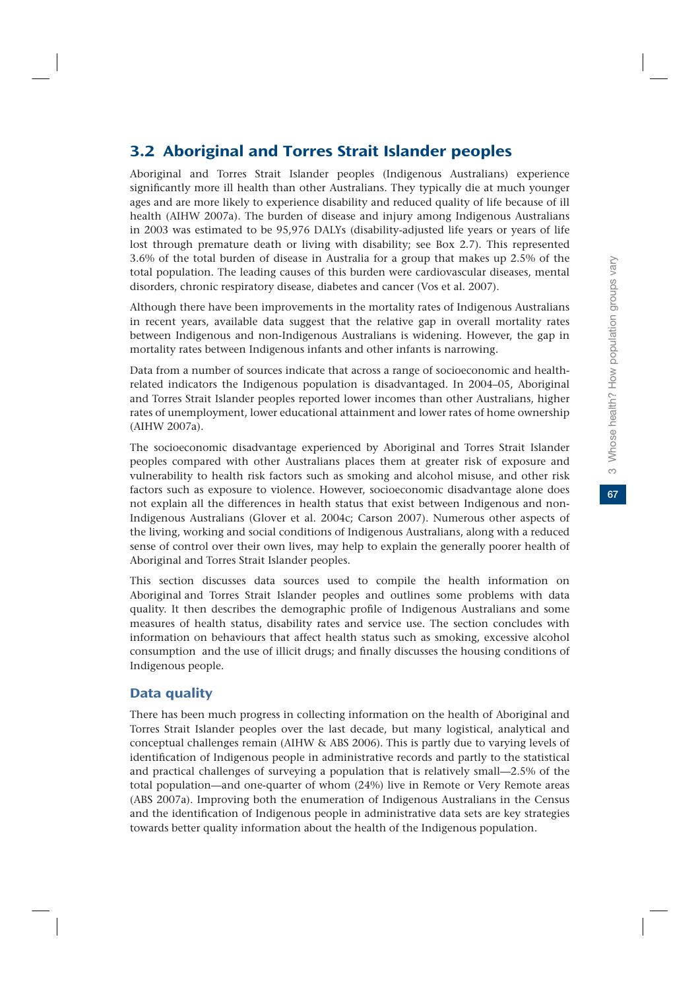# 3.2 Aboriginal and Torres Strait Islander peoples

Aboriginal and Torres Strait Islander peoples (Indigenous Australians) experience significantly more ill health than other Australians. They typically die at much younger ages and are more likely to experience disability and reduced quality of life because of ill health (AIHW 2007a). The burden of disease and injury among Indigenous Australians in 2003 was estimated to be 95,976 DALYs (disability-adjusted life years or years of life lost through premature death or living with disability; see Box 2.7). This represented 3.6% of the total burden of disease in Australia for a group that makes up 2.5% of the total population. The leading causes of this burden were cardiovascular diseases, mental disorders, chronic respiratory disease, diabetes and cancer (Vos et al. 2007).

Although there have been improvements in the mortality rates of Indigenous Australians in recent years, available data suggest that the relative gap in overall mortality rates between Indigenous and non-Indigenous Australians is widening. However, the gap in mortality rates between Indigenous infants and other infants is narrowing.

Data from a number of sources indicate that across a range of socioeconomic and healthrelated indicators the Indigenous population is disadvantaged. In 2004–05, Aboriginal and Torres Strait Islander peoples reported lower incomes than other Australians, higher rates of unemployment, lower educational attainment and lower rates of home ownership (AIHW 2007a).

The socioeconomic disadvantage experienced by Aboriginal and Torres Strait Islander peoples compared with other Australians places them at greater risk of exposure and vulnerability to health risk factors such as smoking and alcohol misuse, and other risk factors such as exposure to violence. However, socioeconomic disadvantage alone does not explain all the differences in health status that exist between Indigenous and non-Indigenous Australians (Glover et al. 2004c; Carson 2007). Numerous other aspects of the living, working and social conditions of Indigenous Australians, along with a reduced sense of control over their own lives, may help to explain the generally poorer health of Aboriginal and Torres Strait Islander peoples.

This section discusses data sources used to compile the health information on Aboriginal and Torres Strait Islander peoples and outlines some problems with data quality. It then describes the demographic profile of Indigenous Australians and some measures of health status, disability rates and service use. The section concludes with information on behaviours that affect health status such as smoking, excessive alcohol consumption and the use of illicit drugs; and finally discusses the housing conditions of Indigenous people.

# Data quality

There has been much progress in collecting information on the health of Aboriginal and Torres Strait Islander peoples over the last decade, but many logistical, analytical and conceptual challenges remain (AIHW & ABS 2006). This is partly due to varying levels of identification of Indigenous people in administrative records and partly to the statistical and practical challenges of surveying a population that is relatively small—2.5% of the total population—and one-quarter of whom (24%) live in Remote or Very Remote areas (ABS 2007a). Improving both the enumeration of Indigenous Australians in the Census and the identification of Indigenous people in administrative data sets are key strategies towards better quality information about the health of the Indigenous population.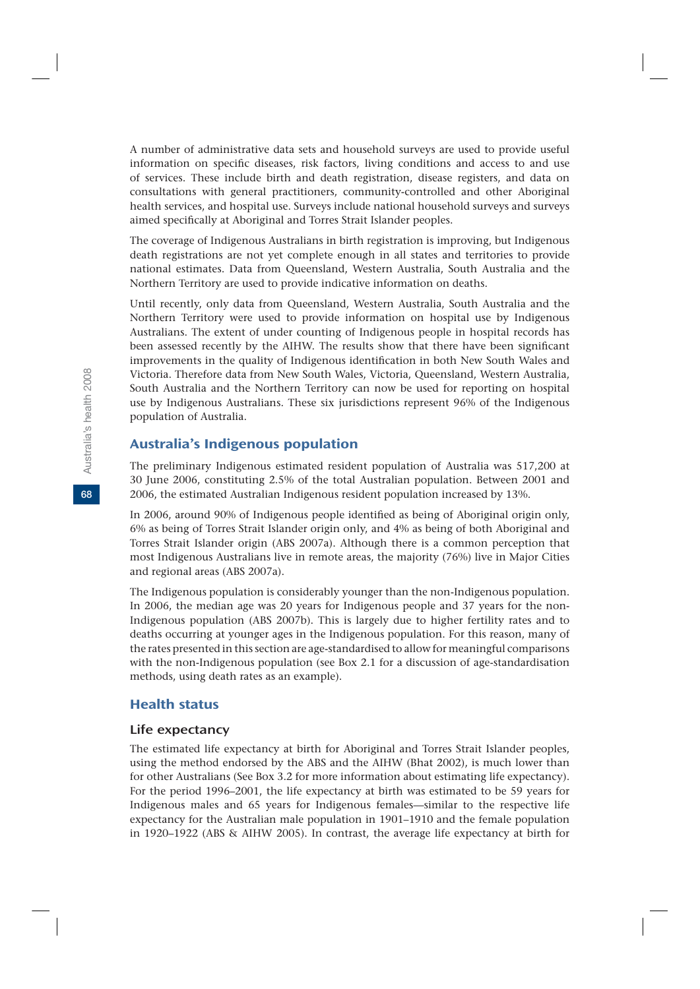A number of administrative data sets and household surveys are used to provide useful information on specific diseases, risk factors, living conditions and access to and use of services. These include birth and death registration, disease registers, and data on consultations with general practitioners, community-controlled and other Aboriginal health services, and hospital use. Surveys include national household surveys and surveys aimed specifically at Aboriginal and Torres Strait Islander peoples.

The coverage of Indigenous Australians in birth registration is improving, but Indigenous death registrations are not yet complete enough in all states and territories to provide national estimates. Data from Queensland, Western Australia, South Australia and the Northern Territory are used to provide indicative information on deaths.

Until recently, only data from Queensland, Western Australia, South Australia and the Northern Territory were used to provide information on hospital use by Indigenous Australians. The extent of under counting of Indigenous people in hospital records has been assessed recently by the AIHW. The results show that there have been significant improvements in the quality of Indigenous identification in both New South Wales and Victoria. Therefore data from New South Wales, Victoria, Queensland, Western Australia, South Australia and the Northern Territory can now be used for reporting on hospital use by Indigenous Australians. These six jurisdictions represent 96% of the Indigenous population of Australia.

# Australia's Indigenous population

The preliminary Indigenous estimated resident population of Australia was 517,200 at 30 June 2006, constituting 2.5% of the total Australian population. Between 2001 and 2006, the estimated Australian Indigenous resident population increased by 13%.

In 2006, around 90% of Indigenous people identified as being of Aboriginal origin only, 6% as being of Torres Strait Islander origin only, and 4% as being of both Aboriginal and Torres Strait Islander origin (ABS 2007a). Although there is a common perception that most Indigenous Australians live in remote areas, the majority (76%) live in Major Cities and regional areas (ABS 2007a).

The Indigenous population is considerably younger than the non-Indigenous population. In 2006, the median age was 20 years for Indigenous people and 37 years for the non-Indigenous population (ABS 2007b). This is largely due to higher fertility rates and to deaths occurring at younger ages in the Indigenous population. For this reason, many of the rates presented in this section are age-standardised to allow for meaningful comparisons with the non-Indigenous population (see Box 2.1 for a discussion of age-standardisation methods, using death rates as an example).

# Health status

#### Life expectancy

The estimated life expectancy at birth for Aboriginal and Torres Strait Islander peoples, using the method endorsed by the ABS and the AIHW (Bhat 2002), is much lower than for other Australians (See Box 3.2 for more information about estimating life expectancy). For the period 1996–2001, the life expectancy at birth was estimated to be 59 years for Indigenous males and 65 years for Indigenous females—similar to the respective life expectancy for the Australian male population in 1901–1910 and the female population in 1920–1922 (ABS & AIHW 2005). In contrast, the average life expectancy at birth for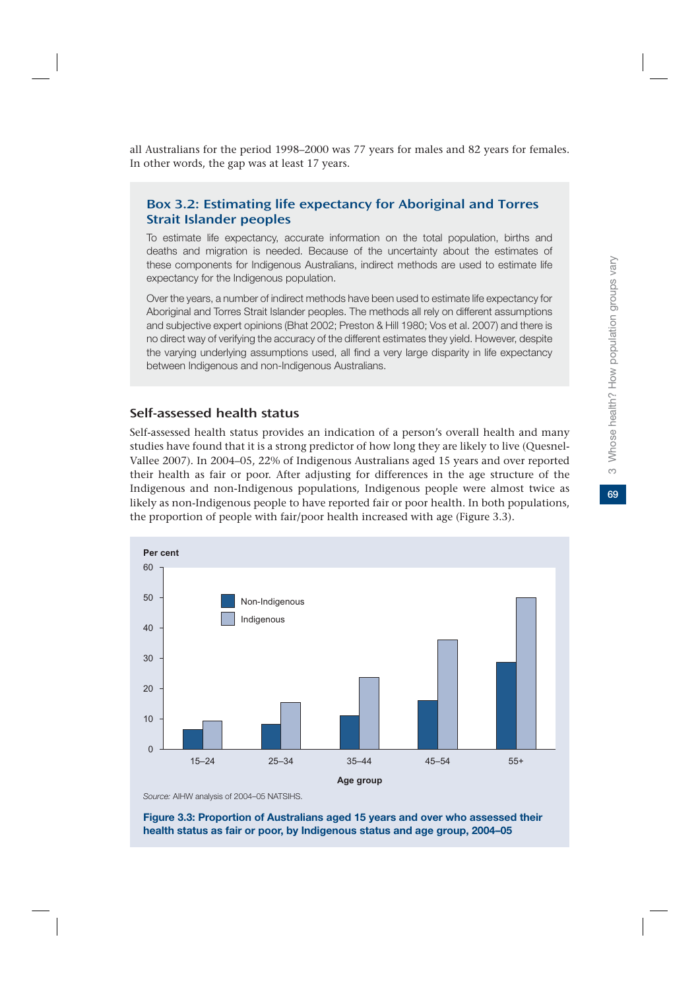all Australians for the period 1998–2000 was 77 years for males and 82 years for females. In other words, the gap was at least 17 years.

# Box 3.2: Estimating life expectancy for Aboriginal and Torres Strait Islander peoples

To estimate life expectancy, accurate information on the total population, births and deaths and migration is needed. Because of the uncertainty about the estimates of these components for Indigenous Australians, indirect methods are used to estimate life expectancy for the Indigenous population.

Over the years, a number of indirect methods have been used to estimate life expectancy for Aboriginal and Torres Strait Islander peoples. The methods all rely on different assumptions and subjective expert opinions (Bhat 2002; Preston & Hill 1980; Vos et al. 2007) and there is no direct way of verifying the accuracy of the different estimates they yield. However, despite the varying underlying assumptions used, all find a very large disparity in life expectancy between Indigenous and non-Indigenous Australians.

# Self-assessed health status

Self-assessed health status provides an indication of a person's overall health and many studies have found that it is a strong predictor of how long they are likely to live (Quesnel-Vallee 2007). In 2004–05, 22% of Indigenous Australians aged 15 years and over reported their health as fair or poor. After adjusting for differences in the age structure of the Indigenous and non-Indigenous populations, Indigenous people were almost twice as likely as non-Indigenous people to have reported fair or poor health. In both populations, the proportion of people with fair/poor health increased with age (Figure 3.3).



*Source:* AIHW analysis of 2004–05 NATSIHS.

**Figure 3.3: Proportion of Australians aged 15 years and over who assessed their health status as fair or poor, by Indigenous status and age group, 2004–05**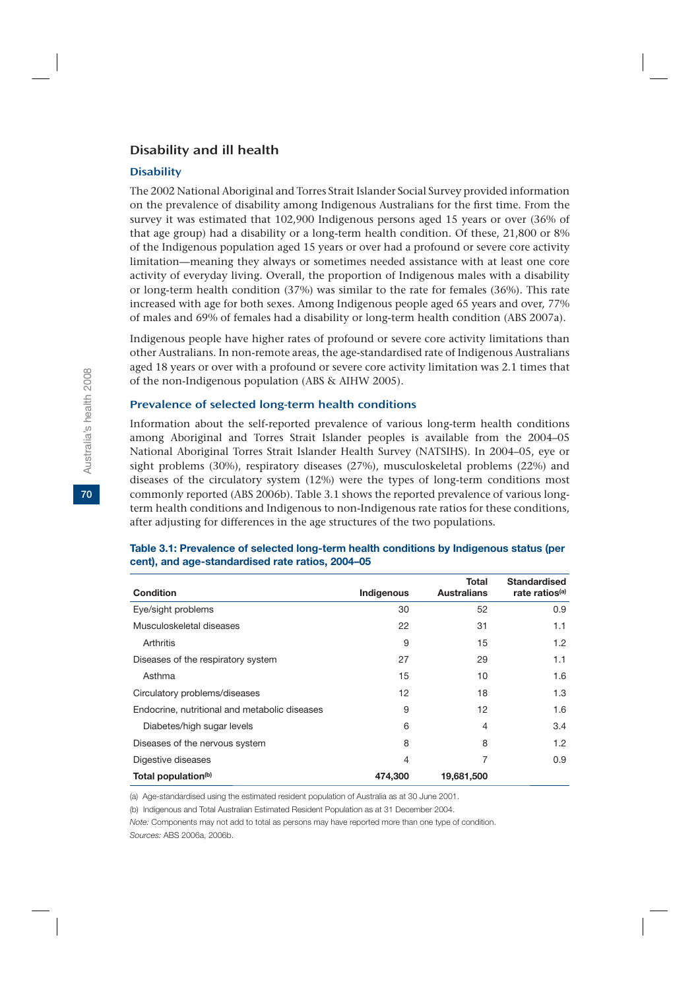# Disability and ill health

#### **Disability**

The 2002 National Aboriginal and Torres Strait Islander Social Survey provided information on the prevalence of disability among Indigenous Australians for the first time. From the survey it was estimated that 102,900 Indigenous persons aged 15 years or over (36% of that age group) had a disability or a long-term health condition. Of these, 21,800 or 8% of the Indigenous population aged 15 years or over had a profound or severe core activity limitation—meaning they always or sometimes needed assistance with at least one core activity of everyday living. Overall, the proportion of Indigenous males with a disability or long-term health condition (37%) was similar to the rate for females (36%). This rate increased with age for both sexes. Among Indigenous people aged 65 years and over, 77% of males and 69% of females had a disability or long-term health condition (ABS 2007a).

Indigenous people have higher rates of profound or severe core activity limitations than other Australians. In non-remote areas, the age-standardised rate of Indigenous Australians aged 18 years or over with a profound or severe core activity limitation was 2.1 times that of the non-Indigenous population (ABS & AIHW 2005).

#### Prevalence of selected long-term health conditions

Information about the self-reported prevalence of various long-term health conditions among Aboriginal and Torres Strait Islander peoples is available from the 2004–05 National Aboriginal Torres Strait Islander Health Survey (NATSIHS). In 2004–05, eye or sight problems (30%), respiratory diseases (27%), musculoskeletal problems (22%) and diseases of the circulatory system (12%) were the types of long-term conditions most commonly reported (ABS 2006b). Table 3.1 shows the reported prevalence of various longterm health conditions and Indigenous to non-Indigenous rate ratios for these conditions, after adjusting for differences in the age structures of the two populations.

| <b>Condition</b>                              | Indigenous | Total<br><b>Australians</b> | <b>Standardised</b><br>rate ratios <sup>(a)</sup> |
|-----------------------------------------------|------------|-----------------------------|---------------------------------------------------|
| Eye/sight problems                            | 30         | 52                          | 0.9                                               |
| Musculoskeletal diseases                      | 22         | 31                          | 1.1                                               |
| Arthritis                                     | 9          | 15                          | 1.2                                               |
| Diseases of the respiratory system            | 27         | 29                          | 1.1                                               |
| Asthma                                        | 15         | 10                          | 1.6                                               |
| Circulatory problems/diseases                 | 12         | 18                          | 1.3                                               |
| Endocrine, nutritional and metabolic diseases | 9          | 12                          | 1.6                                               |
| Diabetes/high sugar levels                    | 6          | 4                           | 3.4                                               |
| Diseases of the nervous system                | 8          | 8                           | 1.2                                               |
| Digestive diseases                            | 4          | 7                           | 0.9                                               |
| Total population <sup>(b)</sup>               | 474,300    | 19,681,500                  |                                                   |

#### **Table 3.1: Prevalence of selected long-term health conditions by Indigenous status (per cent), and age-standardised rate ratios, 2004–05**

(a) Age-standardised using the estimated resident population of Australia as at 30 June 2001.

(b) Indigenous and Total Australian Estimated Resident Population as at 31 December 2004.

*Note:* Components may not add to total as persons may have reported more than one type of condition. *Sources:* ABS 2006a, 2006b.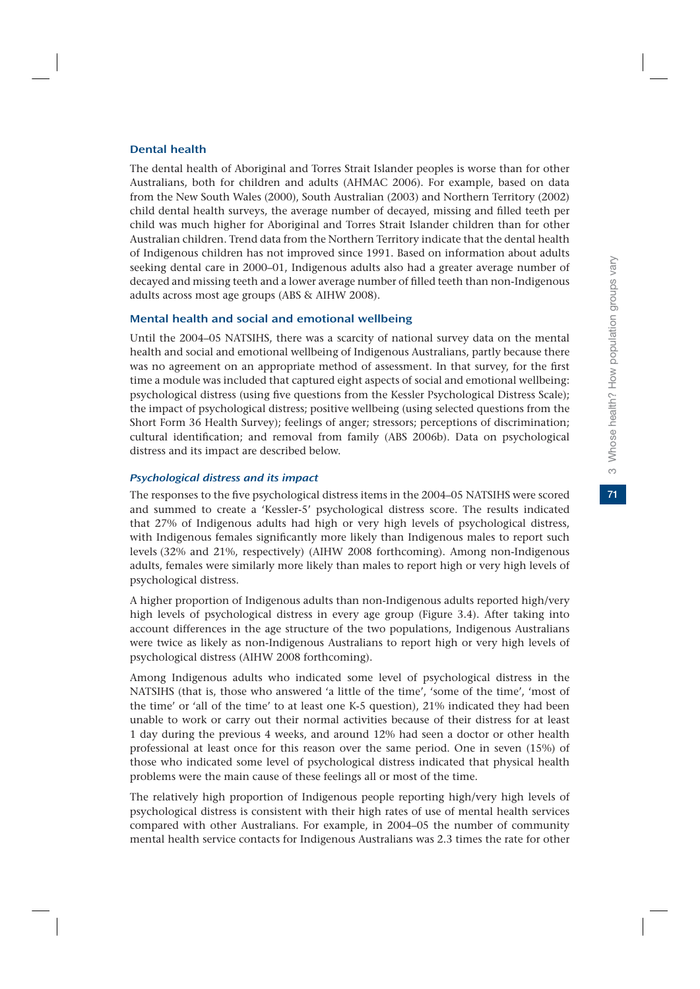#### Dental health

The dental health of Aboriginal and Torres Strait Islander peoples is worse than for other Australians, both for children and adults (AHMAC 2006). For example, based on data from the New South Wales (2000), South Australian (2003) and Northern Territory (2002) child dental health surveys, the average number of decayed, missing and filled teeth per child was much higher for Aboriginal and Torres Strait Islander children than for other Australian children. Trend data from the Northern Territory indicate that the dental health of Indigenous children has not improved since 1991. Based on information about adults seeking dental care in 2000–01, Indigenous adults also had a greater average number of decayed and missing teeth and a lower average number of filled teeth than non-Indigenous adults across most age groups (ABS & AIHW 2008).

#### Mental health and social and emotional wellbeing

Until the 2004–05 NATSIHS, there was a scarcity of national survey data on the mental health and social and emotional wellbeing of Indigenous Australians, partly because there was no agreement on an appropriate method of assessment. In that survey, for the first time a module was included that captured eight aspects of social and emotional wellbeing: psychological distress (using five questions from the Kessler Psychological Distress Scale); the impact of psychological distress; positive wellbeing (using selected questions from the Short Form 36 Health Survey); feelings of anger; stressors; perceptions of discrimination; cultural identification; and removal from family (ABS 2006b). Data on psychological distress and its impact are described below.

#### Psychological distress and its impact

The responses to the five psychological distress items in the 2004–05 NATSIHS were scored and summed to create a 'Kessler-5' psychological distress score. The results indicated that 27% of Indigenous adults had high or very high levels of psychological distress, with Indigenous females significantly more likely than Indigenous males to report such levels (32% and 21%, respectively) (AIHW 2008 forthcoming). Among non-Indigenous adults, females were similarly more likely than males to report high or very high levels of psychological distress.

A higher proportion of Indigenous adults than non-Indigenous adults reported high/very high levels of psychological distress in every age group (Figure 3.4). After taking into account differences in the age structure of the two populations, Indigenous Australians were twice as likely as non-Indigenous Australians to report high or very high levels of psychological distress (AIHW 2008 forthcoming).

Among Indigenous adults who indicated some level of psychological distress in the NATSIHS (that is, those who answered 'a little of the time', 'some of the time', 'most of the time' or 'all of the time' to at least one K-5 question), 21% indicated they had been unable to work or carry out their normal activities because of their distress for at least 1 day during the previous 4 weeks, and around 12% had seen a doctor or other health professional at least once for this reason over the same period. One in seven (15%) of those who indicated some level of psychological distress indicated that physical health problems were the main cause of these feelings all or most of the time.

The relatively high proportion of Indigenous people reporting high/very high levels of psychological distress is consistent with their high rates of use of mental health services compared with other Australians. For example, in 2004–05 the number of community mental health service contacts for Indigenous Australians was 2.3 times the rate for other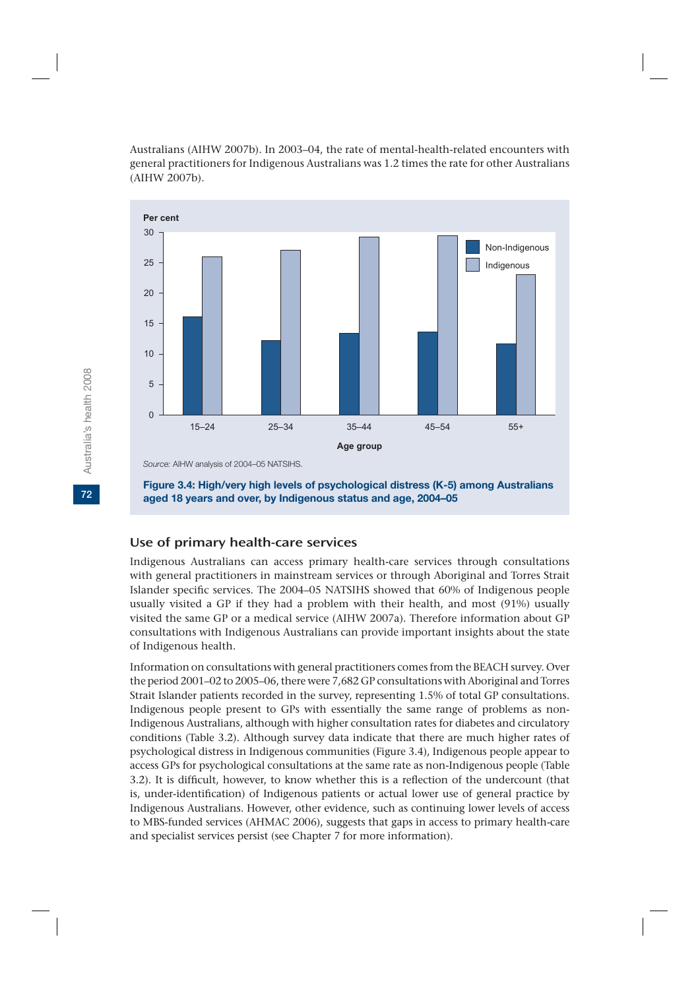Australians (AIHW 2007b). In 2003–04, the rate of mental-health-related encounters with general practitioners for Indigenous Australians was 1.2 times the rate for other Australians (AIHW 2007b).



**Figure 3.4: High/very high levels of psychological distress (K-5) among Australians aged 18 years and over, by Indigenous status and age, 2004–05**

#### Use of primary health-care services

Indigenous Australians can access primary health-care services through consultations with general practitioners in mainstream services or through Aboriginal and Torres Strait Islander specific services. The 2004–05 NATSIHS showed that 60% of Indigenous people usually visited a GP if they had a problem with their health, and most (91%) usually visited the same GP or a medical service (AIHW 2007a). Therefore information about GP consultations with Indigenous Australians can provide important insights about the state of Indigenous health.

Information on consultations with general practitioners comes from the BEACH survey. Over the period 2001–02 to 2005–06, there were 7,682 GP consultations with Aboriginal and Torres Strait Islander patients recorded in the survey, representing 1.5% of total GP consultations. Indigenous people present to GPs with essentially the same range of problems as non-Indigenous Australians, although with higher consultation rates for diabetes and circulatory conditions (Table 3.2). Although survey data indicate that there are much higher rates of psychological distress in Indigenous communities (Figure 3.4), Indigenous people appear to access GPs for psychological consultations at the same rate as non-Indigenous people (Table 3.2). It is difficult, however, to know whether this is a reflection of the undercount (that is, under-identification) of Indigenous patients or actual lower use of general practice by Indigenous Australians. However, other evidence, such as continuing lower levels of access to MBS-funded services (AHMAC 2006), suggests that gaps in access to primary health-care and specialist services persist (see Chapter 7 for more information).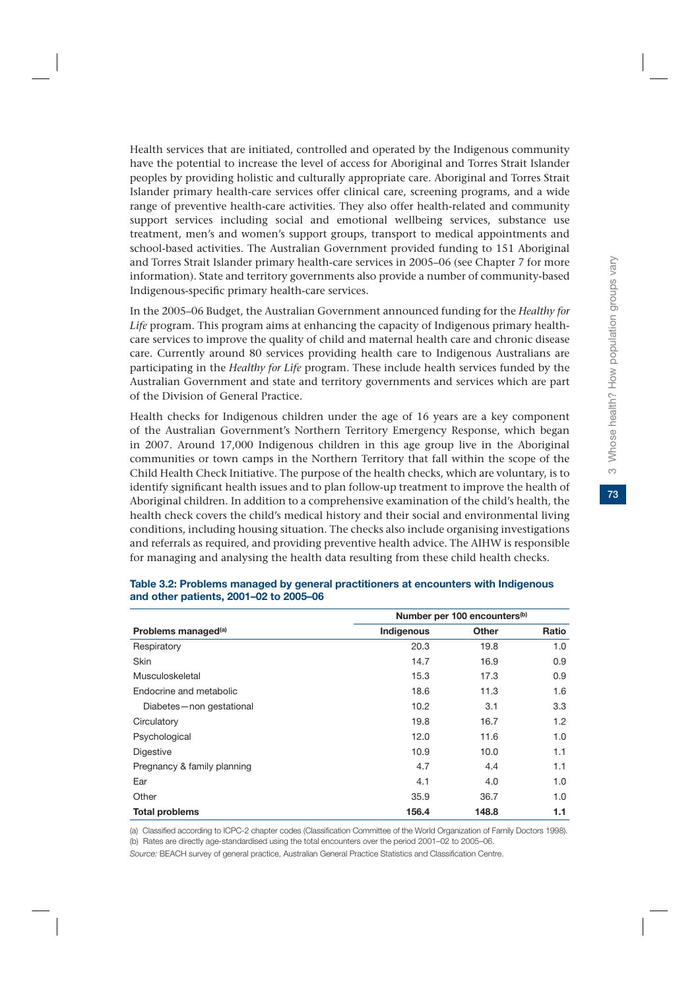73

Health services that are initiated, controlled and operated by the Indigenous community have the potential to increase the level of access for Aboriginal and Torres Strait Islander peoples by providing holistic and culturally appropriate care. Aboriginal and Torres Strait Islander primary health-care services offer clinical care, screening programs, and a wide range of preventive health-care activities. They also offer health-related and community support services including social and emotional wellbeing services, substance use treatment, men's and women's support groups, transport to medical appointments and school-based activities. The Australian Government provided funding to 151 Aboriginal and Torres Strait Islander primary health-care services in 2005–06 (see Chapter 7 for more information). State and territory governments also provide a number of community-based Indigenous-specific primary health-care services.

In the 2005–06 Budget, the Australian Government announced funding for the *Healthy for Life* program. This program aims at enhancing the capacity of Indigenous primary healthcare services to improve the quality of child and maternal health care and chronic disease care. Currently around 80 services providing health care to Indigenous Australians are participating in the *Healthy for Life* program. These include health services funded by the Australian Government and state and territory governments and services which are part of the Division of General Practice.

Health checks for Indigenous children under the age of 16 years are a key component of the Australian Government's Northern Territory Emergency Response, which began in 2007. Around 17,000 Indigenous children in this age group live in the Aboriginal communities or town camps in the Northern Territory that fall within the scope of the Child Health Check Initiative. The purpose of the health checks, which are voluntary, is to identify significant health issues and to plan follow-up treatment to improve the health of Aboriginal children. In addition to a comprehensive examination of the child's health, the health check covers the child's medical history and their social and environmental living conditions, including housing situation. The checks also include organising investigations and referrals as required, and providing preventive health advice. The AIHW is responsible for managing and analysing the health data resulting from these child health checks.

|                                 | Number per 100 encounters <sup>(b)</sup> |       |       |  |  |
|---------------------------------|------------------------------------------|-------|-------|--|--|
| Problems managed <sup>(a)</sup> | Indigenous                               | Other | Ratio |  |  |
| Respiratory                     | 20.3                                     | 19.8  | 1.0   |  |  |
| <b>Skin</b>                     | 14.7                                     | 16.9  | 0.9   |  |  |
| Musculoskeletal                 | 15.3                                     | 17.3  | 0.9   |  |  |
| Endocrine and metabolic         | 18.6                                     | 11.3  | 1.6   |  |  |
| Diabetes-non gestational        | 10.2                                     | 3.1   | 3.3   |  |  |
| Circulatory                     | 19.8                                     | 16.7  | 1.2   |  |  |
| Psychological                   | 12.0                                     | 11.6  | 1.0   |  |  |
| Digestive                       | 10.9                                     | 10.0  | 1.1   |  |  |
| Pregnancy & family planning     | 4.7                                      | 4.4   | 1.1   |  |  |
| Ear                             | 4.1                                      | 4.0   | 1.0   |  |  |
| Other                           | 35.9                                     | 36.7  | 1.0   |  |  |
| <b>Total problems</b>           | 156.4                                    | 148.8 | 1.1   |  |  |

#### **Table 3.2: Problems managed by general practitioners at encounters with Indigenous and other patients, 2001–02 to 2005–06**

(a) Classified according to ICPC-2 chapter codes (Classification Committee of the World Organization of Family Doctors 1998). (b) Rates are directly age-standardised using the total encounters over the period 2001–02 to 2005–06.

*Source:* BEACH survey of general practice, Australian General Practice Statistics and Classification Centre.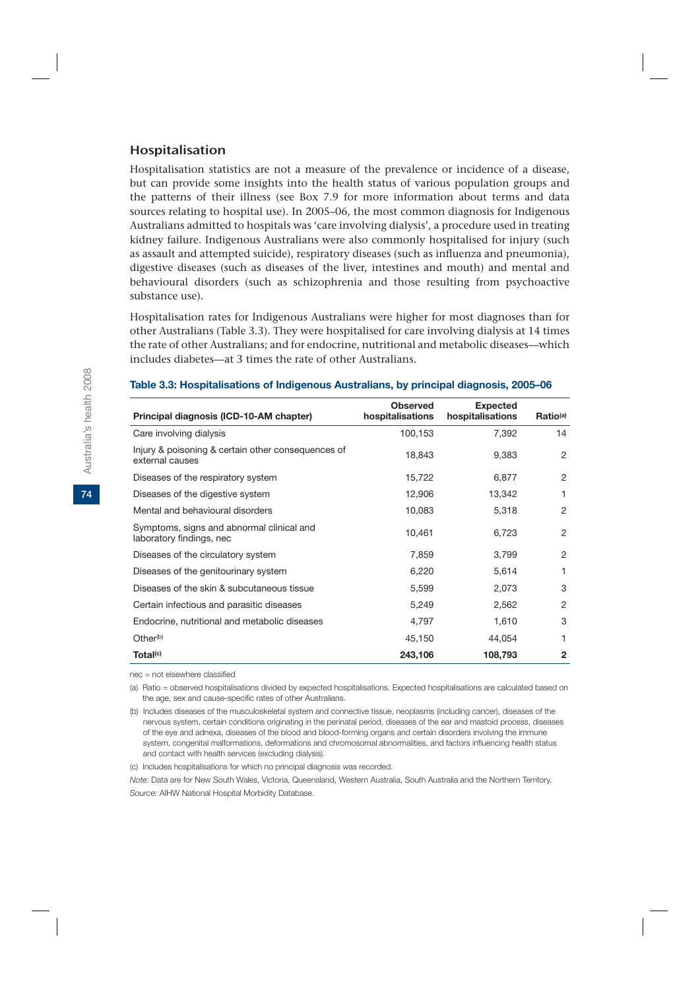# Hospitalisation

Hospitalisation statistics are not a measure of the prevalence or incidence of a disease, but can provide some insights into the health status of various population groups and the patterns of their illness (see Box 7.9 for more information about terms and data sources relating to hospital use). In 2005–06, the most common diagnosis for Indigenous Australians admitted to hospitals was 'care involving dialysis', a procedure used in treating kidney failure. Indigenous Australians were also commonly hospitalised for injury (such as assault and attempted suicide), respiratory diseases (such as influenza and pneumonia), digestive diseases (such as diseases of the liver, intestines and mouth) and mental and behavioural disorders (such as schizophrenia and those resulting from psychoactive substance use).

Hospitalisation rates for Indigenous Australians were higher for most diagnoses than for other Australians (Table 3.3). They were hospitalised for care involving dialysis at 14 times the rate of other Australians; and for endocrine, nutritional and metabolic diseases—which includes diabetes—at 3 times the rate of other Australians.

|                                                                       | <b>Observed</b>  | <b>Expected</b>  |                      |
|-----------------------------------------------------------------------|------------------|------------------|----------------------|
| Principal diagnosis (ICD-10-AM chapter)                               | hospitalisations | hospitalisations | Ratio <sup>(a)</sup> |
| Care involving dialysis                                               | 100,153          | 7,392            | 14                   |
| Injury & poisoning & certain other consequences of<br>external causes | 18,843           | 9,383            | 2                    |
| Diseases of the respiratory system                                    | 15,722           | 6,877            | 2                    |
| Diseases of the digestive system                                      | 12,906           | 13,342           | 1                    |
| Mental and behavioural disorders                                      | 10,083           | 5,318            | 2                    |
| Symptoms, signs and abnormal clinical and<br>laboratory findings, nec | 10,461           | 6,723            | $\overline{2}$       |
| Diseases of the circulatory system                                    | 7,859            | 3,799            | $\overline{2}$       |
| Diseases of the genitourinary system                                  | 6,220            | 5,614            | 1                    |
| Diseases of the skin & subcutaneous tissue                            | 5,599            | 2,073            | 3                    |
| Certain infectious and parasitic diseases                             | 5,249            | 2,562            | $\overline{2}$       |
| Endocrine, nutritional and metabolic diseases                         | 4,797            | 1,610            | 3                    |
| Other <sup>(b)</sup>                                                  | 45,150           | 44,054           | 1                    |
| Total <sup>(c)</sup>                                                  | 243,106          | 108,793          | $\mathbf{2}$         |

#### **Table 3.3: Hospitalisations of Indigenous Australians, by principal diagnosis, 2005–06**

nec = not elsewhere classified

(a) Ratio = observed hospitalisations divided by expected hospitalisations. Expected hospitalisations are calculated based on the age, sex and cause-specific rates of other Australians.

(b) Includes diseases of the musculoskeletal system and connective tissue, neoplasms (including cancer), diseases of the nervous system, certain conditions originating in the perinatal period, diseases of the ear and mastoid process, diseases of the eye and adnexa, diseases of the blood and blood-forming organs and certain disorders involving the immune system, congenital malformations, deformations and chromosomal abnormalities, and factors influencing health status and contact with health services (excluding dialysis).

(c) Includes hospitalisations for which no principal diagnosis was recorded.

*Note:* Data are for New South Wales, Victoria, Queensland, Western Australia, South Australia and the Northern Territory. *Source:* AIHW National Hospital Morbidity Database.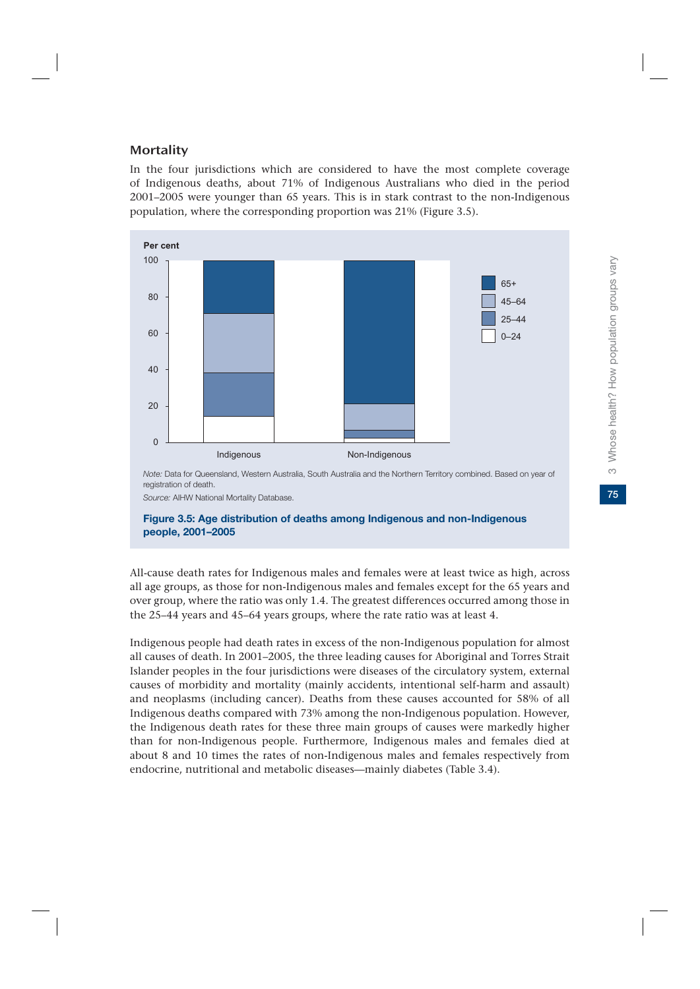# **Mortality**

In the four jurisdictions which are considered to have the most complete coverage of Indigenous deaths, about 71% of Indigenous Australians who died in the period 2001–2005 were younger than 65 years. This is in stark contrast to the non-Indigenous population, where the corresponding proportion was 21% (Figure 3.5).



*Source:* AIHW National Mortality Database.

#### **Figure 3.5: Age distribution of deaths among Indigenous and non-Indigenous people, 2001–2005**

All-cause death rates for Indigenous males and females were at least twice as high, across all age groups, as those for non-Indigenous males and females except for the 65 years and over group, where the ratio was only 1.4. The greatest differences occurred among those in the 25–44 years and 45–64 years groups, where the rate ratio was at least 4.

Indigenous people had death rates in excess of the non-Indigenous population for almost all causes of death. In 2001–2005, the three leading causes for Aboriginal and Torres Strait Islander peoples in the four jurisdictions were diseases of the circulatory system, external causes of morbidity and mortality (mainly accidents, intentional self-harm and assault) and neoplasms (including cancer). Deaths from these causes accounted for 58% of all Indigenous deaths compared with 73% among the non-Indigenous population. However, the Indigenous death rates for these three main groups of causes were markedly higher than for non-Indigenous people. Furthermore, Indigenous males and females died at about 8 and 10 times the rates of non-Indigenous males and females respectively from endocrine, nutritional and metabolic diseases—mainly diabetes (Table 3.4).

75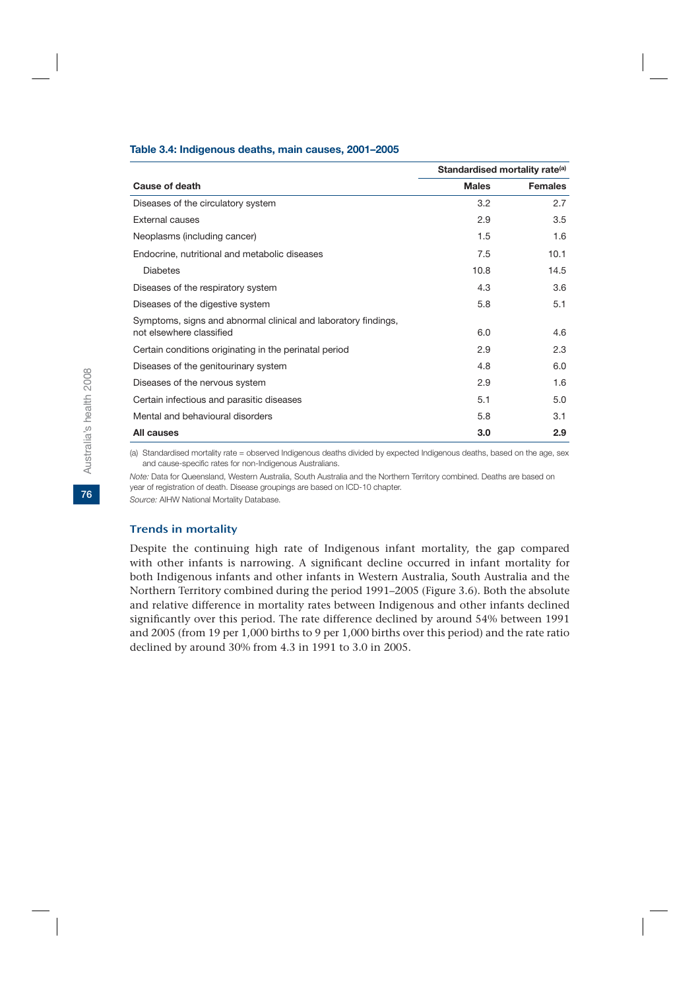#### **Table 3.4: Indigenous deaths, main causes, 2001–2005**

|                                                                                            | Standardised mortality rate <sup>(a)</sup> |                |
|--------------------------------------------------------------------------------------------|--------------------------------------------|----------------|
| Cause of death                                                                             | <b>Males</b>                               | <b>Females</b> |
| Diseases of the circulatory system                                                         | 3.2                                        | 2.7            |
| External causes                                                                            | 2.9                                        | 3.5            |
| Neoplasms (including cancer)                                                               | 1.5                                        | 1.6            |
| Endocrine, nutritional and metabolic diseases                                              | 7.5                                        | 10.1           |
| <b>Diabetes</b>                                                                            | 10.8                                       | 14.5           |
| Diseases of the respiratory system                                                         | 4.3                                        | 3.6            |
| Diseases of the digestive system                                                           | 5.8                                        | 5.1            |
| Symptoms, signs and abnormal clinical and laboratory findings,<br>not elsewhere classified | 6.0                                        | 4.6            |
| Certain conditions originating in the perinatal period                                     | 2.9                                        | 2.3            |
|                                                                                            |                                            |                |
| Diseases of the genitourinary system                                                       | 4.8                                        | 6.0            |
| Diseases of the nervous system                                                             | 2.9                                        | 1.6            |
| Certain infectious and parasitic diseases                                                  | 5.1                                        | 5.0            |
| Mental and behavioural disorders                                                           | 5.8                                        | 3.1            |
| All causes                                                                                 | 3.0                                        | 2.9            |

(a) Standardised mortality rate = observed Indigenous deaths divided by expected Indigenous deaths, based on the age, sex and cause-specific rates for non-Indigenous Australians.

*Note:* Data for Queensland, Western Australia, South Australia and the Northern Territory combined. Deaths are based on year of registration of death. Disease groupings are based on ICD-10 chapter.

*Source:* AIHW National Mortality Database.

#### Trends in mortality

Despite the continuing high rate of Indigenous infant mortality, the gap compared with other infants is narrowing. A significant decline occurred in infant mortality for both Indigenous infants and other infants in Western Australia, South Australia and the Northern Territory combined during the period 1991–2005 (Figure 3.6). Both the absolute and relative difference in mortality rates between Indigenous and other infants declined significantly over this period. The rate difference declined by around 54% between 1991 and 2005 (from 19 per 1,000 births to 9 per 1,000 births over this period) and the rate ratio declined by around 30% from 4.3 in 1991 to 3.0 in 2005.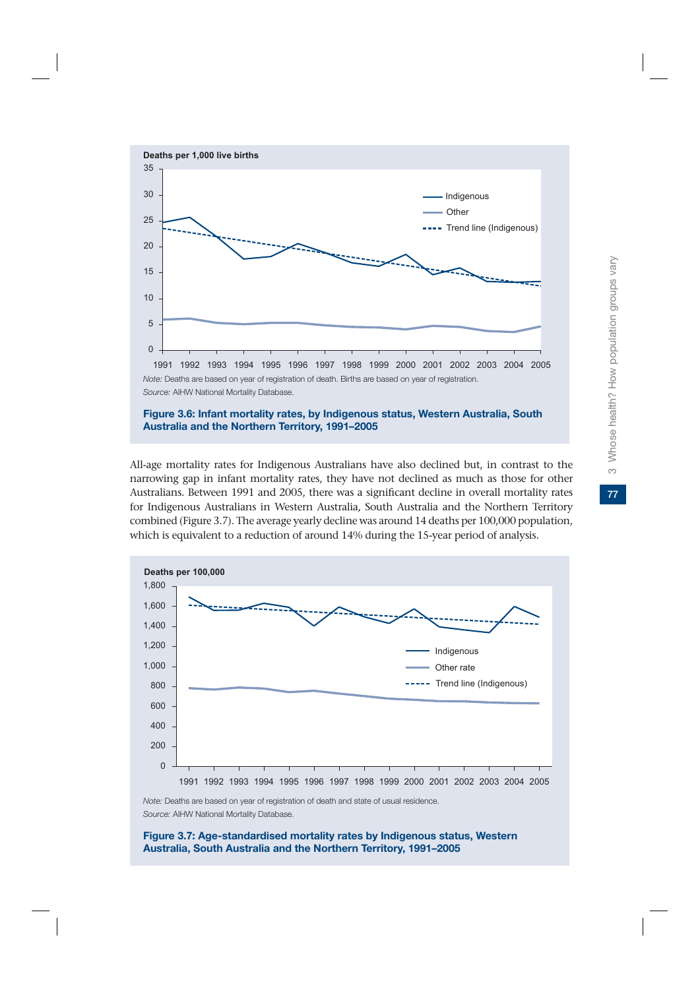

**Australia and the Northern Territory, 1991–2005**

All-age mortality rates for Indigenous Australians have also declined but, in contrast to the narrowing gap in infant mortality rates, they have not declined as much as those for other Australians. Between 1991 and 2005, there was a significant decline in overall mortality rates for Indigenous Australians in Western Australia, South Australia and the Northern Territory combined (Figure 3.7). The average yearly decline was around 14 deaths per 100,000 population, which is equivalent to a reduction of around 14% during the 15-year period of analysis.



*Note:* Deaths are based on year of registration of death and state of usual residence. *Source:* AIHW National Mortality Database.

**Figure 3.7: Age-standardised mortality rates by Indigenous status, Western Australia, South Australia and the Northern Territory, 1991–2005**

77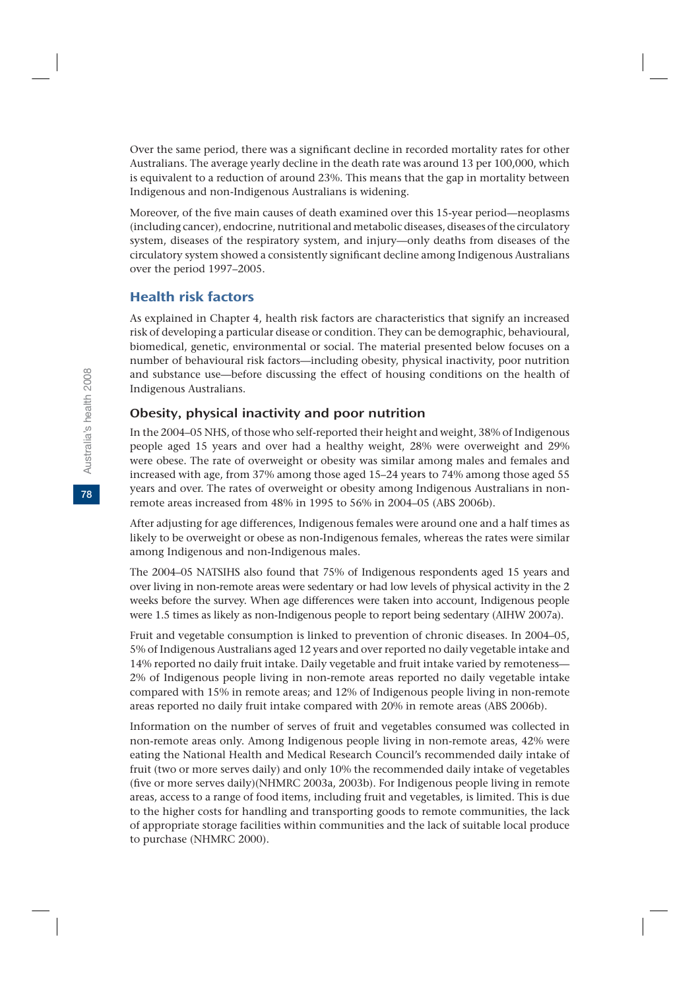Over the same period, there was a significant decline in recorded mortality rates for other Australians. The average yearly decline in the death rate was around 13 per 100,000, which is equivalent to a reduction of around 23%. This means that the gap in mortality between Indigenous and non-Indigenous Australians is widening.

Moreover, of the five main causes of death examined over this 15-year period—neoplasms (including cancer), endocrine, nutritional and metabolic diseases, diseases of the circulatory system, diseases of the respiratory system, and injury—only deaths from diseases of the circulatory system showed a consistently significant decline among Indigenous Australians over the period 1997–2005.

# Health risk factors

As explained in Chapter 4, health risk factors are characteristics that signify an increased risk of developing a particular disease or condition. They can be demographic, behavioural, biomedical, genetic, environmental or social. The material presented below focuses on a number of behavioural risk factors—including obesity, physical inactivity, poor nutrition and substance use—before discussing the effect of housing conditions on the health of Indigenous Australians.

# Obesity, physical inactivity and poor nutrition

In the 2004–05 NHS, of those who self-reported their height and weight, 38% of Indigenous people aged 15 years and over had a healthy weight, 28% were overweight and 29% were obese. The rate of overweight or obesity was similar among males and females and increased with age, from 37% among those aged 15–24 years to 74% among those aged 55 years and over. The rates of overweight or obesity among Indigenous Australians in nonremote areas increased from 48% in 1995 to 56% in 2004–05 (ABS 2006b).

After adjusting for age differences, Indigenous females were around one and a half times as likely to be overweight or obese as non-Indigenous females, whereas the rates were similar among Indigenous and non-Indigenous males.

The 2004–05 NATSIHS also found that 75% of Indigenous respondents aged 15 years and over living in non-remote areas were sedentary or had low levels of physical activity in the 2 weeks before the survey. When age differences were taken into account, Indigenous people were 1.5 times as likely as non-Indigenous people to report being sedentary (AIHW 2007a).

Fruit and vegetable consumption is linked to prevention of chronic diseases. In 2004–05, 5% of Indigenous Australians aged 12 years and over reported no daily vegetable intake and 14% reported no daily fruit intake. Daily vegetable and fruit intake varied by remoteness— 2% of Indigenous people living in non-remote areas reported no daily vegetable intake compared with 15% in remote areas; and 12% of Indigenous people living in non-remote areas reported no daily fruit intake compared with 20% in remote areas (ABS 2006b).

Information on the number of serves of fruit and vegetables consumed was collected in non-remote areas only. Among Indigenous people living in non-remote areas, 42% were eating the National Health and Medical Research Council's recommended daily intake of fruit (two or more serves daily) and only 10% the recommended daily intake of vegetables (five or more serves daily)(NHMRC 2003a, 2003b). For Indigenous people living in remote areas, access to a range of food items, including fruit and vegetables, is limited. This is due to the higher costs for handling and transporting goods to remote communities, the lack of appropriate storage facilities within communities and the lack of suitable local produce to purchase (NHMRC 2000).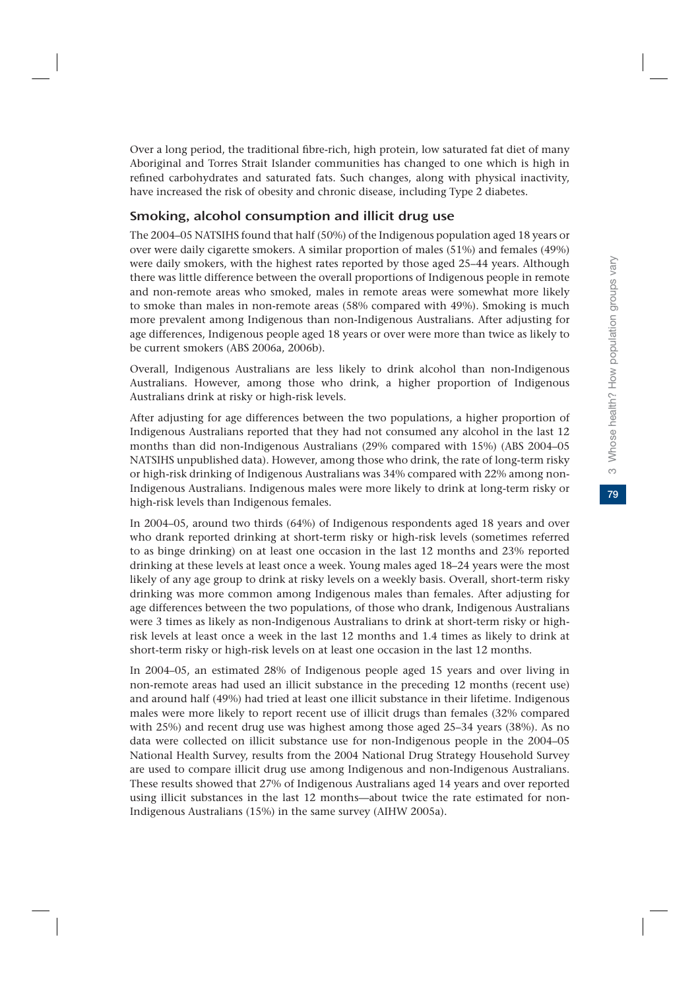Over a long period, the traditional fibre-rich, high protein, low saturated fat diet of many Aboriginal and Torres Strait Islander communities has changed to one which is high in refined carbohydrates and saturated fats. Such changes, along with physical inactivity, have increased the risk of obesity and chronic disease, including Type 2 diabetes.

# Smoking, alcohol consumption and illicit drug use

The 2004–05 NATSIHS found that half (50%) of the Indigenous population aged 18 years or over were daily cigarette smokers. A similar proportion of males (51%) and females (49%) were daily smokers, with the highest rates reported by those aged 25–44 years. Although there was little difference between the overall proportions of Indigenous people in remote and non-remote areas who smoked, males in remote areas were somewhat more likely to smoke than males in non-remote areas (58% compared with 49%). Smoking is much more prevalent among Indigenous than non-Indigenous Australians. After adjusting for age differences, Indigenous people aged 18 years or over were more than twice as likely to be current smokers (ABS 2006a, 2006b).

Overall, Indigenous Australians are less likely to drink alcohol than non-Indigenous Australians. However, among those who drink, a higher proportion of Indigenous Australians drink at risky or high-risk levels.

After adjusting for age differences between the two populations, a higher proportion of Indigenous Australians reported that they had not consumed any alcohol in the last 12 months than did non-Indigenous Australians (29% compared with 15%) (ABS 2004–05 NATSIHS unpublished data). However, among those who drink, the rate of long-term risky or high-risk drinking of Indigenous Australians was 34% compared with 22% among non-Indigenous Australians. Indigenous males were more likely to drink at long-term risky or high-risk levels than Indigenous females.

In 2004–05, around two thirds (64%) of Indigenous respondents aged 18 years and over who drank reported drinking at short-term risky or high-risk levels (sometimes referred to as binge drinking) on at least one occasion in the last 12 months and 23% reported drinking at these levels at least once a week. Young males aged 18–24 years were the most likely of any age group to drink at risky levels on a weekly basis. Overall, short-term risky drinking was more common among Indigenous males than females. After adjusting for age differences between the two populations, of those who drank, Indigenous Australians were 3 times as likely as non-Indigenous Australians to drink at short-term risky or highrisk levels at least once a week in the last 12 months and 1.4 times as likely to drink at short-term risky or high-risk levels on at least one occasion in the last 12 months.

In 2004–05, an estimated 28% of Indigenous people aged 15 years and over living in non-remote areas had used an illicit substance in the preceding 12 months (recent use) and around half (49%) had tried at least one illicit substance in their lifetime. Indigenous males were more likely to report recent use of illicit drugs than females (32% compared with 25%) and recent drug use was highest among those aged 25–34 years (38%). As no data were collected on illicit substance use for non-Indigenous people in the 2004–05 National Health Survey, results from the 2004 National Drug Strategy Household Survey are used to compare illicit drug use among Indigenous and non-Indigenous Australians. These results showed that 27% of Indigenous Australians aged 14 years and over reported using illicit substances in the last 12 months—about twice the rate estimated for non-Indigenous Australians (15%) in the same survey (AIHW 2005a).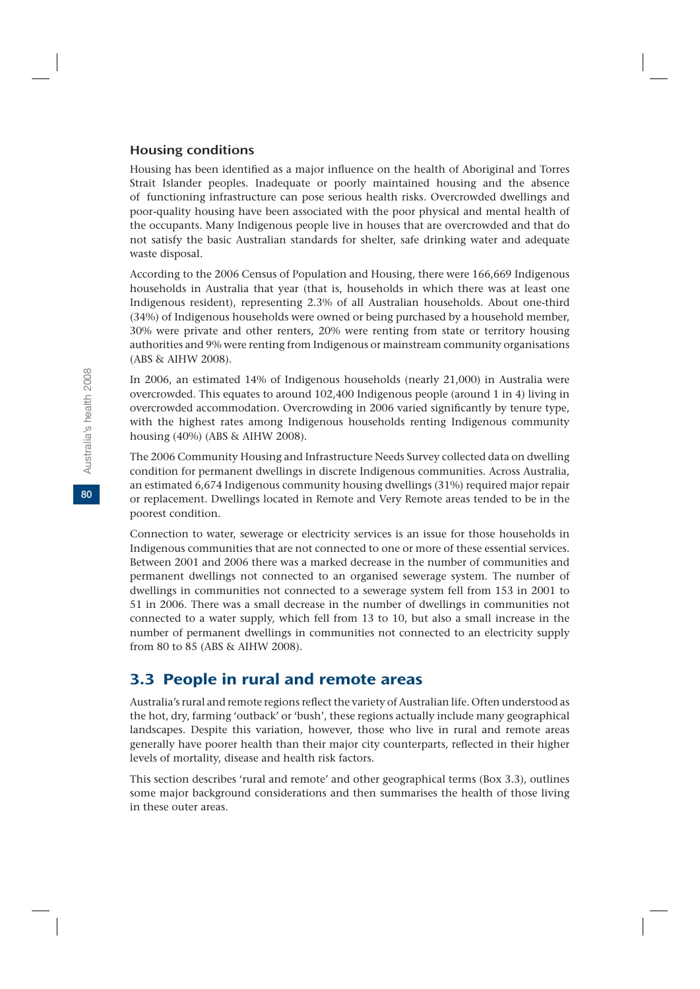#### Housing conditions

Housing has been identified as a major influence on the health of Aboriginal and Torres Strait Islander peoples. Inadequate or poorly maintained housing and the absence of functioning infrastructure can pose serious health risks. Overcrowded dwellings and poor-quality housing have been associated with the poor physical and mental health of the occupants. Many Indigenous people live in houses that are overcrowded and that do not satisfy the basic Australian standards for shelter, safe drinking water and adequate waste disposal.

According to the 2006 Census of Population and Housing, there were 166,669 Indigenous households in Australia that year (that is, households in which there was at least one Indigenous resident), representing 2.3% of all Australian households. About one-third (34%) of Indigenous households were owned or being purchased by a household member, 30% were private and other renters, 20% were renting from state or territory housing authorities and 9% were renting from Indigenous or mainstream community organisations (ABS & AIHW 2008).

In 2006, an estimated 14% of Indigenous households (nearly 21,000) in Australia were overcrowded. This equates to around 102,400 Indigenous people (around 1 in 4) living in overcrowded accommodation. Overcrowding in 2006 varied significantly by tenure type, with the highest rates among Indigenous households renting Indigenous community housing (40%) (ABS & AIHW 2008).

The 2006 Community Housing and Infrastructure Needs Survey collected data on dwelling condition for permanent dwellings in discrete Indigenous communities. Across Australia, an estimated 6,674 Indigenous community housing dwellings (31%) required major repair or replacement. Dwellings located in Remote and Very Remote areas tended to be in the poorest condition.

Connection to water, sewerage or electricity services is an issue for those households in Indigenous communities that are not connected to one or more of these essential services. Between 2001 and 2006 there was a marked decrease in the number of communities and permanent dwellings not connected to an organised sewerage system. The number of dwellings in communities not connected to a sewerage system fell from 153 in 2001 to 51 in 2006. There was a small decrease in the number of dwellings in communities not connected to a water supply, which fell from 13 to 10, but also a small increase in the number of permanent dwellings in communities not connected to an electricity supply from 80 to 85 (ABS & AIHW 2008).

# 3.3 People in rural and remote areas

Australia's rural and remote regions reflect the variety of Australian life. Often understood as the hot, dry, farming 'outback' or 'bush', these regions actually include many geographical landscapes. Despite this variation, however, those who live in rural and remote areas generally have poorer health than their major city counterparts, reflected in their higher levels of mortality, disease and health risk factors.

This section describes 'rural and remote' and other geographical terms (Box 3.3), outlines some major background considerations and then summarises the health of those living in these outer areas.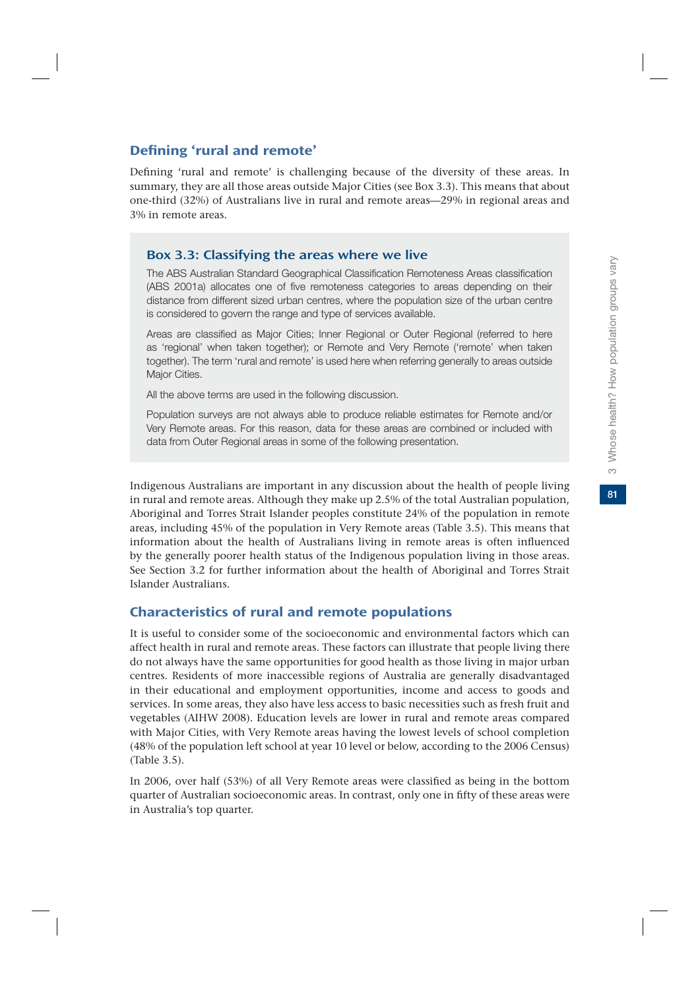81

# Defining 'rural and remote'

Defining 'rural and remote' is challenging because of the diversity of these areas. In summary, they are all those areas outside Major Cities (see Box 3.3). This means that about one-third (32%) of Australians live in rural and remote areas—29% in regional areas and 3% in remote areas.

# Box 3.3: Classifying the areas where we live

The ABS Australian Standard Geographical Classification Remoteness Areas classification (ABS 2001a) allocates one of five remoteness categories to areas depending on their distance from different sized urban centres, where the population size of the urban centre is considered to govern the range and type of services available.

Areas are classified as Major Cities; Inner Regional or Outer Regional (referred to here as 'regional' when taken together); or Remote and Very Remote ('remote' when taken together). The term 'rural and remote' is used here when referring generally to areas outside Major Cities.

All the above terms are used in the following discussion.

Population surveys are not always able to produce reliable estimates for Remote and/or Very Remote areas. For this reason, data for these areas are combined or included with data from Outer Regional areas in some of the following presentation.

Indigenous Australians are important in any discussion about the health of people living in rural and remote areas. Although they make up 2.5% of the total Australian population, Aboriginal and Torres Strait Islander peoples constitute 24% of the population in remote areas, including 45% of the population in Very Remote areas (Table 3.5). This means that information about the health of Australians living in remote areas is often influenced by the generally poorer health status of the Indigenous population living in those areas. See Section 3.2 for further information about the health of Aboriginal and Torres Strait Islander Australians.

# Characteristics of rural and remote populations

It is useful to consider some of the socioeconomic and environmental factors which can affect health in rural and remote areas. These factors can illustrate that people living there do not always have the same opportunities for good health as those living in major urban centres. Residents of more inaccessible regions of Australia are generally disadvantaged in their educational and employment opportunities, income and access to goods and services. In some areas, they also have less access to basic necessities such as fresh fruit and vegetables (AIHW 2008). Education levels are lower in rural and remote areas compared with Major Cities, with Very Remote areas having the lowest levels of school completion (48% of the population left school at year 10 level or below, according to the 2006 Census) (Table 3.5).

In 2006, over half (53%) of all Very Remote areas were classified as being in the bottom quarter of Australian socioeconomic areas. In contrast, only one in fifty of these areas were in Australia's top quarter.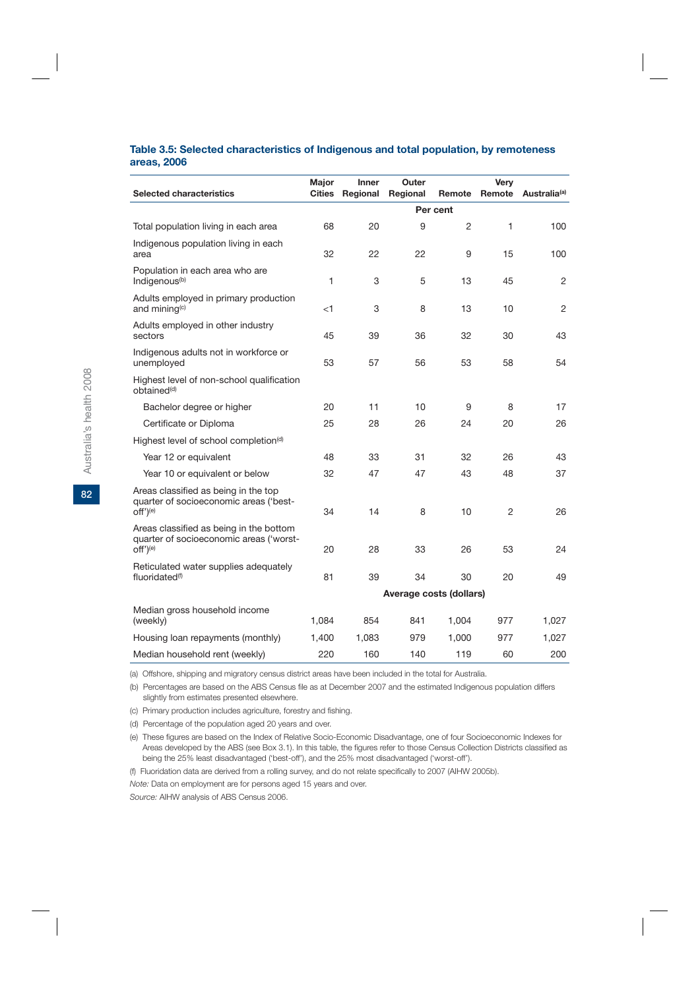#### **Table 3.5: Selected characteristics of Indigenous and total population, by remoteness areas, 2006**

| Selected characteristics                                                                                   | Major<br><b>Cities</b>  | <b>Inner</b><br>Regional | Outer<br>Regional | Remote   | <b>Very</b><br>Remote | Australia <sup>(a)</sup> |
|------------------------------------------------------------------------------------------------------------|-------------------------|--------------------------|-------------------|----------|-----------------------|--------------------------|
|                                                                                                            |                         |                          |                   | Per cent |                       |                          |
| Total population living in each area                                                                       | 68                      | 20                       | 9                 | 2        | 1                     | 100                      |
| Indigenous population living in each<br>area                                                               | 32                      | 22                       | 22                | 9        | 15                    | 100                      |
| Population in each area who are<br>Indigenous <sup>(b)</sup>                                               | 1                       | 3                        | 5                 | 13       | 45                    | 2                        |
| Adults employed in primary production<br>and mining <sup>(c)</sup>                                         | $<$ 1                   | 3                        | 8                 | 13       | 10                    | 2                        |
| Adults employed in other industry<br>sectors                                                               | 45                      | 39                       | 36                | 32       | 30                    | 43                       |
| Indigenous adults not in workforce or<br>unemployed                                                        | 53                      | 57                       | 56                | 53       | 58                    | 54                       |
| Highest level of non-school qualification<br>obtained <sup>(d)</sup>                                       |                         |                          |                   |          |                       |                          |
| Bachelor degree or higher                                                                                  | 20                      | 11                       | 10                | 9        | 8                     | 17                       |
| Certificate or Diploma                                                                                     | 25                      | 28                       | 26                | 24       | 20                    | 26                       |
| Highest level of school completion <sup>(d)</sup>                                                          |                         |                          |                   |          |                       |                          |
| Year 12 or equivalent                                                                                      | 48                      | 33                       | 31                | 32       | 26                    | 43                       |
| Year 10 or equivalent or below                                                                             | 32                      | 47                       | 47                | 43       | 48                    | 37                       |
| Areas classified as being in the top<br>quarter of socioeconomic areas ('best-<br>off') <sup>(e)</sup>     | 34                      | 14                       | 8                 | 10       | 2                     | 26                       |
| Areas classified as being in the bottom<br>quarter of socioeconomic areas ('worst-<br>off') <sup>(e)</sup> | 20                      | 28                       | 33                | 26       | 53                    | 24                       |
| Reticulated water supplies adequately<br>fluoridated <sup>(f)</sup>                                        | 81                      | 39                       | 34                | 30       | 20                    | 49                       |
|                                                                                                            | Average costs (dollars) |                          |                   |          |                       |                          |
| Median gross household income<br>(weekly)                                                                  | 1,084                   | 854                      | 841               | 1,004    | 977                   | 1,027                    |
| Housing loan repayments (monthly)                                                                          | 1,400                   | 1,083                    | 979               | 1,000    | 977                   | 1,027                    |
| Median household rent (weekly)                                                                             | 220                     | 160                      | 140               | 119      | 60                    | 200                      |

(a) Offshore, shipping and migratory census district areas have been included in the total for Australia.

(b) Percentages are based on the ABS Census file as at December 2007 and the estimated Indigenous population differs slightly from estimates presented elsewhere.

(c) Primary production includes agriculture, forestry and fishing.

(d) Percentage of the population aged 20 years and over.

(e) These figures are based on the Index of Relative Socio-Economic Disadvantage, one of four Socioeconomic Indexes for Areas developed by the ABS (see Box 3.1). In this table, the figures refer to those Census Collection Districts classified as being the 25% least disadvantaged ('best-off'), and the 25% most disadvantaged ('worst-off').

(f) Fluoridation data are derived from a rolling survey, and do not relate specifically to 2007 (AIHW 2005b).

*Note:* Data on employment are for persons aged 15 years and over.

*Source:* AIHW analysis of ABS Census 2006.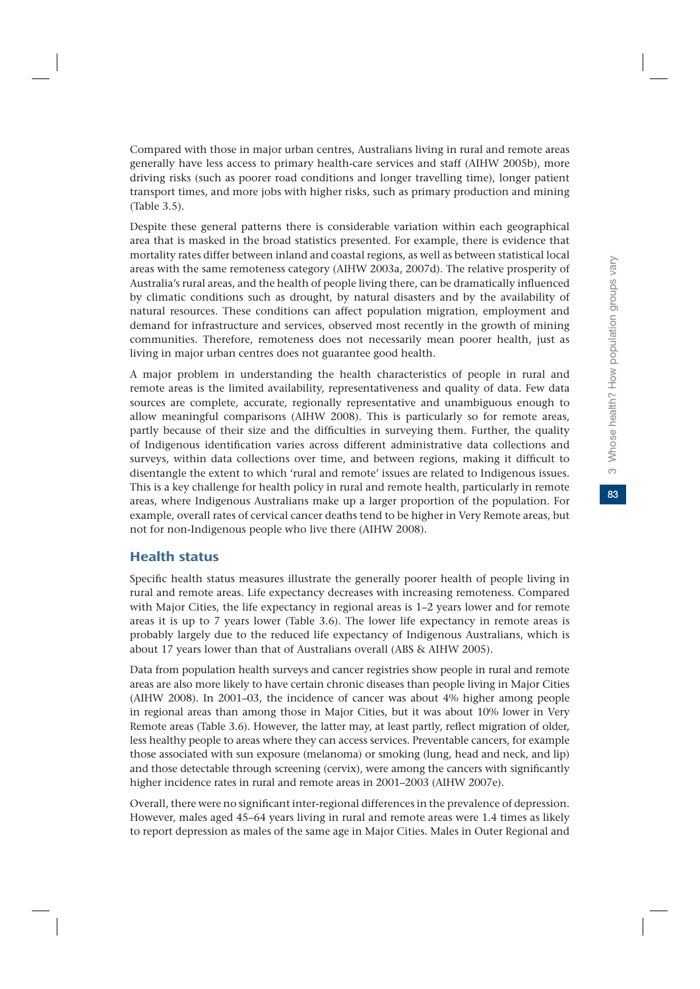Compared with those in major urban centres, Australians living in rural and remote areas generally have less access to primary health-care services and staff (AIHW 2005b), more driving risks (such as poorer road conditions and longer travelling time), longer patient transport times, and more jobs with higher risks, such as primary production and mining (Table 3.5).

Despite these general patterns there is considerable variation within each geographical area that is masked in the broad statistics presented. For example, there is evidence that mortality rates differ between inland and coastal regions, as well as between statistical local areas with the same remoteness category (AIHW 2003a, 2007d). The relative prosperity of Australia's rural areas, and the health of people living there, can be dramatically influenced by climatic conditions such as drought, by natural disasters and by the availability of natural resources. These conditions can affect population migration, employment and demand for infrastructure and services, observed most recently in the growth of mining communities. Therefore, remoteness does not necessarily mean poorer health, just as living in major urban centres does not guarantee good health.

A major problem in understanding the health characteristics of people in rural and remote areas is the limited availability, representativeness and quality of data. Few data sources are complete, accurate, regionally representative and unambiguous enough to allow meaningful comparisons (AIHW 2008). This is particularly so for remote areas, partly because of their size and the difficulties in surveying them. Further, the quality of Indigenous identification varies across different administrative data collections and surveys, within data collections over time, and between regions, making it difficult to disentangle the extent to which 'rural and remote' issues are related to Indigenous issues. This is a key challenge for health policy in rural and remote health, particularly in remote areas, where Indigenous Australians make up a larger proportion of the population. For example, overall rates of cervical cancer deaths tend to be higher in Very Remote areas, but not for non-Indigenous people who live there (AIHW 2008).

# Health status

Specific health status measures illustrate the generally poorer health of people living in rural and remote areas. Life expectancy decreases with increasing remoteness. Compared with Major Cities, the life expectancy in regional areas is 1–2 years lower and for remote areas it is up to 7 years lower (Table 3.6). The lower life expectancy in remote areas is probably largely due to the reduced life expectancy of Indigenous Australians, which is about 17 years lower than that of Australians overall (ABS & AIHW 2005).

Data from population health surveys and cancer registries show people in rural and remote areas are also more likely to have certain chronic diseases than people living in Major Cities (AIHW 2008). In 2001–03, the incidence of cancer was about 4% higher among people in regional areas than among those in Major Cities, but it was about 10% lower in Very Remote areas (Table 3.6). However, the latter may, at least partly, reflect migration of older, less healthy people to areas where they can access services. Preventable cancers, for example those associated with sun exposure (melanoma) or smoking (lung, head and neck, and lip) and those detectable through screening (cervix), were among the cancers with significantly higher incidence rates in rural and remote areas in 2001–2003 (AIHW 2007e).

Overall, there were no significant inter-regional differences in the prevalence of depression. However, males aged 45–64 years living in rural and remote areas were 1.4 times as likely to report depression as males of the same age in Major Cities. Males in Outer Regional and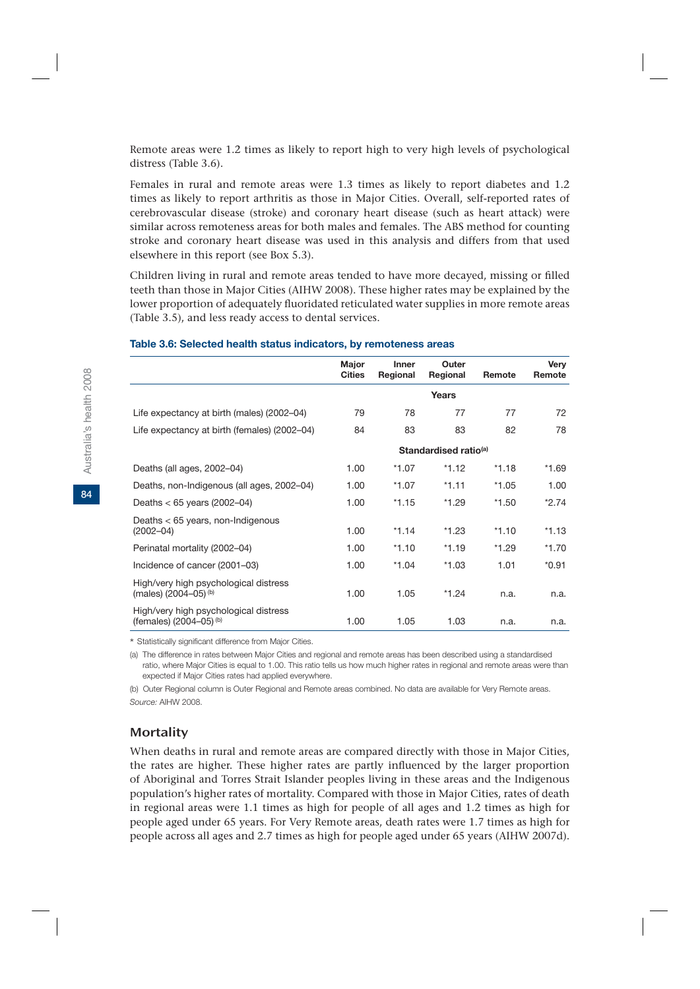Remote areas were 1.2 times as likely to report high to very high levels of psychological distress (Table 3.6).

Females in rural and remote areas were 1.3 times as likely to report diabetes and 1.2 times as likely to report arthritis as those in Major Cities. Overall, self-reported rates of cerebrovascular disease (stroke) and coronary heart disease (such as heart attack) were similar across remoteness areas for both males and females. The ABS method for counting stroke and coronary heart disease was used in this analysis and differs from that used elsewhere in this report (see Box 5.3).

Children living in rural and remote areas tended to have more decayed, missing or filled teeth than those in Major Cities (AIHW 2008). These higher rates may be explained by the lower proportion of adequately fluoridated reticulated water supplies in more remote areas (Table 3.5), and less ready access to dental services.

|                                                                  | Major<br><b>Cities</b> | <b>Inner</b><br>Regional | Outer<br>Regional                 | Remote  | Very<br>Remote |
|------------------------------------------------------------------|------------------------|--------------------------|-----------------------------------|---------|----------------|
|                                                                  |                        |                          | Years                             |         |                |
| Life expectancy at birth (males) (2002–04)                       | 79                     | 78                       | 77                                | 77      | 72             |
| Life expectancy at birth (females) (2002–04)                     | 84                     | 83                       | 83                                | 82      | 78             |
|                                                                  |                        |                          | Standardised ratio <sup>(a)</sup> |         |                |
| Deaths (all ages, 2002-04)                                       | 1.00                   | *1.07                    | $*1.12$                           | $*1.18$ | $*1.69$        |
| Deaths, non-Indigenous (all ages, 2002–04)                       | 1.00                   | *1.07                    | $*1.11$                           | $*1.05$ | 1.00           |
| Deaths $<$ 65 years (2002–04)                                    | 1.00                   | $*1.15$                  | $*1.29$                           | $*1.50$ | $*2.74$        |
| Deaths $<$ 65 years, non-Indigenous<br>$(2002 - 04)$             | 1.00                   | $*1.14$                  | $*1.23$                           | $*1.10$ | $*1.13$        |
| Perinatal mortality (2002-04)                                    | 1.00                   | $*1.10$                  | $*1.19$                           | $*1.29$ | $*1.70$        |
| Incidence of cancer (2001–03)                                    | 1.00                   | $*1.04$                  | $*1.03$                           | 1.01    | $*0.91$        |
| High/very high psychological distress<br>(males) (2004-05) (b)   | 1.00                   | 1.05                     | $*1.24$                           | n.a.    | n.a.           |
| High/very high psychological distress<br>(females) (2004-05) (b) | 1.00                   | 1.05                     | 1.03                              | n.a.    | n.a.           |

#### **Table 3.6: Selected health status indicators, by remoteness areas**

\* Statistically significant difference from Major Cities.

(a) The difference in rates between Major Cities and regional and remote areas has been described using a standardised ratio, where Major Cities is equal to 1.00. This ratio tells us how much higher rates in regional and remote areas were than expected if Major Cities rates had applied everywhere.

(b) Outer Regional column is Outer Regional and Remote areas combined. No data are available for Very Remote areas. *Source:* AIHW 2008.

#### **Mortality**

When deaths in rural and remote areas are compared directly with those in Major Cities, the rates are higher. These higher rates are partly influenced by the larger proportion of Aboriginal and Torres Strait Islander peoples living in these areas and the Indigenous population's higher rates of mortality. Compared with those in Major Cities, rates of death in regional areas were 1.1 times as high for people of all ages and 1.2 times as high for people aged under 65 years. For Very Remote areas, death rates were 1.7 times as high for people across all ages and 2.7 times as high for people aged under 65 years (AIHW 2007d).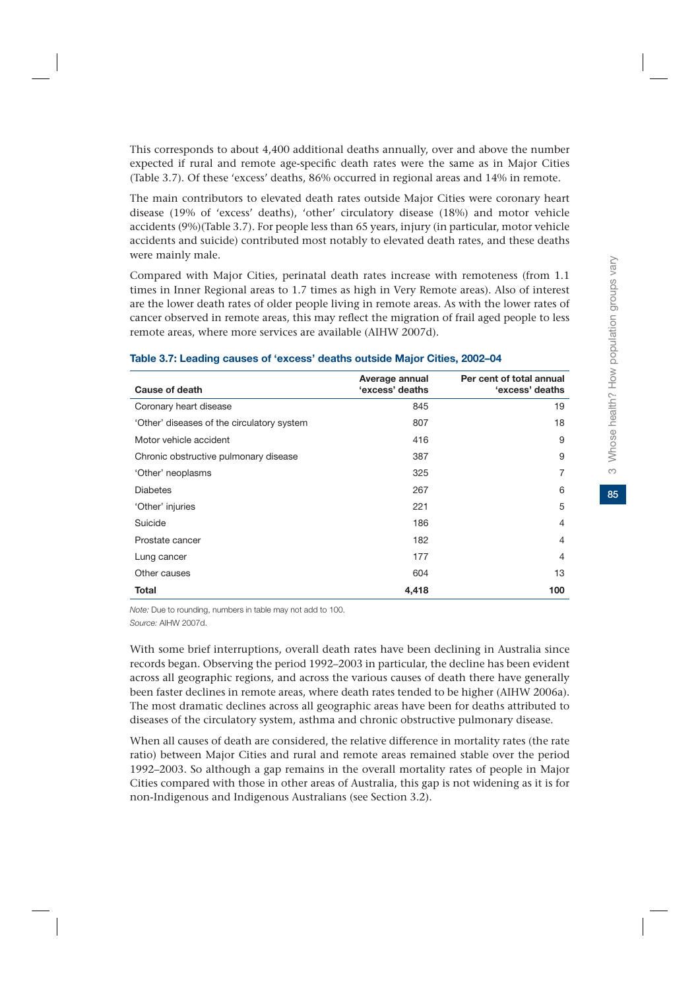This corresponds to about 4,400 additional deaths annually, over and above the number expected if rural and remote age-specific death rates were the same as in Major Cities (Table 3.7). Of these 'excess' deaths, 86% occurred in regional areas and 14% in remote.

The main contributors to elevated death rates outside Major Cities were coronary heart disease (19% of 'excess' deaths), 'other' circulatory disease (18%) and motor vehicle accidents (9%)(Table 3.7). For people less than 65 years, injury (in particular, motor vehicle accidents and suicide) contributed most notably to elevated death rates, and these deaths were mainly male.

Compared with Major Cities, perinatal death rates increase with remoteness (from 1.1 times in Inner Regional areas to 1.7 times as high in Very Remote areas). Also of interest are the lower death rates of older people living in remote areas. As with the lower rates of cancer observed in remote areas, this may reflect the migration of frail aged people to less remote areas, where more services are available (AIHW 2007d).

| Cause of death                             | Average annual<br>'excess' deaths | Per cent of total annual<br>'excess' deaths |
|--------------------------------------------|-----------------------------------|---------------------------------------------|
| Coronary heart disease                     | 845                               | 19                                          |
| 'Other' diseases of the circulatory system | 807                               | 18                                          |
| Motor vehicle accident                     | 416                               | 9                                           |
| Chronic obstructive pulmonary disease      | 387                               | 9                                           |
| 'Other' neoplasms                          | 325                               | 7                                           |
| <b>Diabetes</b>                            | 267                               | 6                                           |
| 'Other' injuries                           | 221                               | 5                                           |
| Suicide                                    | 186                               | $\overline{4}$                              |
| Prostate cancer                            | 182                               | 4                                           |
| Lung cancer                                | 177                               | 4                                           |
| Other causes                               | 604                               | 13                                          |
| Total                                      | 4,418                             | 100                                         |

#### **Table 3.7: Leading causes of 'excess' deaths outside Major Cities, 2002–04**

*Note:* Due to rounding, numbers in table may not add to 100. *Source:* AIHW 2007d.

With some brief interruptions, overall death rates have been declining in Australia since records began. Observing the period 1992–2003 in particular, the decline has been evident across all geographic regions, and across the various causes of death there have generally been faster declines in remote areas, where death rates tended to be higher (AIHW 2006a). The most dramatic declines across all geographic areas have been for deaths attributed to diseases of the circulatory system, asthma and chronic obstructive pulmonary disease.

When all causes of death are considered, the relative difference in mortality rates (the rate ratio) between Major Cities and rural and remote areas remained stable over the period 1992–2003. So although a gap remains in the overall mortality rates of people in Major Cities compared with those in other areas of Australia, this gap is not widening as it is for non-Indigenous and Indigenous Australians (see Section 3.2).

 $\infty$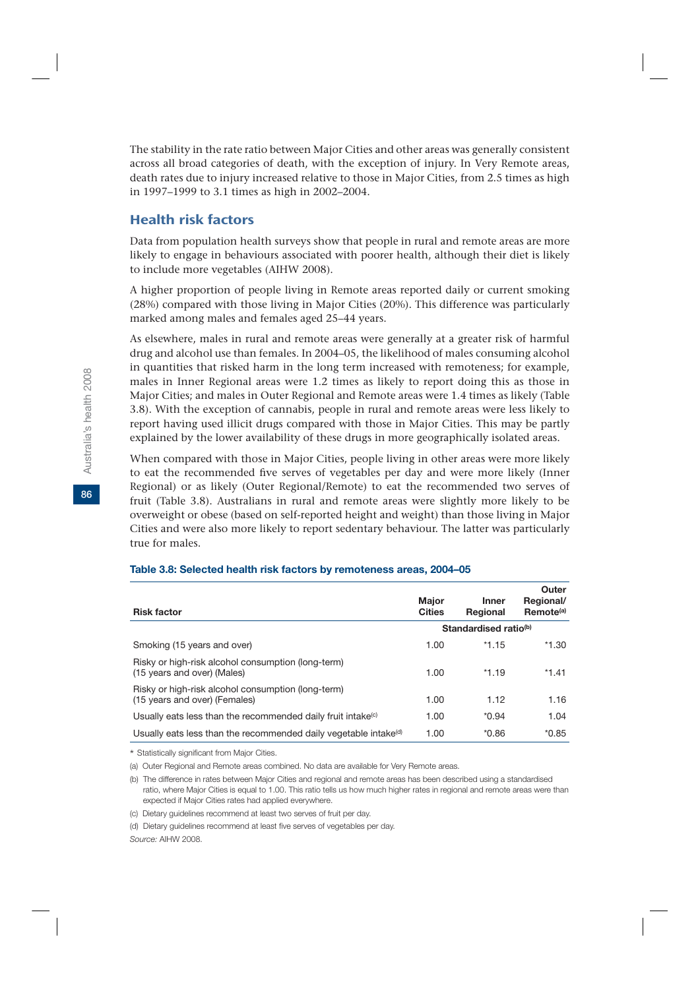The stability in the rate ratio between Major Cities and other areas was generally consistent across all broad categories of death, with the exception of injury. In Very Remote areas, death rates due to injury increased relative to those in Major Cities, from 2.5 times as high in 1997–1999 to 3.1 times as high in 2002–2004.

# Health risk factors

Data from population health surveys show that people in rural and remote areas are more likely to engage in behaviours associated with poorer health, although their diet is likely to include more vegetables (AIHW 2008).

A higher proportion of people living in Remote areas reported daily or current smoking (28%) compared with those living in Major Cities (20%). This difference was particularly marked among males and females aged 25–44 years.

As elsewhere, males in rural and remote areas were generally at a greater risk of harmful drug and alcohol use than females. In 2004–05, the likelihood of males consuming alcohol in quantities that risked harm in the long term increased with remoteness; for example, males in Inner Regional areas were 1.2 times as likely to report doing this as those in Major Cities; and males in Outer Regional and Remote areas were 1.4 times as likely (Table 3.8). With the exception of cannabis, people in rural and remote areas were less likely to report having used illicit drugs compared with those in Major Cities. This may be partly explained by the lower availability of these drugs in more geographically isolated areas.

When compared with those in Major Cities, people living in other areas were more likely to eat the recommended five serves of vegetables per day and were more likely (Inner Regional) or as likely (Outer Regional/Remote) to eat the recommended two serves of fruit (Table 3.8). Australians in rural and remote areas were slightly more likely to be overweight or obese (based on self-reported height and weight) than those living in Major Cities and were also more likely to report sedentary behaviour. The latter was particularly true for males.

| <b>Risk factor</b>                                                                  | <b>Maior</b><br><b>Cities</b> | Inner<br>Regional                 | Outer<br>Regional/<br>Remote <sup>(a)</sup> |
|-------------------------------------------------------------------------------------|-------------------------------|-----------------------------------|---------------------------------------------|
|                                                                                     |                               | Standardised ratio <sup>(b)</sup> |                                             |
| Smoking (15 years and over)                                                         | 1.00                          | $*1.15$                           | $*1.30$                                     |
| Risky or high-risk alcohol consumption (long-term)<br>(15 years and over) (Males)   | 1.00                          | $*1.19$                           | $*1.41$                                     |
| Risky or high-risk alcohol consumption (long-term)<br>(15 years and over) (Females) | 1.00                          | 1.12                              | 1.16                                        |
| Usually eats less than the recommended daily fruit intake <sup>(c)</sup>            | 1.00                          | $*0.94$                           | 1.04                                        |
| Usually eats less than the recommended daily vegetable intake <sup>(d)</sup>        | 1.00                          | $*0.86$                           | $*0.85$                                     |

#### **Table 3.8: Selected health risk factors by remoteness areas, 2004–05**

\* Statistically significant from Major Cities.

(a) Outer Regional and Remote areas combined. No data are available for Very Remote areas.

(b) The difference in rates between Major Cities and regional and remote areas has been described using a standardised ratio, where Major Cities is equal to 1.00. This ratio tells us how much higher rates in regional and remote areas were than expected if Major Cities rates had applied everywhere.

*Source:* AIHW 2008.

**86**

<sup>(</sup>c) Dietary guidelines recommend at least two serves of fruit per day.

<sup>(</sup>d) Dietary guidelines recommend at least five serves of vegetables per day.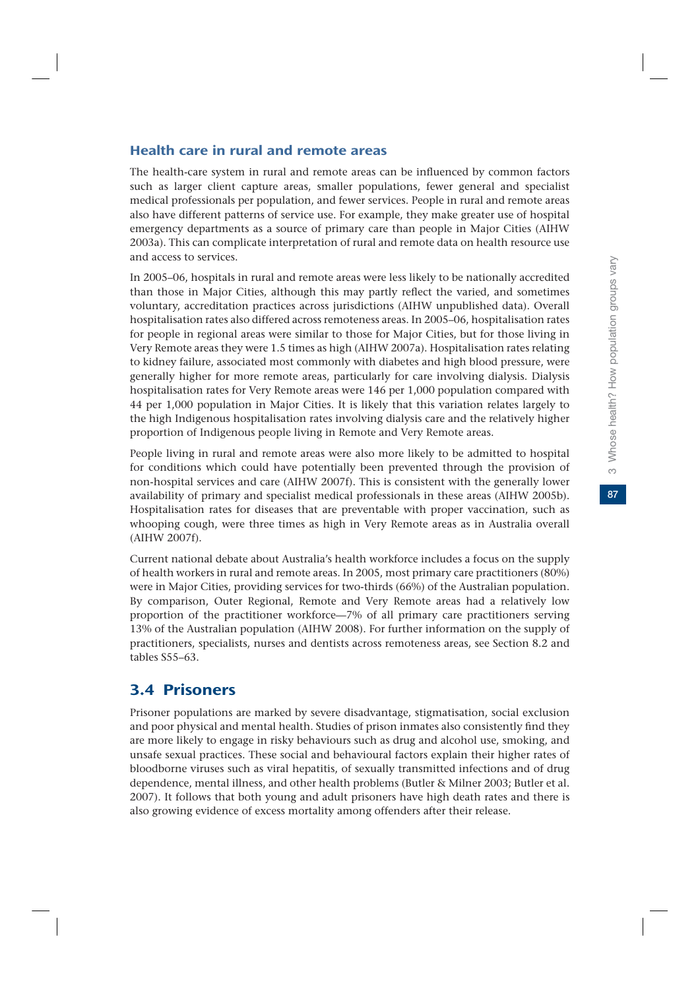87

# Health care in rural and remote areas

The health-care system in rural and remote areas can be influenced by common factors such as larger client capture areas, smaller populations, fewer general and specialist medical professionals per population, and fewer services. People in rural and remote areas also have different patterns of service use. For example, they make greater use of hospital emergency departments as a source of primary care than people in Major Cities (AIHW 2003a). This can complicate interpretation of rural and remote data on health resource use and access to services.

In 2005–06, hospitals in rural and remote areas were less likely to be nationally accredited than those in Major Cities, although this may partly reflect the varied, and sometimes voluntary, accreditation practices across jurisdictions (AIHW unpublished data). Overall hospitalisation rates also differed across remoteness areas. In 2005–06, hospitalisation rates for people in regional areas were similar to those for Major Cities, but for those living in Very Remote areas they were 1.5 times as high (AIHW 2007a). Hospitalisation rates relating to kidney failure, associated most commonly with diabetes and high blood pressure, were generally higher for more remote areas, particularly for care involving dialysis. Dialysis hospitalisation rates for Very Remote areas were 146 per 1,000 population compared with 44 per 1,000 population in Major Cities. It is likely that this variation relates largely to the high Indigenous hospitalisation rates involving dialysis care and the relatively higher proportion of Indigenous people living in Remote and Very Remote areas.

People living in rural and remote areas were also more likely to be admitted to hospital for conditions which could have potentially been prevented through the provision of non-hospital services and care (AIHW 2007f). This is consistent with the generally lower availability of primary and specialist medical professionals in these areas (AIHW 2005b). Hospitalisation rates for diseases that are preventable with proper vaccination, such as whooping cough, were three times as high in Very Remote areas as in Australia overall (AIHW 2007f).

Current national debate about Australia's health workforce includes a focus on the supply of health workers in rural and remote areas. In 2005, most primary care practitioners (80%) were in Major Cities, providing services for two-thirds (66%) of the Australian population. By comparison, Outer Regional, Remote and Very Remote areas had a relatively low proportion of the practitioner workforce—7% of all primary care practitioners serving 13% of the Australian population (AIHW 2008). For further information on the supply of practitioners, specialists, nurses and dentists across remoteness areas, see Section 8.2 and tables S55–63.

# 3.4 Prisoners

Prisoner populations are marked by severe disadvantage, stigmatisation, social exclusion and poor physical and mental health. Studies of prison inmates also consistently find they are more likely to engage in risky behaviours such as drug and alcohol use, smoking, and unsafe sexual practices. These social and behavioural factors explain their higher rates of bloodborne viruses such as viral hepatitis, of sexually transmitted infections and of drug dependence, mental illness, and other health problems (Butler & Milner 2003; Butler et al. 2007). It follows that both young and adult prisoners have high death rates and there is also growing evidence of excess mortality among offenders after their release.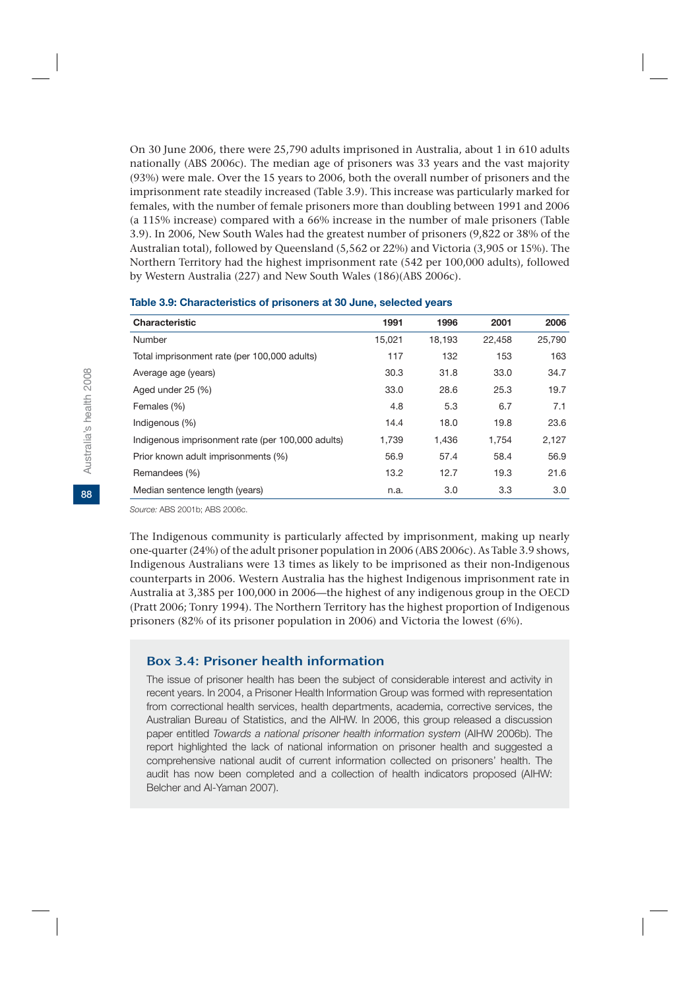On 30 June 2006, there were 25,790 adults imprisoned in Australia, about 1 in 610 adults nationally (ABS 2006c). The median age of prisoners was 33 years and the vast majority (93%) were male. Over the 15 years to 2006, both the overall number of prisoners and the imprisonment rate steadily increased (Table 3.9). This increase was particularly marked for females, with the number of female prisoners more than doubling between 1991 and 2006 (a 115% increase) compared with a 66% increase in the number of male prisoners (Table 3.9). In 2006, New South Wales had the greatest number of prisoners (9,822 or 38% of the Australian total), followed by Queensland (5,562 or 22%) and Victoria (3,905 or 15%). The Northern Territory had the highest imprisonment rate (542 per 100,000 adults), followed by Western Australia (227) and New South Wales (186)(ABS 2006c).

| Characteristic                                    | 1991   | 1996   | 2001   | 2006   |
|---------------------------------------------------|--------|--------|--------|--------|
| Number                                            | 15,021 | 18.193 | 22.458 | 25,790 |
| Total imprisonment rate (per 100,000 adults)      | 117    | 132    | 153    | 163    |
| Average age (years)                               | 30.3   | 31.8   | 33.0   | 34.7   |
| Aged under 25 (%)                                 | 33.0   | 28.6   | 25.3   | 19.7   |
| Females (%)                                       | 4.8    | 5.3    | 6.7    | 7.1    |
| Indigenous (%)                                    | 14.4   | 18.0   | 19.8   | 23.6   |
| Indigenous imprisonment rate (per 100,000 adults) | 1.739  | 1,436  | 1.754  | 2,127  |
| Prior known adult imprisonments (%)               | 56.9   | 57.4   | 58.4   | 56.9   |
| Remandees (%)                                     | 13.2   | 12.7   | 19.3   | 21.6   |
| Median sentence length (years)                    | n.a.   | 3.0    | 3.3    | 3.0    |
|                                                   |        |        |        |        |

#### **Table 3.9: Characteristics of prisoners at 30 June, selected years**

*Source:* ABS 2001b; ABS 2006c.

The Indigenous community is particularly affected by imprisonment, making up nearly one-quarter (24%) of the adult prisoner population in 2006 (ABS 2006c). As Table 3.9 shows, Indigenous Australians were 13 times as likely to be imprisoned as their non-Indigenous counterparts in 2006. Western Australia has the highest Indigenous imprisonment rate in Australia at 3,385 per 100,000 in 2006—the highest of any indigenous group in the OECD (Pratt 2006; Tonry 1994). The Northern Territory has the highest proportion of Indigenous prisoners (82% of its prisoner population in 2006) and Victoria the lowest (6%).

#### Box 3.4: Prisoner health information

The issue of prisoner health has been the subject of considerable interest and activity in recent years. In 2004, a Prisoner Health Information Group was formed with representation from correctional health services, health departments, academia, corrective services, the Australian Bureau of Statistics, and the AIHW. In 2006, this group released a discussion paper entitled *Towards a national prisoner health information system* (AIHW 2006b). The report highlighted the lack of national information on prisoner health and suggested a comprehensive national audit of current information collected on prisoners' health. The audit has now been completed and a collection of health indicators proposed (AIHW: Belcher and Al-Yaman 2007).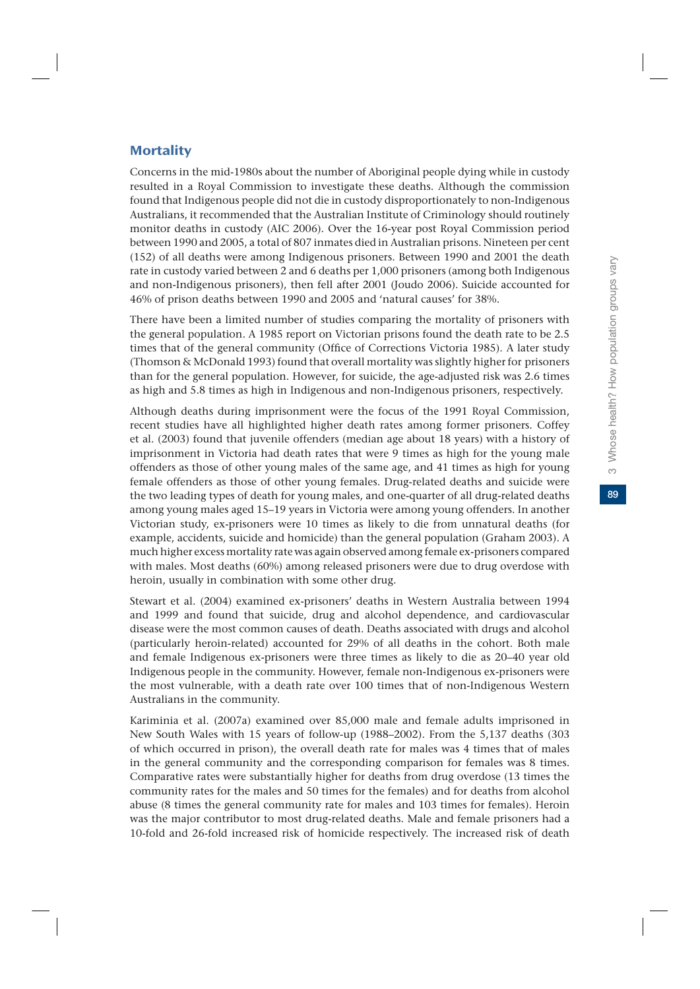# **Mortality**

Concerns in the mid-1980s about the number of Aboriginal people dying while in custody resulted in a Royal Commission to investigate these deaths. Although the commission found that Indigenous people did not die in custody disproportionately to non-Indigenous Australians, it recommended that the Australian Institute of Criminology should routinely monitor deaths in custody (AIC 2006). Over the 16-year post Royal Commission period between 1990 and 2005, a total of 807 inmates died in Australian prisons. Nineteen per cent (152) of all deaths were among Indigenous prisoners. Between 1990 and 2001 the death rate in custody varied between 2 and 6 deaths per 1,000 prisoners (among both Indigenous and non-Indigenous prisoners), then fell after 2001 (Joudo 2006). Suicide accounted for 46% of prison deaths between 1990 and 2005 and 'natural causes' for 38%.

There have been a limited number of studies comparing the mortality of prisoners with the general population. A 1985 report on Victorian prisons found the death rate to be 2.5 times that of the general community (Office of Corrections Victoria 1985). A later study (Thomson & McDonald 1993) found that overall mortality was slightly higher for prisoners than for the general population. However, for suicide, the age-adjusted risk was 2.6 times as high and 5.8 times as high in Indigenous and non-Indigenous prisoners, respectively.

Although deaths during imprisonment were the focus of the 1991 Royal Commission, recent studies have all highlighted higher death rates among former prisoners. Coffey et al. (2003) found that juvenile offenders (median age about 18 years) with a history of imprisonment in Victoria had death rates that were 9 times as high for the young male offenders as those of other young males of the same age, and 41 times as high for young female offenders as those of other young females. Drug-related deaths and suicide were the two leading types of death for young males, and one-quarter of all drug-related deaths among young males aged 15–19 years in Victoria were among young offenders. In another Victorian study, ex-prisoners were 10 times as likely to die from unnatural deaths (for example, accidents, suicide and homicide) than the general population (Graham 2003). A much higher excess mortality rate was again observed among female ex-prisoners compared with males. Most deaths (60%) among released prisoners were due to drug overdose with heroin, usually in combination with some other drug.

Stewart et al. (2004) examined ex-prisoners' deaths in Western Australia between 1994 and 1999 and found that suicide, drug and alcohol dependence, and cardiovascular disease were the most common causes of death. Deaths associated with drugs and alcohol (particularly heroin-related) accounted for 29% of all deaths in the cohort. Both male and female Indigenous ex-prisoners were three times as likely to die as 20–40 year old Indigenous people in the community. However, female non-Indigenous ex-prisoners were the most vulnerable, with a death rate over 100 times that of non-Indigenous Western Australians in the community.

Kariminia et al. (2007a) examined over 85,000 male and female adults imprisoned in New South Wales with 15 years of follow-up (1988–2002). From the 5,137 deaths (303 of which occurred in prison), the overall death rate for males was 4 times that of males in the general community and the corresponding comparison for females was 8 times. Comparative rates were substantially higher for deaths from drug overdose (13 times the community rates for the males and 50 times for the females) and for deaths from alcohol abuse (8 times the general community rate for males and 103 times for females). Heroin was the major contributor to most drug-related deaths. Male and female prisoners had a 10-fold and 26-fold increased risk of homicide respectively. The increased risk of death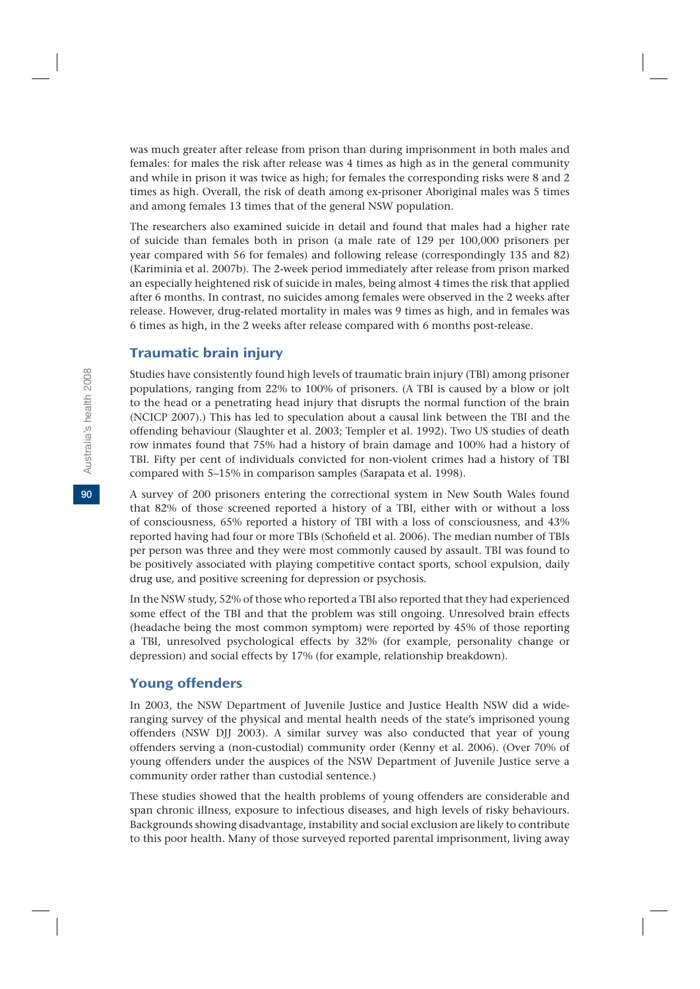was much greater after release from prison than during imprisonment in both males and females: for males the risk after release was 4 times as high as in the general community and while in prison it was twice as high; for females the corresponding risks were 8 and 2 times as high. Overall, the risk of death among ex-prisoner Aboriginal males was 5 times and among females 13 times that of the general NSW population.

The researchers also examined suicide in detail and found that males had a higher rate of suicide than females both in prison (a male rate of 129 per 100,000 prisoners per year compared with 56 for females) and following release (correspondingly 135 and 82) (Kariminia et al. 2007b). The 2-week period immediately after release from prison marked an especially heightened risk of suicide in males, being almost 4 times the risk that applied after 6 months. In contrast, no suicides among females were observed in the 2 weeks after release. However, drug-related mortality in males was 9 times as high, and in females was 6 times as high, in the 2 weeks after release compared with 6 months post-release.

# Traumatic brain injury

Studies have consistently found high levels of traumatic brain injury (TBI) among prisoner populations, ranging from 22% to 100% of prisoners. (A TBI is caused by a blow or jolt to the head or a penetrating head injury that disrupts the normal function of the brain (NCICP 2007).) This has led to speculation about a causal link between the TBI and the offending behaviour (Slaughter et al. 2003; Templer et al. 1992). Two US studies of death row inmates found that 75% had a history of brain damage and 100% had a history of TBI. Fifty per cent of individuals convicted for non-violent crimes had a history of TBI compared with 5–15% in comparison samples (Sarapata et al. 1998).

A survey of 200 prisoners entering the correctional system in New South Wales found that 82% of those screened reported a history of a TBI, either with or without a loss of consciousness, 65% reported a history of TBI with a loss of consciousness, and 43% reported having had four or more TBIs (Schofield et al. 2006). The median number of TBIs per person was three and they were most commonly caused by assault. TBI was found to be positively associated with playing competitive contact sports, school expulsion, daily drug use, and positive screening for depression or psychosis.

In the NSW study, 52% of those who reported a TBI also reported that they had experienced some effect of the TBI and that the problem was still ongoing. Unresolved brain effects (headache being the most common symptom) were reported by 45% of those reporting a TBI, unresolved psychological effects by 32% (for example, personality change or depression) and social effects by 17% (for example, relationship breakdown).

## Young offenders

In 2003, the NSW Department of Juvenile Justice and Justice Health NSW did a wideranging survey of the physical and mental health needs of the state's imprisoned young offenders (NSW DJJ 2003). A similar survey was also conducted that year of young offenders serving a (non-custodial) community order (Kenny et al. 2006). (Over 70% of young offenders under the auspices of the NSW Department of Juvenile Justice serve a community order rather than custodial sentence.)

These studies showed that the health problems of young offenders are considerable and span chronic illness, exposure to infectious diseases, and high levels of risky behaviours. Backgrounds showing disadvantage, instability and social exclusion are likely to contribute to this poor health. Many of those surveyed reported parental imprisonment, living away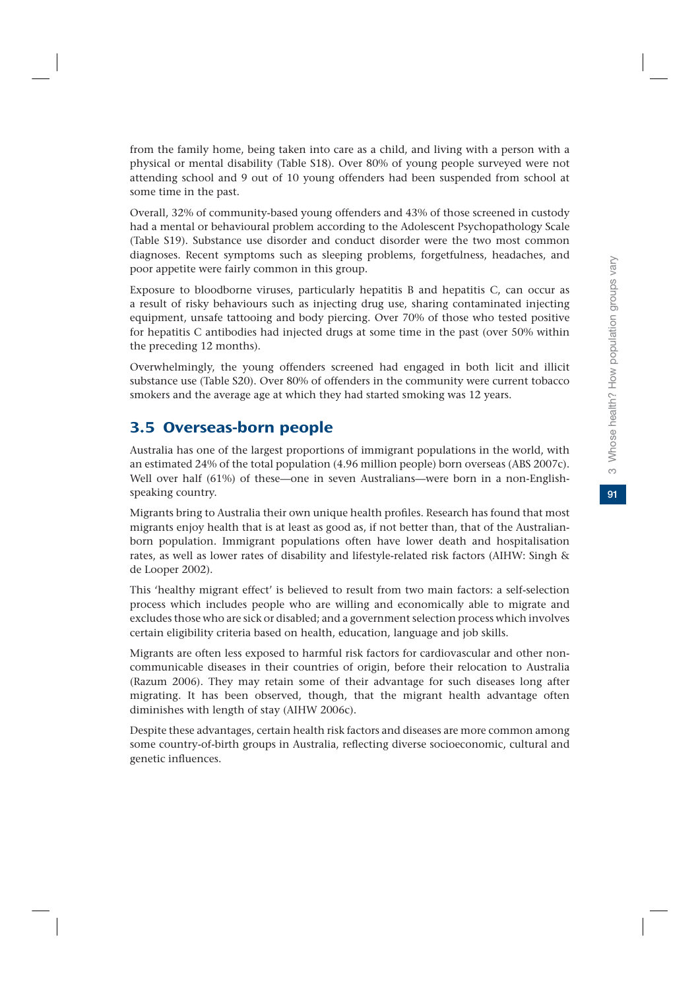from the family home, being taken into care as a child, and living with a person with a physical or mental disability (Table S18). Over 80% of young people surveyed were not attending school and 9 out of 10 young offenders had been suspended from school at some time in the past.

Overall, 32% of community-based young offenders and 43% of those screened in custody had a mental or behavioural problem according to the Adolescent Psychopathology Scale (Table S19). Substance use disorder and conduct disorder were the two most common diagnoses. Recent symptoms such as sleeping problems, forgetfulness, headaches, and poor appetite were fairly common in this group.

Exposure to bloodborne viruses, particularly hepatitis B and hepatitis C, can occur as a result of risky behaviours such as injecting drug use, sharing contaminated injecting equipment, unsafe tattooing and body piercing. Over 70% of those who tested positive for hepatitis C antibodies had injected drugs at some time in the past (over 50% within the preceding 12 months).

Overwhelmingly, the young offenders screened had engaged in both licit and illicit substance use (Table S20). Over 80% of offenders in the community were current tobacco smokers and the average age at which they had started smoking was 12 years.

# 3.5 Overseas-born people

Australia has one of the largest proportions of immigrant populations in the world, with an estimated 24% of the total population (4.96 million people) born overseas (ABS 2007c). Well over half (61%) of these—one in seven Australians—were born in a non-Englishspeaking country.

Migrants bring to Australia their own unique health profiles. Research has found that most migrants enjoy health that is at least as good as, if not better than, that of the Australianborn population. Immigrant populations often have lower death and hospitalisation rates, as well as lower rates of disability and lifestyle-related risk factors (AIHW: Singh & de Looper 2002).

This 'healthy migrant effect' is believed to result from two main factors: a self-selection process which includes people who are willing and economically able to migrate and excludes those who are sick or disabled; and a government selection process which involves certain eligibility criteria based on health, education, language and job skills.

Migrants are often less exposed to harmful risk factors for cardiovascular and other noncommunicable diseases in their countries of origin, before their relocation to Australia (Razum 2006). They may retain some of their advantage for such diseases long after migrating. It has been observed, though, that the migrant health advantage often diminishes with length of stay (AIHW 2006c).

Despite these advantages, certain health risk factors and diseases are more common among some country-of-birth groups in Australia, reflecting diverse socioeconomic, cultural and genetic influences.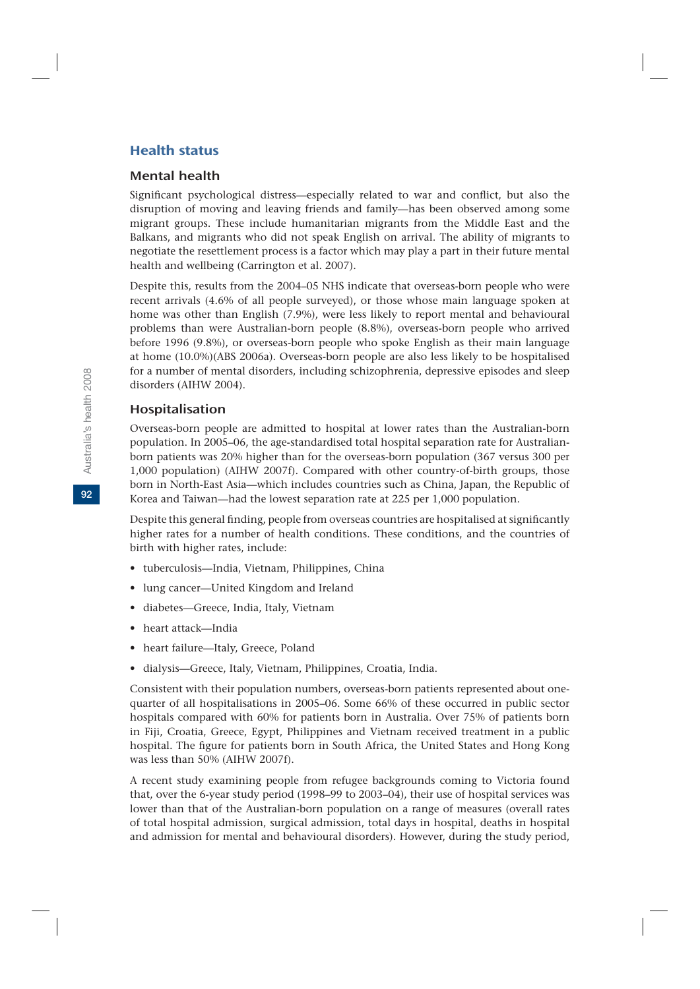# Health status

# Mental health

Significant psychological distress—especially related to war and conflict, but also the disruption of moving and leaving friends and family—has been observed among some migrant groups. These include humanitarian migrants from the Middle East and the Balkans, and migrants who did not speak English on arrival. The ability of migrants to negotiate the resettlement process is a factor which may play a part in their future mental health and wellbeing (Carrington et al. 2007).

Despite this, results from the 2004–05 NHS indicate that overseas-born people who were recent arrivals (4.6% of all people surveyed), or those whose main language spoken at home was other than English (7.9%), were less likely to report mental and behavioural problems than were Australian-born people (8.8%), overseas-born people who arrived before 1996 (9.8%), or overseas-born people who spoke English as their main language at home (10.0%)(ABS 2006a). Overseas-born people are also less likely to be hospitalised for a number of mental disorders, including schizophrenia, depressive episodes and sleep disorders (AIHW 2004).

# Hospitalisation

Overseas-born people are admitted to hospital at lower rates than the Australian-born population. In 2005–06, the age-standardised total hospital separation rate for Australianborn patients was 20% higher than for the overseas-born population (367 versus 300 per 1,000 population) (AIHW 2007f). Compared with other country-of-birth groups, those born in North-East Asia—which includes countries such as China, Japan, the Republic of Korea and Taiwan—had the lowest separation rate at 225 per 1,000 population.

Despite this general finding, people from overseas countries are hospitalised at significantly higher rates for a number of health conditions. These conditions, and the countries of birth with higher rates, include:

- tuberculosis—India, Vietnam, Philippines, China
- lung cancer—United Kingdom and Ireland
- diabetes—Greece, India, Italy, Vietnam
- heart attack—India
- heart failure—Italy, Greece, Poland
- dialysis—Greece, Italy, Vietnam, Philippines, Croatia, India.

Consistent with their population numbers, overseas-born patients represented about onequarter of all hospitalisations in 2005–06. Some 66% of these occurred in public sector hospitals compared with 60% for patients born in Australia. Over 75% of patients born in Fiji, Croatia, Greece, Egypt, Philippines and Vietnam received treatment in a public hospital. The figure for patients born in South Africa, the United States and Hong Kong was less than 50% (AIHW 2007f).

A recent study examining people from refugee backgrounds coming to Victoria found that, over the 6-year study period (1998–99 to 2003–04), their use of hospital services was lower than that of the Australian-born population on a range of measures (overall rates of total hospital admission, surgical admission, total days in hospital, deaths in hospital and admission for mental and behavioural disorders). However, during the study period,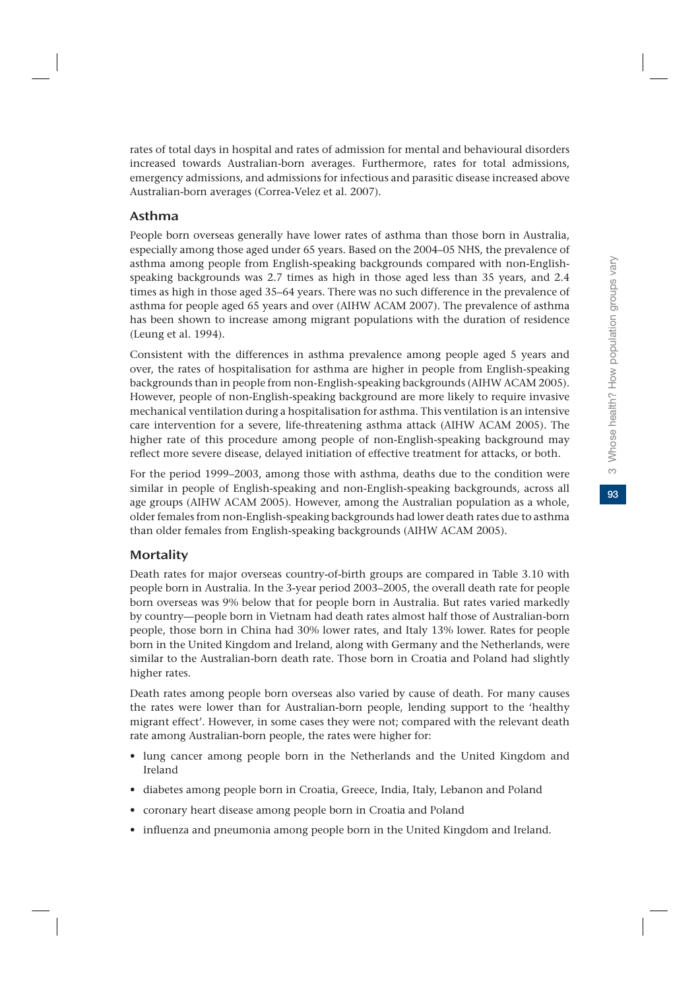93

rates of total days in hospital and rates of admission for mental and behavioural disorders increased towards Australian-born averages. Furthermore, rates for total admissions, emergency admissions, and admissions for infectious and parasitic disease increased above Australian-born averages (Correa-Velez et al. 2007).

# Asthma

People born overseas generally have lower rates of asthma than those born in Australia, especially among those aged under 65 years. Based on the 2004–05 NHS, the prevalence of asthma among people from English-speaking backgrounds compared with non-Englishspeaking backgrounds was 2.7 times as high in those aged less than 35 years, and 2.4 times as high in those aged 35–64 years. There was no such difference in the prevalence of asthma for people aged 65 years and over (AIHW ACAM 2007). The prevalence of asthma has been shown to increase among migrant populations with the duration of residence (Leung et al. 1994).

Consistent with the differences in asthma prevalence among people aged 5 years and over, the rates of hospitalisation for asthma are higher in people from English-speaking backgrounds than in people from non-English-speaking backgrounds (AIHW ACAM 2005). However, people of non-English-speaking background are more likely to require invasive mechanical ventilation during a hospitalisation for asthma. This ventilation is an intensive care intervention for a severe, life-threatening asthma attack (AIHW ACAM 2005). The higher rate of this procedure among people of non-English-speaking background may reflect more severe disease, delayed initiation of effective treatment for attacks, or both.

For the period 1999–2003, among those with asthma, deaths due to the condition were similar in people of English-speaking and non-English-speaking backgrounds, across all age groups (AIHW ACAM 2005). However, among the Australian population as a whole, older females from non-English-speaking backgrounds had lower death rates due to asthma than older females from English-speaking backgrounds (AIHW ACAM 2005).

# **Mortality**

Death rates for major overseas country-of-birth groups are compared in Table 3.10 with people born in Australia. In the 3-year period 2003–2005, the overall death rate for people born overseas was 9% below that for people born in Australia. But rates varied markedly by country—people born in Vietnam had death rates almost half those of Australian-born people, those born in China had 30% lower rates, and Italy 13% lower. Rates for people born in the United Kingdom and Ireland, along with Germany and the Netherlands, were similar to the Australian-born death rate. Those born in Croatia and Poland had slightly higher rates.

Death rates among people born overseas also varied by cause of death. For many causes the rates were lower than for Australian-born people, lending support to the 'healthy migrant effect'. However, in some cases they were not; compared with the relevant death rate among Australian-born people, the rates were higher for:

- lung cancer among people born in the Netherlands and the United Kingdom and Ireland
- diabetes among people born in Croatia, Greece, India, Italy, Lebanon and Poland
- coronary heart disease among people born in Croatia and Poland
- influenza and pneumonia among people born in the United Kingdom and Ireland.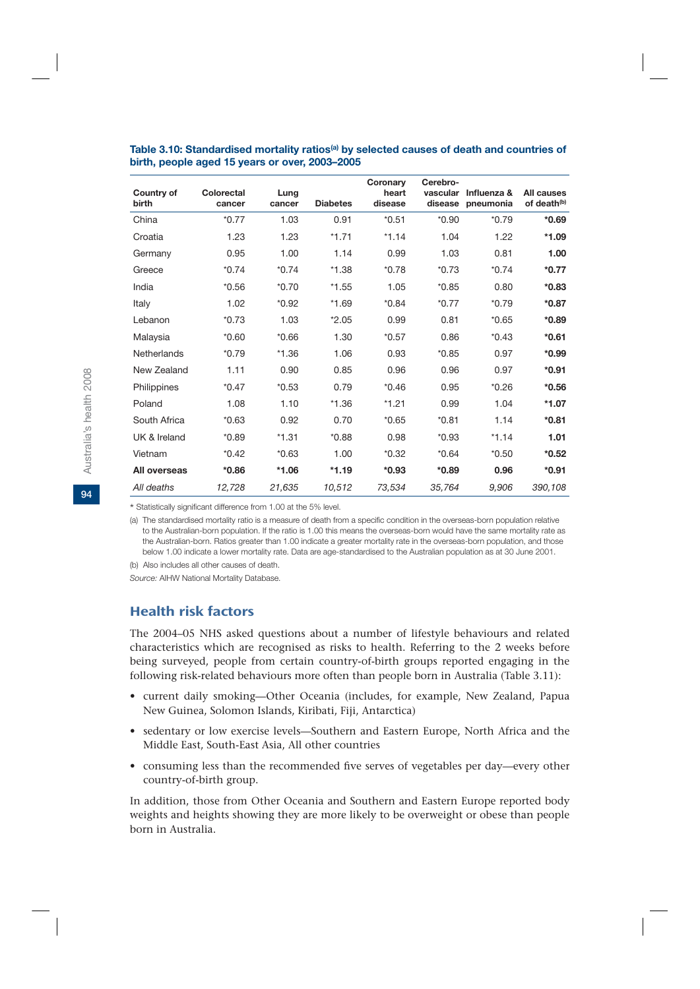| Country of<br>birth | Colorectal<br>cancer | Lung<br>cancer | <b>Diabetes</b> | Coronary<br>heart<br>disease | Cerebro-<br>vascular | Influenza &<br>disease pneumonia | All causes<br>of death <sup>(b)</sup> |
|---------------------|----------------------|----------------|-----------------|------------------------------|----------------------|----------------------------------|---------------------------------------|
| China               | $*0.77$              | 1.03           | 0.91            | $*0.51$                      | $*0.90$              | $*0.79$                          | $*0.69$                               |
| Croatia             | 1.23                 | 1.23           | $*1.71$         | $*1.14$                      | 1.04                 | 1.22                             | $*1.09$                               |
| Germany             | 0.95                 | 1.00           | 1.14            | 0.99                         | 1.03                 | 0.81                             | 1.00                                  |
| Greece              | $*0.74$              | $*0.74$        | $*1.38$         | $*0.78$                      | $*0.73$              | $*0.74$                          | $*0.77$                               |
| India               | $*0.56$              | $*0.70$        | $*1.55$         | 1.05                         | $*0.85$              | 0.80                             | $*0.83$                               |
| Italy               | 1.02                 | $*0.92$        | $*1.69$         | $*0.84$                      | $*0.77$              | $*0.79$                          | $*0.87$                               |
| Lebanon             | $*0.73$              | 1.03           | $*2.05$         | 0.99                         | 0.81                 | $*0.65$                          | $*0.89$                               |
| Malaysia            | $*0.60$              | $*0.66$        | 1.30            | $*0.57$                      | 0.86                 | $*0.43$                          | $*0.61$                               |
| Netherlands         | $*0.79$              | $*1.36$        | 1.06            | 0.93                         | $*0.85$              | 0.97                             | $*0.99$                               |
| New Zealand         | 1.11                 | 0.90           | 0.85            | 0.96                         | 0.96                 | 0.97                             | $*0.91$                               |
| Philippines         | $*0.47$              | $*0.53$        | 0.79            | $*0.46$                      | 0.95                 | $*0.26$                          | $*0.56$                               |
| Poland              | 1.08                 | 1.10           | $*1.36$         | $*1.21$                      | 0.99                 | 1.04                             | $*1.07$                               |
| South Africa        | $*0.63$              | 0.92           | 0.70            | $*0.65$                      | $*0.81$              | 1.14                             | $*0.81$                               |
| UK & Ireland        | $*0.89$              | $*1.31$        | $*0.88$         | 0.98                         | $*0.93$              | $*1.14$                          | 1.01                                  |
| Vietnam             | $*0.42$              | $*0.63$        | 1.00            | $*0.32$                      | $*0.64$              | $*0.50$                          | $*0.52$                               |
| All overseas        | $*0.86$              | $*1.06$        | $*1.19$         | $*0.93$                      | $*0.89$              | 0.96                             | $*0.91$                               |
| All deaths          | 12,728               | 21,635         | 10,512          | 73,534                       | 35,764               | 9,906                            | 390,108                               |

#### Table 3.10: Standardised mortality ratios<sup>(a)</sup> by selected causes of death and countries of **birth, people aged 15 years or over, 2003–2005**

\* Statistically significant difference from 1.00 at the 5% level.

(a) The standardised mortality ratio is a measure of death from a specific condition in the overseas-born population relative to the Australian-born population. If the ratio is 1.00 this means the overseas-born would have the same mortality rate as the Australian-born. Ratios greater than 1.00 indicate a greater mortality rate in the overseas-born population, and those below 1.00 indicate a lower mortality rate. Data are age-standardised to the Australian population as at 30 June 2001.

(b) Also includes all other causes of death.

*Source:* AIHW National Mortality Database.

# Health risk factors

The 2004–05 NHS asked questions about a number of lifestyle behaviours and related characteristics which are recognised as risks to health. Referring to the 2 weeks before being surveyed, people from certain country-of-birth groups reported engaging in the following risk-related behaviours more often than people born in Australia (Table 3.11):

- current daily smoking—Other Oceania (includes, for example, New Zealand, Papua New Guinea, Solomon Islands, Kiribati, Fiji, Antarctica)
- sedentary or low exercise levels—Southern and Eastern Europe, North Africa and the Middle East, South-East Asia, All other countries
- consuming less than the recommended five serves of vegetables per day—every other country-of-birth group.

In addition, those from Other Oceania and Southern and Eastern Europe reported body weights and heights showing they are more likely to be overweight or obese than people born in Australia.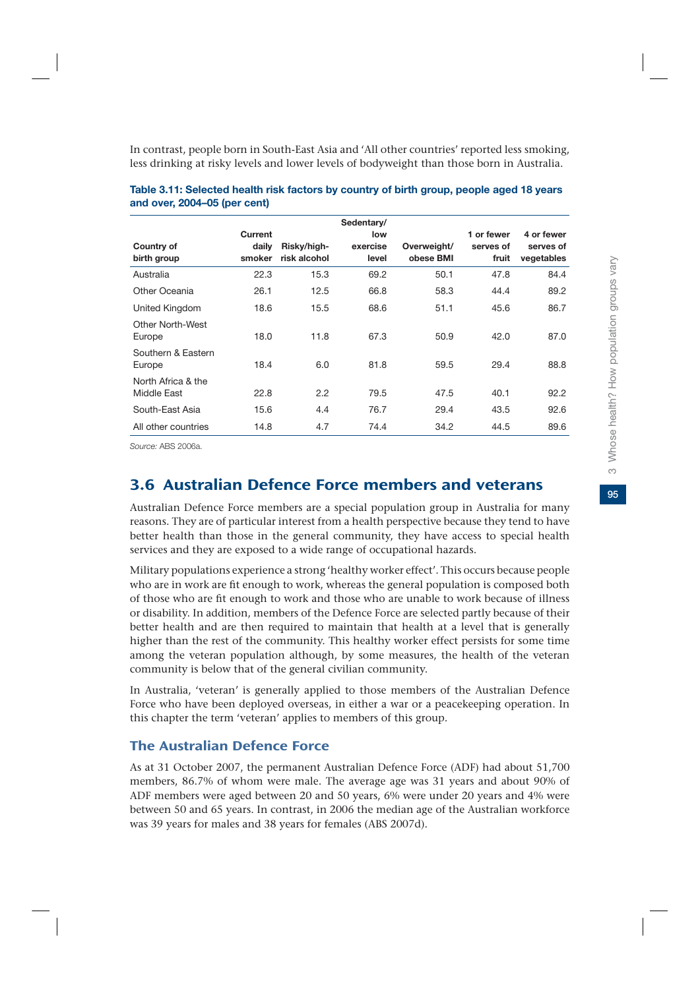In contrast, people born in South-East Asia and 'All other countries' reported less smoking, less drinking at risky levels and lower levels of bodyweight than those born in Australia.

| Country of<br>birth group         | Current<br>daily<br>smoker | Risky/high-<br>risk alcohol | Sedentary/<br>low<br>exercise<br>level | Overweight/<br>obese BMI | 1 or fewer<br>serves of<br>fruit | 4 or fewer<br>serves of<br>vegetables |
|-----------------------------------|----------------------------|-----------------------------|----------------------------------------|--------------------------|----------------------------------|---------------------------------------|
| Australia                         | 22.3                       | 15.3                        | 69.2                                   | 50.1                     | 47.8                             | 84.4                                  |
| Other Oceania                     | 26.1                       | 12.5                        | 66.8                                   | 58.3                     | 44.4                             | 89.2                                  |
| United Kingdom                    | 18.6                       | 15.5                        | 68.6                                   | 51.1                     | 45.6                             | 86.7                                  |
| <b>Other North-West</b><br>Europe | 18.0                       | 11.8                        | 67.3                                   | 50.9                     | 42.0                             | 87.0                                  |
| Southern & Eastern<br>Europe      | 18.4                       | 6.0                         | 81.8                                   | 59.5                     | 29.4                             | 88.8                                  |
| North Africa & the<br>Middle East | 22.8                       | 2.2                         | 79.5                                   | 47.5                     | 40.1                             | 92.2                                  |
| South-East Asia                   | 15.6                       | 4.4                         | 76.7                                   | 29.4                     | 43.5                             | 92.6                                  |
| All other countries               | 14.8                       | 4.7                         | 74.4                                   | 34.2                     | 44.5                             | 89.6                                  |

| Table 3.11: Selected health risk factors by country of birth group, people aged 18 years |  |
|------------------------------------------------------------------------------------------|--|
| and over, 2004–05 (per cent)                                                             |  |

*Source:* ABS 2006a.

# 3.6 Australian Defence Force members and veterans

Australian Defence Force members are a special population group in Australia for many reasons. They are of particular interest from a health perspective because they tend to have better health than those in the general community, they have access to special health services and they are exposed to a wide range of occupational hazards.

Military populations experience a strong 'healthy worker effect'. This occurs because people who are in work are fit enough to work, whereas the general population is composed both of those who are fit enough to work and those who are unable to work because of illness or disability. In addition, members of the Defence Force are selected partly because of their better health and are then required to maintain that health at a level that is generally higher than the rest of the community. This healthy worker effect persists for some time among the veteran population although, by some measures, the health of the veteran community is below that of the general civilian community.

In Australia, 'veteran' is generally applied to those members of the Australian Defence Force who have been deployed overseas, in either a war or a peacekeeping operation. In this chapter the term 'veteran' applies to members of this group.

# The Australian Defence Force

As at 31 October 2007, the permanent Australian Defence Force (ADF) had about 51,700 members, 86.7% of whom were male. The average age was 31 years and about 90% of ADF members were aged between 20 and 50 years, 6% were under 20 years and 4% were between 50 and 65 years. In contrast, in 2006 the median age of the Australian workforce was 39 years for males and 38 years for females (ABS 2007d).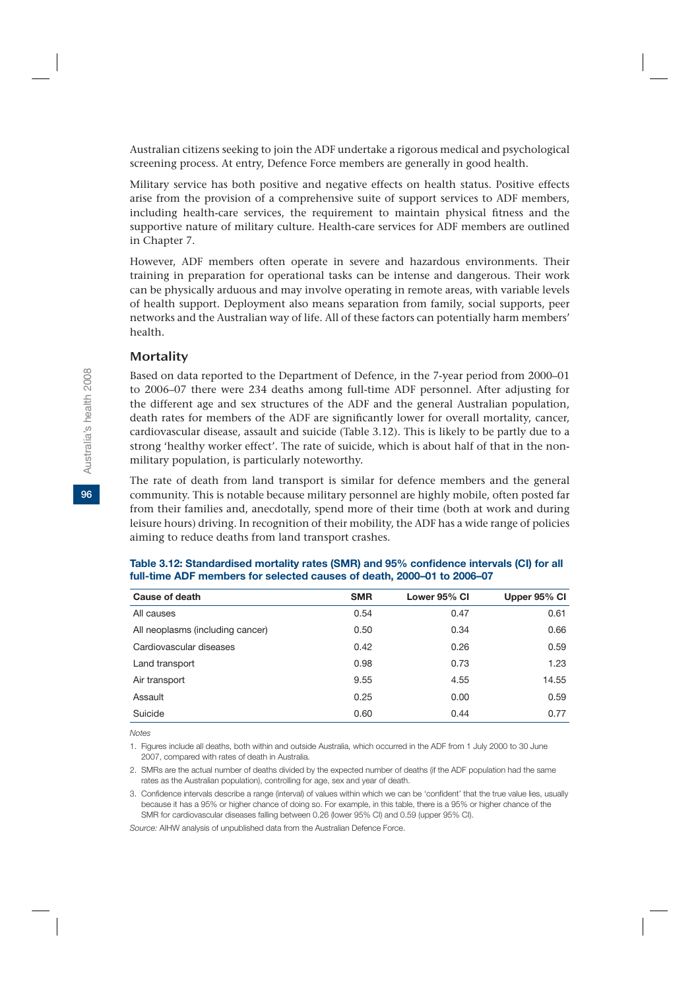Australian citizens seeking to join the ADF undertake a rigorous medical and psychological screening process. At entry, Defence Force members are generally in good health.

Military service has both positive and negative effects on health status. Positive effects arise from the provision of a comprehensive suite of support services to ADF members, including health-care services, the requirement to maintain physical fitness and the supportive nature of military culture. Health-care services for ADF members are outlined in Chapter 7.

However, ADF members often operate in severe and hazardous environments. Their training in preparation for operational tasks can be intense and dangerous. Their work can be physically arduous and may involve operating in remote areas, with variable levels of health support. Deployment also means separation from family, social supports, peer networks and the Australian way of life. All of these factors can potentially harm members' health.

#### **Mortality**

Based on data reported to the Department of Defence, in the 7-year period from 2000–01 to 2006–07 there were 234 deaths among full-time ADF personnel. After adjusting for the different age and sex structures of the ADF and the general Australian population, death rates for members of the ADF are significantly lower for overall mortality, cancer, cardiovascular disease, assault and suicide (Table 3.12). This is likely to be partly due to a strong 'healthy worker effect'. The rate of suicide, which is about half of that in the nonmilitary population, is particularly noteworthy.

The rate of death from land transport is similar for defence members and the general community. This is notable because military personnel are highly mobile, often posted far from their families and, anecdotally, spend more of their time (both at work and during leisure hours) driving. In recognition of their mobility, the ADF has a wide range of policies aiming to reduce deaths from land transport crashes.

| Cause of death                   | <b>SMR</b> | Lower 95% CI | Upper 95% CI |
|----------------------------------|------------|--------------|--------------|
| All causes                       | 0.54       | 0.47         | 0.61         |
| All neoplasms (including cancer) | 0.50       | 0.34         | 0.66         |
| Cardiovascular diseases          | 0.42       | 0.26         | 0.59         |
| Land transport                   | 0.98       | 0.73         | 1.23         |
| Air transport                    | 9.55       | 4.55         | 14.55        |
| Assault                          | 0.25       | 0.00         | 0.59         |
| Suicide                          | 0.60       | 0.44         | 0.77         |

| Table 3.12: Standardised mortality rates (SMR) and 95% confidence intervals (CI) for all |
|------------------------------------------------------------------------------------------|
| full-time ADF members for selected causes of death, 2000–01 to 2006–07                   |

*Notes*

1. Figures include all deaths, both within and outside Australia, which occurred in the ADF from 1 July 2000 to 30 June 2007, compared with rates of death in Australia.

2. SMRs are the actual number of deaths divided by the expected number of deaths (if the ADF population had the same rates as the Australian population), controlling for age, sex and year of death.

3. Confidence intervals describe a range (interval) of values within which we can be 'confident' that the true value lies, usually because it has a 95% or higher chance of doing so. For example, in this table, there is a 95% or higher chance of the SMR for cardiovascular diseases falling between 0.26 (lower 95% CI) and 0.59 (upper 95% CI).

*Source:* AIHW analysis of unpublished data from the Australian Defence Force.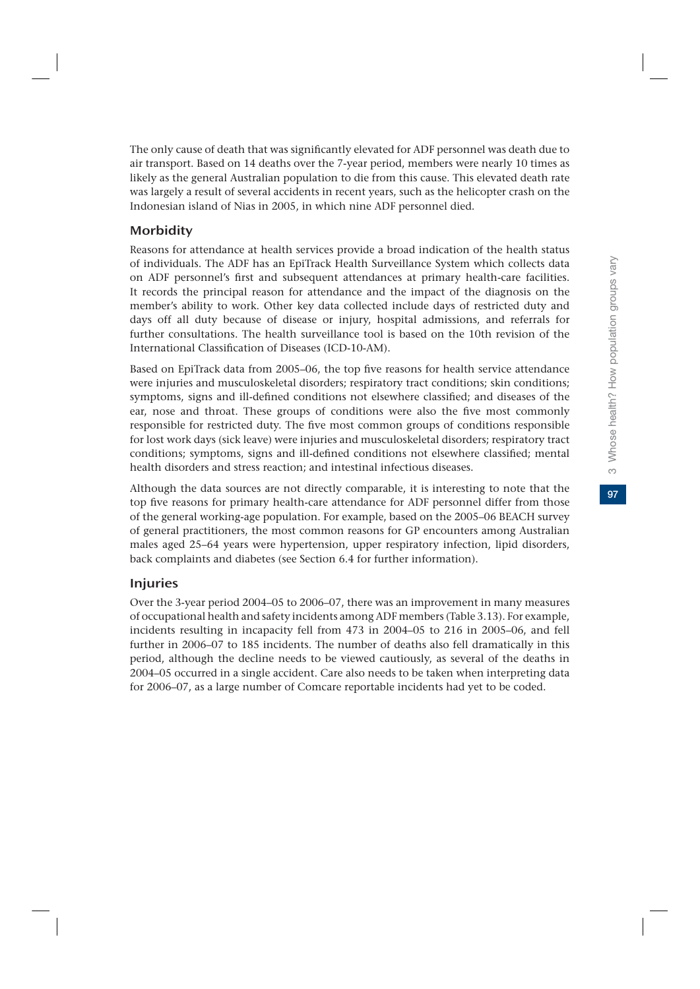97

The only cause of death that was significantly elevated for ADF personnel was death due to air transport. Based on 14 deaths over the 7-year period, members were nearly 10 times as likely as the general Australian population to die from this cause. This elevated death rate was largely a result of several accidents in recent years, such as the helicopter crash on the Indonesian island of Nias in 2005, in which nine ADF personnel died.

# **Morbidity**

Reasons for attendance at health services provide a broad indication of the health status of individuals. The ADF has an EpiTrack Health Surveillance System which collects data on ADF personnel's first and subsequent attendances at primary health-care facilities. It records the principal reason for attendance and the impact of the diagnosis on the member's ability to work. Other key data collected include days of restricted duty and days off all duty because of disease or injury, hospital admissions, and referrals for further consultations. The health surveillance tool is based on the 10th revision of the International Classification of Diseases (ICD-10-AM).

Based on EpiTrack data from 2005–06, the top five reasons for health service attendance were injuries and musculoskeletal disorders; respiratory tract conditions; skin conditions; symptoms, signs and ill-defined conditions not elsewhere classified; and diseases of the ear, nose and throat. These groups of conditions were also the five most commonly responsible for restricted duty. The five most common groups of conditions responsible for lost work days (sick leave) were injuries and musculoskeletal disorders; respiratory tract conditions; symptoms, signs and ill-defined conditions not elsewhere classified; mental health disorders and stress reaction; and intestinal infectious diseases.

Although the data sources are not directly comparable, it is interesting to note that the top five reasons for primary health-care attendance for ADF personnel differ from those of the general working-age population. For example, based on the 2005–06 BEACH survey of general practitioners, the most common reasons for GP encounters among Australian males aged 25–64 years were hypertension, upper respiratory infection, lipid disorders, back complaints and diabetes (see Section 6.4 for further information).

# Injuries

Over the 3-year period 2004–05 to 2006–07, there was an improvement in many measures of occupational health and safety incidents among ADF members (Table 3.13). For example, incidents resulting in incapacity fell from 473 in 2004–05 to 216 in 2005–06, and fell further in 2006–07 to 185 incidents. The number of deaths also fell dramatically in this period, although the decline needs to be viewed cautiously, as several of the deaths in 2004–05 occurred in a single accident. Care also needs to be taken when interpreting data for 2006–07, as a large number of Comcare reportable incidents had yet to be coded.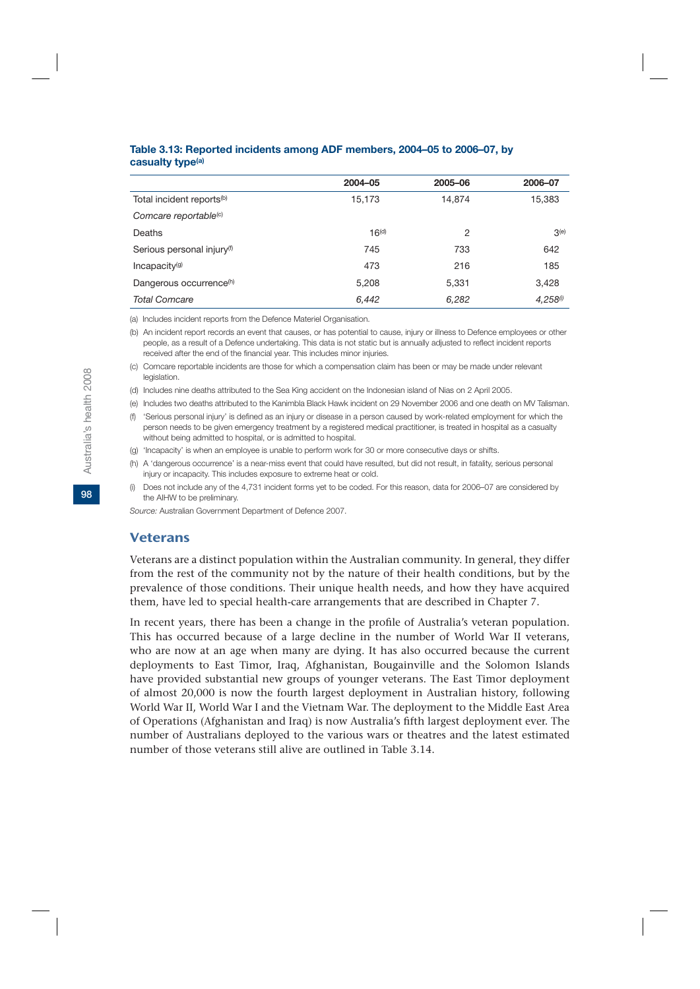|                                        | 2004-05           | 2005-06 | 2006-07       |
|----------------------------------------|-------------------|---------|---------------|
| Total incident reports <sup>(b)</sup>  | 15,173            | 14.874  | 15,383        |
| Comcare reportable <sup>(c)</sup>      |                   |         |               |
| Deaths                                 | 16 <sup>(d)</sup> | 2       | 3(e)          |
| Serious personal injury <sup>(f)</sup> | 745               | 733     | 642           |
| Incapacity <sup>(g)</sup>              | 473               | 216     | 185           |
| Dangerous occurrence <sup>(h)</sup>    | 5,208             | 5,331   | 3.428         |
| <b>Total Comcare</b>                   | 6,442             | 6,282   | $4.258^{(i)}$ |

#### **Table 3.13: Reported incidents among ADF members, 2004–05 to 2006–07, by casualty type(a)**

(a) Includes incident reports from the Defence Materiel Organisation.

(b) An incident report records an event that causes, or has potential to cause, injury or illness to Defence employees or other people, as a result of a Defence undertaking. This data is not static but is annually adjusted to reflect incident reports received after the end of the financial year. This includes minor injuries.

(c) Comcare reportable incidents are those for which a compensation claim has been or may be made under relevant legislation.

(d) Includes nine deaths attributed to the Sea King accident on the Indonesian island of Nias on 2 April 2005.

(e) Includes two deaths attributed to the Kanimbla Black Hawk incident on 29 November 2006 and one death on MV Talisman.

(f) 'Serious personal injury' is defined as an injury or disease in a person caused by work-related employment for which the person needs to be given emergency treatment by a registered medical practitioner, is treated in hospital as a casualty without being admitted to hospital, or is admitted to hospital.

(g) 'Incapacity' is when an employee is unable to perform work for 30 or more consecutive days or shifts.

(h) A 'dangerous occurrence' is a near-miss event that could have resulted, but did not result, in fatality, serious personal injury or incapacity. This includes exposure to extreme heat or cold.

(i) Does not include any of the 4,731 incident forms yet to be coded. For this reason, data for 2006–07 are considered by the AIHW to be preliminary.

*Source:* Australian Government Department of Defence 2007.

#### Veterans

Veterans are a distinct population within the Australian community. In general, they differ from the rest of the community not by the nature of their health conditions, but by the prevalence of those conditions. Their unique health needs, and how they have acquired them, have led to special health-care arrangements that are described in Chapter 7.

In recent years, there has been a change in the profile of Australia's veteran population. This has occurred because of a large decline in the number of World War II veterans, who are now at an age when many are dying. It has also occurred because the current deployments to East Timor, Iraq, Afghanistan, Bougainville and the Solomon Islands have provided substantial new groups of younger veterans. The East Timor deployment of almost 20,000 is now the fourth largest deployment in Australian history, following World War II, World War I and the Vietnam War. The deployment to the Middle East Area of Operations (Afghanistan and Iraq) is now Australia's fifth largest deployment ever. The number of Australians deployed to the various wars or theatres and the latest estimated number of those veterans still alive are outlined in Table 3.14.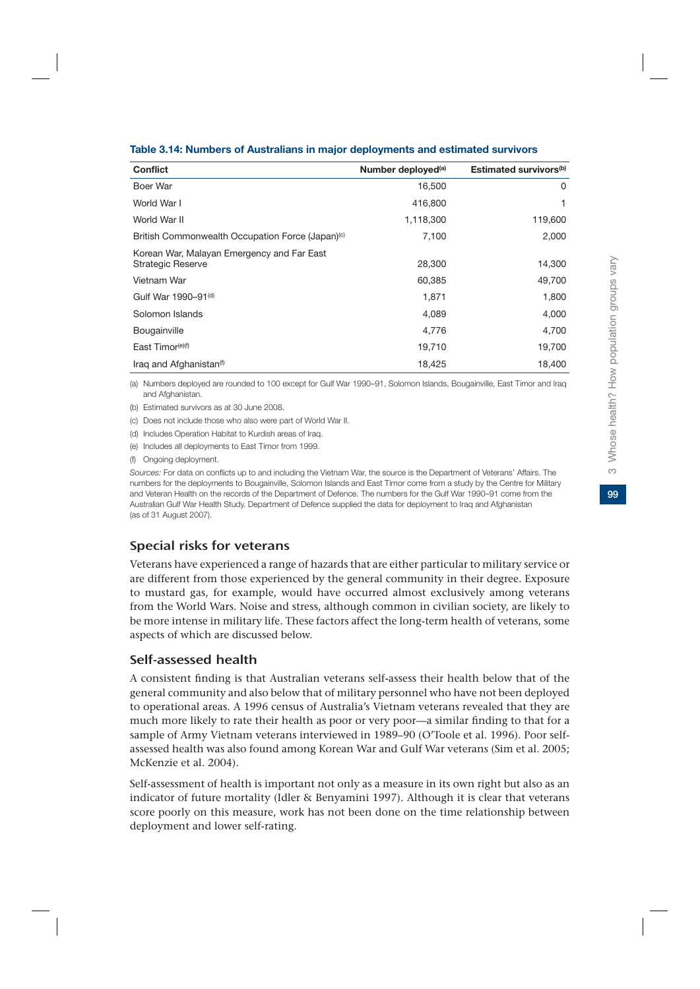|  | Table 3.14: Numbers of Australians in major deployments and estimated survivors |
|--|---------------------------------------------------------------------------------|
|  |                                                                                 |

| <b>Conflict</b>                                                        | Number deployed <sup>(a)</sup> | Estimated survivors <sup>(b)</sup> |
|------------------------------------------------------------------------|--------------------------------|------------------------------------|
| Boer War                                                               | 16,500                         | 0                                  |
| World War I                                                            | 416,800                        |                                    |
| World War II                                                           | 1,118,300                      | 119,600                            |
| British Commonwealth Occupation Force (Japan) <sup>(c)</sup>           | 7,100                          | 2,000                              |
| Korean War, Malayan Emergency and Far East<br><b>Strategic Reserve</b> | 28,300                         | 14,300                             |
| Vietnam War                                                            | 60,385                         | 49,700                             |
| Gulf War 1990-91 <sup>(d)</sup>                                        | 1,871                          | 1,800                              |
| Solomon Islands                                                        | 4,089                          | 4,000                              |
| Bougainville                                                           | 4,776                          | 4,700                              |
| East Timor <sup>(e)(f)</sup>                                           | 19,710                         | 19,700                             |
| Iraq and Afghanistan <sup>(f)</sup>                                    | 18,425                         | 18,400                             |

(a) Numbers deployed are rounded to 100 except for Gulf War 1990–91, Solomon Islands, Bougainville, East Timor and Iraq and Afghanistan.

(b) Estimated survivors as at 30 June 2008.

(c) Does not include those who also were part of World War II.

(d) Includes Operation Habitat to Kurdish areas of Iraq.

(e) Includes all deployments to East Timor from 1999.

(f) Ongoing deployment.

*Sources:* For data on conflicts up to and including the Vietnam War, the source is the Department of Veterans' Affairs. The numbers for the deployments to Bougainville, Solomon Islands and East Timor come from a study by the Centre for Military and Veteran Health on the records of the Department of Defence. The numbers for the Gulf War 1990–91 come from the Australian Gulf War Health Study. Department of Defence supplied the data for deployment to Iraq and Afghanistan (as of 31 August 2007).

# Special risks for veterans

Veterans have experienced a range of hazards that are either particular to military service or are different from those experienced by the general community in their degree. Exposure to mustard gas, for example, would have occurred almost exclusively among veterans from the World Wars. Noise and stress, although common in civilian society, are likely to be more intense in military life. These factors affect the long-term health of veterans, some aspects of which are discussed below.

# Self-assessed health

A consistent finding is that Australian veterans self-assess their health below that of the general community and also below that of military personnel who have not been deployed to operational areas. A 1996 census of Australia's Vietnam veterans revealed that they are much more likely to rate their health as poor or very poor—a similar finding to that for a sample of Army Vietnam veterans interviewed in 1989–90 (O'Toole et al. 1996). Poor selfassessed health was also found among Korean War and Gulf War veterans (Sim et al. 2005; McKenzie et al. 2004).

Self-assessment of health is important not only as a measure in its own right but also as an indicator of future mortality (Idler & Benyamini 1997). Although it is clear that veterans score poorly on this measure, work has not been done on the time relationship between deployment and lower self-rating.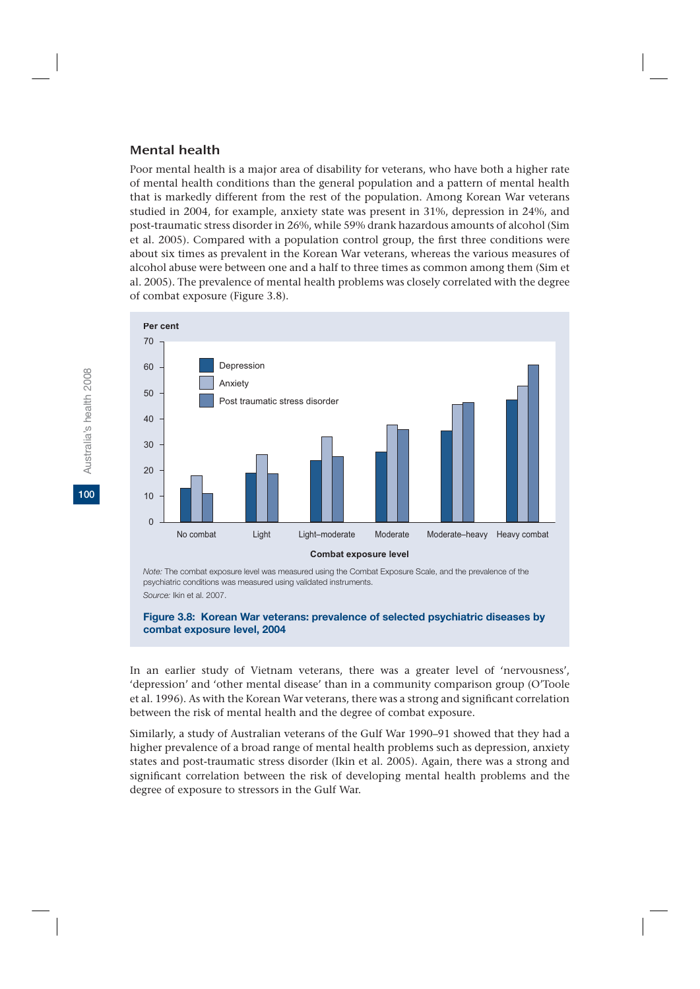#### Mental health

Poor mental health is a major area of disability for veterans, who have both a higher rate of mental health conditions than the general population and a pattern of mental health that is markedly different from the rest of the population. Among Korean War veterans studied in 2004, for example, anxiety state was present in 31%, depression in 24%, and post-traumatic stress disorder in 26%, while 59% drank hazardous amounts of alcohol (Sim et al. 2005). Compared with a population control group, the first three conditions were about six times as prevalent in the Korean War veterans, whereas the various measures of alcohol abuse were between one and a half to three times as common among them (Sim et al. 2005). The prevalence of mental health problems was closely correlated with the degree of combat exposure (Figure 3.8).



*Note:* The combat exposure level was measured using the Combat Exposure Scale, and the prevalence of the psychiatric conditions was measured using validated instruments. *Source:* Ikin et al. 2007.

#### **Figure 3.8: Korean War veterans: prevalence of selected psychiatric diseases by combat exposure level, 2004**

In an earlier study of Vietnam veterans, there was a greater level of 'nervousness', 'depression' and 'other mental disease' than in a community comparison group (O'Toole et al. 1996). As with the Korean War veterans, there was a strong and significant correlation between the risk of mental health and the degree of combat exposure.

Similarly, a study of Australian veterans of the Gulf War 1990–91 showed that they had a higher prevalence of a broad range of mental health problems such as depression, anxiety states and post-traumatic stress disorder (Ikin et al. 2005). Again, there was a strong and significant correlation between the risk of developing mental health problems and the degree of exposure to stressors in the Gulf War.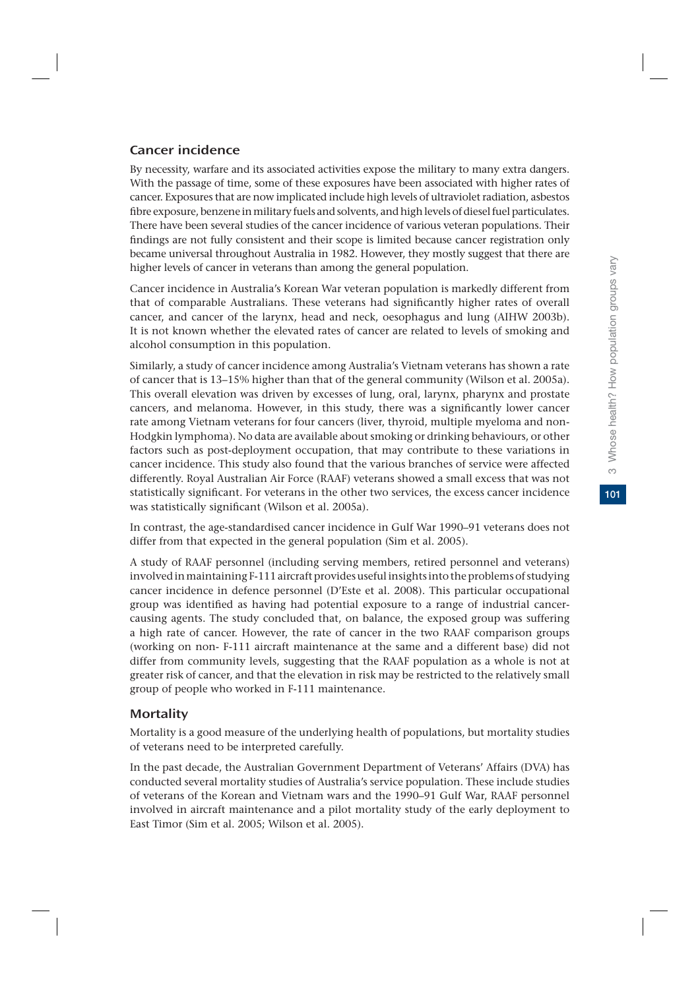# Cancer incidence

By necessity, warfare and its associated activities expose the military to many extra dangers. With the passage of time, some of these exposures have been associated with higher rates of cancer. Exposures that are now implicated include high levels of ultraviolet radiation, asbestos fibre exposure, benzene in military fuels and solvents, and high levels of diesel fuel particulates. There have been several studies of the cancer incidence of various veteran populations. Their findings are not fully consistent and their scope is limited because cancer registration only became universal throughout Australia in 1982. However, they mostly suggest that there are higher levels of cancer in veterans than among the general population.

Cancer incidence in Australia's Korean War veteran population is markedly different from that of comparable Australians. These veterans had significantly higher rates of overall cancer, and cancer of the larynx, head and neck, oesophagus and lung (AIHW 2003b). It is not known whether the elevated rates of cancer are related to levels of smoking and alcohol consumption in this population.

Similarly, a study of cancer incidence among Australia's Vietnam veterans has shown a rate of cancer that is 13–15% higher than that of the general community (Wilson et al. 2005a). This overall elevation was driven by excesses of lung, oral, larynx, pharynx and prostate cancers, and melanoma. However, in this study, there was a significantly lower cancer rate among Vietnam veterans for four cancers (liver, thyroid, multiple myeloma and non-Hodgkin lymphoma). No data are available about smoking or drinking behaviours, or other factors such as post-deployment occupation, that may contribute to these variations in cancer incidence. This study also found that the various branches of service were affected differently. Royal Australian Air Force (RAAF) veterans showed a small excess that was not statistically significant. For veterans in the other two services, the excess cancer incidence was statistically significant (Wilson et al. 2005a).

In contrast, the age-standardised cancer incidence in Gulf War 1990–91 veterans does not differ from that expected in the general population (Sim et al. 2005).

A study of RAAF personnel (including serving members, retired personnel and veterans) involved in maintaining F-111 aircraft provides useful insights into the problems of studying cancer incidence in defence personnel (D'Este et al. 2008). This particular occupational group was identified as having had potential exposure to a range of industrial cancercausing agents. The study concluded that, on balance, the exposed group was suffering a high rate of cancer. However, the rate of cancer in the two RAAF comparison groups (working on non- F-111 aircraft maintenance at the same and a different base) did not differ from community levels, suggesting that the RAAF population as a whole is not at greater risk of cancer, and that the elevation in risk may be restricted to the relatively small group of people who worked in F-111 maintenance.

# **Mortality**

Mortality is a good measure of the underlying health of populations, but mortality studies of veterans need to be interpreted carefully.

In the past decade, the Australian Government Department of Veterans' Affairs (DVA) has conducted several mortality studies of Australia's service population. These include studies of veterans of the Korean and Vietnam wars and the 1990–91 Gulf War, RAAF personnel involved in aircraft maintenance and a pilot mortality study of the early deployment to East Timor (Sim et al. 2005; Wilson et al. 2005).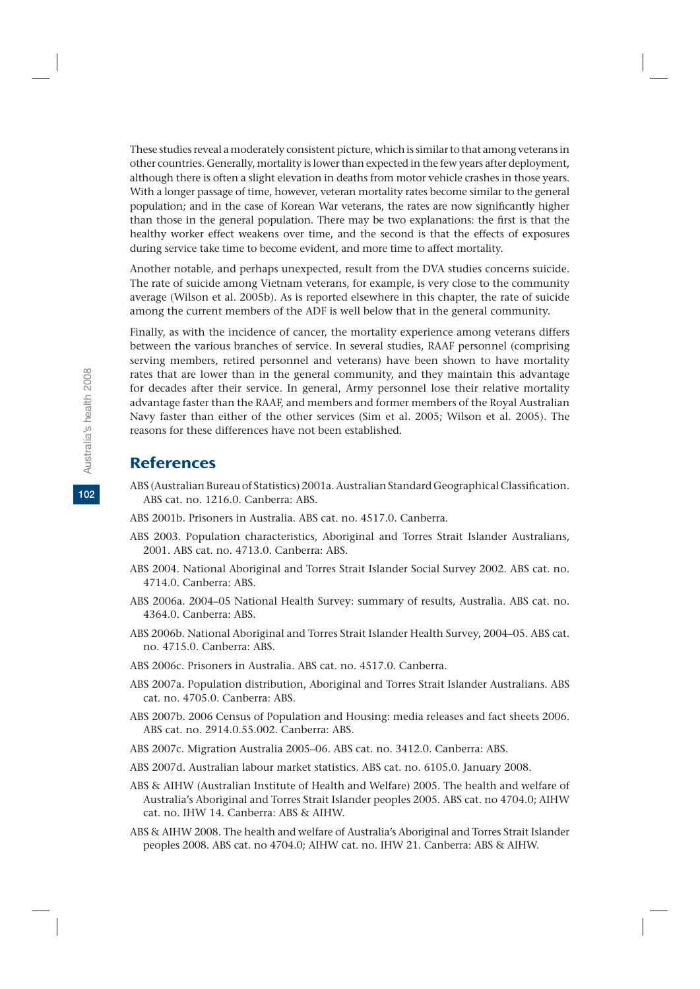These studies reveal a moderately consistent picture, which is similar to that among veterans in other countries. Generally, mortality is lower than expected in the few years after deployment, although there is often a slight elevation in deaths from motor vehicle crashes in those years. With a longer passage of time, however, veteran mortality rates become similar to the general population; and in the case of Korean War veterans, the rates are now significantly higher than those in the general population. There may be two explanations: the first is that the healthy worker effect weakens over time, and the second is that the effects of exposures during service take time to become evident, and more time to affect mortality.

Another notable, and perhaps unexpected, result from the DVA studies concerns suicide. The rate of suicide among Vietnam veterans, for example, is very close to the community average (Wilson et al. 2005b). As is reported elsewhere in this chapter, the rate of suicide among the current members of the ADF is well below that in the general community.

Finally, as with the incidence of cancer, the mortality experience among veterans differs between the various branches of service. In several studies, RAAF personnel (comprising serving members, retired personnel and veterans) have been shown to have mortality rates that are lower than in the general community, and they maintain this advantage for decades after their service. In general, Army personnel lose their relative mortality advantage faster than the RAAF, and members and former members of the Royal Australian Navy faster than either of the other services (Sim et al. 2005; Wilson et al. 2005). The reasons for these differences have not been established.

# References

- ABS (Australian Bureau of Statistics) 2001a. Australian Standard Geographical Classification. ABS cat. no. 1216.0. Canberra: ABS.
- ABS 2001b. Prisoners in Australia. ABS cat. no. 4517.0. Canberra.
- ABS 2003. Population characteristics, Aboriginal and Torres Strait Islander Australians, 2001. ABS cat. no. 4713.0. Canberra: ABS.
- ABS 2004. National Aboriginal and Torres Strait Islander Social Survey 2002. ABS cat. no. 4714.0. Canberra: ABS.
- ABS 2006a. 2004–05 National Health Survey: summary of results, Australia. ABS cat. no. 4364.0. Canberra: ABS.
- ABS 2006b. National Aboriginal and Torres Strait Islander Health Survey, 2004–05. ABS cat. no. 4715.0. Canberra: ABS.
- ABS 2006c. Prisoners in Australia. ABS cat. no. 4517.0. Canberra.
- ABS 2007a. Population distribution, Aboriginal and Torres Strait Islander Australians. ABS cat. no. 4705.0. Canberra: ABS.
- ABS 2007b. 2006 Census of Population and Housing: media releases and fact sheets 2006. ABS cat. no. 2914.0.55.002. Canberra: ABS.
- ABS 2007c. Migration Australia 2005–06. ABS cat. no. 3412.0. Canberra: ABS.
- ABS 2007d. Australian labour market statistics. ABS cat. no. 6105.0. January 2008.
- ABS & AIHW (Australian Institute of Health and Welfare) 2005. The health and welfare of Australia's Aboriginal and Torres Strait Islander peoples 2005. ABS cat. no 4704.0; AIHW cat. no. IHW 14. Canberra: ABS & AIHW.
- ABS & AIHW 2008. The health and welfare of Australia's Aboriginal and Torres Strait Islander peoples 2008. ABS cat. no 4704.0; AIHW cat. no. IHW 21. Canberra: ABS & AIHW.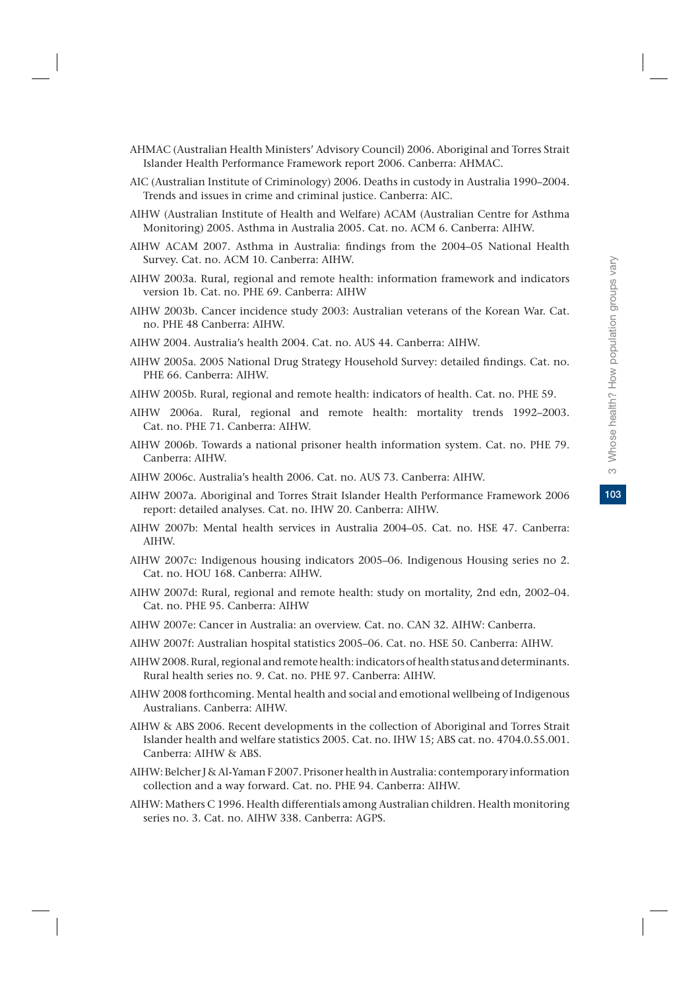103

- AHMAC (Australian Health Ministers' Advisory Council) 2006. Aboriginal and Torres Strait Islander Health Performance Framework report 2006. Canberra: AHMAC.
- AIC (Australian Institute of Criminology) 2006. Deaths in custody in Australia 1990–2004. Trends and issues in crime and criminal justice. Canberra: AIC.
- AIHW (Australian Institute of Health and Welfare) ACAM (Australian Centre for Asthma Monitoring) 2005. Asthma in Australia 2005. Cat. no. ACM 6. Canberra: AIHW.
- AIHW ACAM 2007. Asthma in Australia: findings from the 2004–05 National Health Survey. Cat. no. ACM 10. Canberra: AIHW.
- AIHW 2003a. Rural, regional and remote health: information framework and indicators version 1b. Cat. no. PHE 69. Canberra: AIHW
- AIHW 2003b. Cancer incidence study 2003: Australian veterans of the Korean War. Cat. no. PHE 48 Canberra: AIHW.
- AIHW 2004. Australia's health 2004. Cat. no. AUS 44. Canberra: AIHW.
- AIHW 2005a. 2005 National Drug Strategy Household Survey: detailed findings. Cat. no. PHE 66. Canberra: AIHW.
- AIHW 2005b. Rural, regional and remote health: indicators of health. Cat. no. PHE 59.
- AIHW 2006a. Rural, regional and remote health: mortality trends 1992–2003. Cat. no. PHE 71. Canberra: AIHW.
- AIHW 2006b. Towards a national prisoner health information system. Cat. no. PHE 79. Canberra: AIHW.
- AIHW 2006c. Australia's health 2006. Cat. no. AUS 73. Canberra: AIHW.
- AIHW 2007a. Aboriginal and Torres Strait Islander Health Performance Framework 2006 report: detailed analyses. Cat. no. IHW 20. Canberra: AIHW.
- AIHW 2007b: Mental health services in Australia 2004–05. Cat. no. HSE 47. Canberra: AIHW.
- AIHW 2007c: Indigenous housing indicators 2005–06. Indigenous Housing series no 2. Cat. no. HOU 168. Canberra: AIHW.
- AIHW 2007d: Rural, regional and remote health: study on mortality, 2nd edn, 2002–04. Cat. no. PHE 95. Canberra: AIHW
- AIHW 2007e: Cancer in Australia: an overview. Cat. no. CAN 32. AIHW: Canberra.
- AIHW 2007f: Australian hospital statistics 2005–06. Cat. no. HSE 50. Canberra: AIHW.
- AIHW 2008. Rural, regional and remote health: indicators of health status and determinants. Rural health series no. 9. Cat. no. PHE 97. Canberra: AIHW.
- AIHW 2008 forthcoming. Mental health and social and emotional wellbeing of Indigenous Australians. Canberra: AIHW.
- AIHW & ABS 2006. Recent developments in the collection of Aboriginal and Torres Strait Islander health and welfare statistics 2005. Cat. no. IHW 15; ABS cat. no. 4704.0.55.001. Canberra: AIHW & ABS.
- AIHW: Belcher J & Al-Yaman F 2007. Prisoner health in Australia: contemporary information collection and a way forward. Cat. no. PHE 94. Canberra: AIHW.
- AIHW: Mathers C 1996. Health differentials among Australian children. Health monitoring series no. 3. Cat. no. AIHW 338. Canberra: AGPS.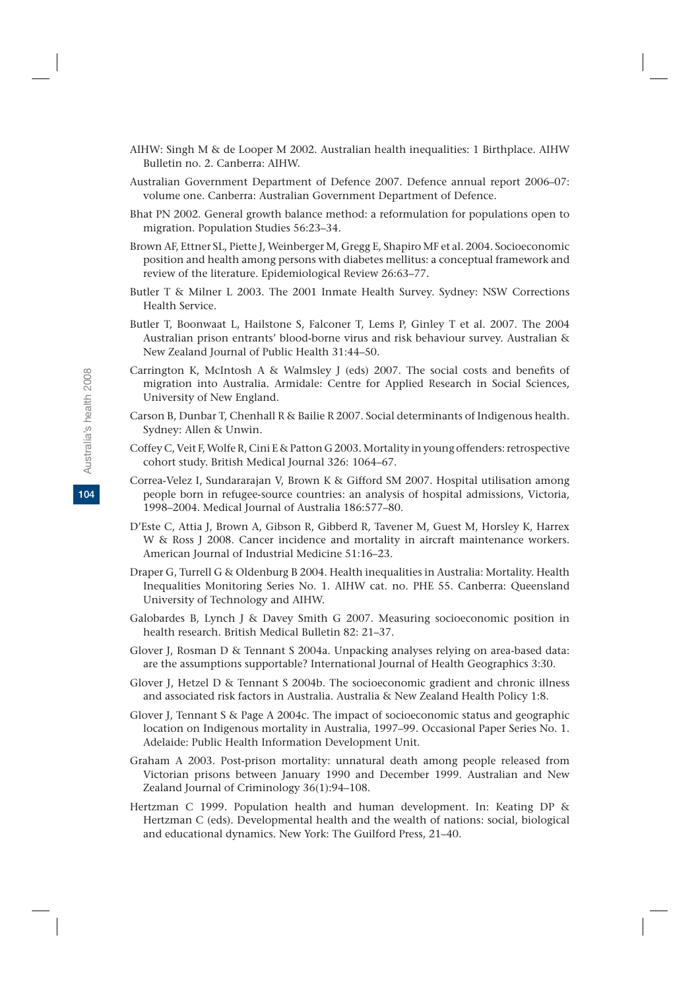- AIHW: Singh M & de Looper M 2002. Australian health inequalities: 1 Birthplace. AIHW Bulletin no. 2. Canberra: AIHW.
- Australian Government Department of Defence 2007. Defence annual report 2006–07: volume one. Canberra: Australian Government Department of Defence.
- Bhat PN 2002. General growth balance method: a reformulation for populations open to migration. Population Studies 56:23–34.
- Brown AF, Ettner SL, Piette J, Weinberger M, Gregg E, Shapiro MF et al. 2004. Socioeconomic position and health among persons with diabetes mellitus: a conceptual framework and review of the literature. Epidemiological Review 26:63–77.
- Butler T & Milner L 2003. The 2001 Inmate Health Survey. Sydney: NSW Corrections Health Service.
- Butler T, Boonwaat L, Hailstone S, Falconer T, Lems P, Ginley T et al. 2007. The 2004 Australian prison entrants' blood-borne virus and risk behaviour survey. Australian & New Zealand Journal of Public Health 31:44–50.
- Carrington K, McIntosh A & Walmsley J (eds) 2007. The social costs and benefits of migration into Australia. Armidale: Centre for Applied Research in Social Sciences, University of New England.
- Carson B, Dunbar T, Chenhall R & Bailie R 2007. Social determinants of Indigenous health. Sydney: Allen & Unwin.
- Coffey C, Veit F, Wolfe R, Cini E & Patton G 2003. Mortality in young offenders: retrospective cohort study. British Medical Journal 326: 1064–67.
- Correa-Velez I, Sundararajan V, Brown K & Gifford SM 2007. Hospital utilisation among people born in refugee-source countries: an analysis of hospital admissions, Victoria, 1998–2004. Medical Journal of Australia 186:577–80.
- D'Este C, Attia J, Brown A, Gibson R, Gibberd R, Tavener M, Guest M, Horsley K, Harrex W & Ross J 2008. Cancer incidence and mortality in aircraft maintenance workers. American Journal of Industrial Medicine 51:16–23.
- Draper G, Turrell G & Oldenburg B 2004. Health inequalities in Australia: Mortality. Health Inequalities Monitoring Series No. 1. AIHW cat. no. PHE 55. Canberra: Queensland University of Technology and AIHW.
- Galobardes B, Lynch J & Davey Smith G 2007. Measuring socioeconomic position in health research. British Medical Bulletin 82: 21–37.
- Glover J, Rosman D & Tennant S 2004a. Unpacking analyses relying on area-based data: are the assumptions supportable? International Journal of Health Geographics 3:30.
- Glover J, Hetzel D & Tennant S 2004b. The socioeconomic gradient and chronic illness and associated risk factors in Australia. Australia & New Zealand Health Policy 1:8.
- Glover J, Tennant S & Page A 2004c. The impact of socioeconomic status and geographic location on Indigenous mortality in Australia, 1997–99. Occasional Paper Series No. 1. Adelaide: Public Health Information Development Unit.
- Graham A 2003. Post-prison mortality: unnatural death among people released from Victorian prisons between January 1990 and December 1999. Australian and New Zealand Journal of Criminology 36(1):94–108.
- Hertzman C 1999. Population health and human development. In: Keating DP & Hertzman C (eds). Developmental health and the wealth of nations: social, biological and educational dynamics. New York: The Guilford Press, 21–40.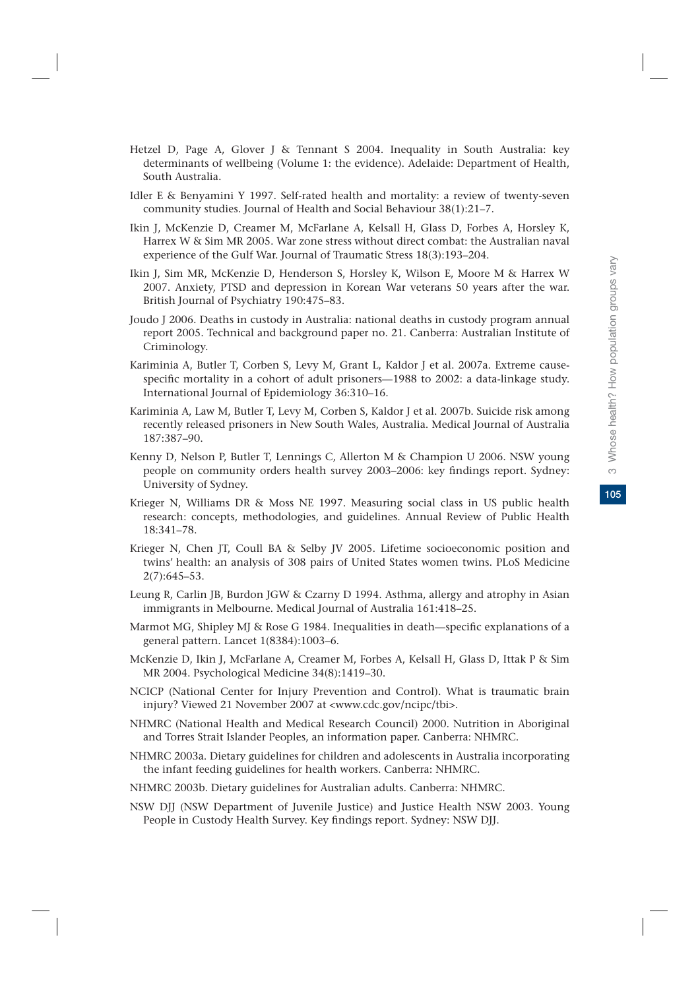- Hetzel D, Page A, Glover J & Tennant S 2004. Inequality in South Australia: key determinants of wellbeing (Volume 1: the evidence). Adelaide: Department of Health, South Australia.
- Idler E & Benyamini Y 1997. Self-rated health and mortality: a review of twenty-seven community studies. Journal of Health and Social Behaviour 38(1):21–7.
- Ikin J, McKenzie D, Creamer M, McFarlane A, Kelsall H, Glass D, Forbes A, Horsley K, Harrex W & Sim MR 2005. War zone stress without direct combat: the Australian naval experience of the Gulf War. Journal of Traumatic Stress 18(3):193–204.
- Ikin J, Sim MR, McKenzie D, Henderson S, Horsley K, Wilson E, Moore M & Harrex W 2007. Anxiety, PTSD and depression in Korean War veterans 50 years after the war. British Journal of Psychiatry 190:475–83.
- Joudo J 2006. Deaths in custody in Australia: national deaths in custody program annual report 2005. Technical and background paper no. 21. Canberra: Australian Institute of Criminology.
- Kariminia A, Butler T, Corben S, Levy M, Grant L, Kaldor J et al. 2007a. Extreme causespecific mortality in a cohort of adult prisoners—1988 to 2002: a data-linkage study. International Journal of Epidemiology 36:310–16.
- Kariminia A, Law M, Butler T, Levy M, Corben S, Kaldor J et al. 2007b. Suicide risk among recently released prisoners in New South Wales, Australia. Medical Journal of Australia 187:387–90.
- Kenny D, Nelson P, Butler T, Lennings C, Allerton M & Champion U 2006. NSW young people on community orders health survey 2003–2006: key findings report. Sydney: University of Sydney.
- Krieger N, Williams DR & Moss NE 1997. Measuring social class in US public health research: concepts, methodologies, and guidelines. Annual Review of Public Health 18:341–78.
- Krieger N, Chen JT, Coull BA & Selby JV 2005. Lifetime socioeconomic position and twins' health: an analysis of 308 pairs of United States women twins. PLoS Medicine 2(7):645–53.
- Leung R, Carlin JB, Burdon JGW & Czarny D 1994. Asthma, allergy and atrophy in Asian immigrants in Melbourne. Medical Journal of Australia 161:418–25.
- Marmot MG, Shipley MJ & Rose G 1984. Inequalities in death—specific explanations of a general pattern. Lancet 1(8384):1003–6.
- McKenzie D, Ikin J, McFarlane A, Creamer M, Forbes A, Kelsall H, Glass D, Ittak P & Sim MR 2004. Psychological Medicine 34(8):1419–30.
- NCICP (National Center for Injury Prevention and Control). What is traumatic brain injury? Viewed 21 November 2007 at <www.cdc.gov/ncipc/tbi>.
- NHMRC (National Health and Medical Research Council) 2000. Nutrition in Aboriginal and Torres Strait Islander Peoples, an information paper. Canberra: NHMRC.
- NHMRC 2003a. Dietary guidelines for children and adolescents in Australia incorporating the infant feeding guidelines for health workers. Canberra: NHMRC.
- NHMRC 2003b. Dietary guidelines for Australian adults. Canberra: NHMRC.
- NSW DJJ (NSW Department of Juvenile Justice) and Justice Health NSW 2003. Young People in Custody Health Survey. Key findings report. Sydney: NSW DJJ.